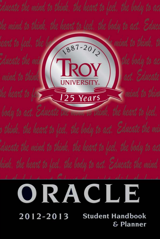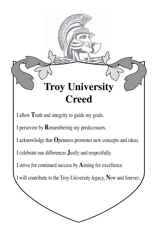

I allow Truth and integrity to guide my goals.

I persevere by Remembering my predecessors.

I acknowledge that Openness promotes new concepts and ideas.

I celebrate our differences **Justly** and respectfully.

I strive for continued success by Aiming for excellence.

I will contribute to the Troy University legacy, Now and forever.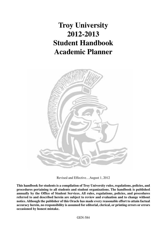## **Troy University 2012-2013 Student Handbook Academic Planner**



Revised and Effective…August 1, 2012

**This handbook for students is a compilation of Troy University rules, regulations, policies, and procedures pertaining to all students and student organizations. The handbook is published annually by the Office of Student Services. All rules, regulations, policies, and procedures referred to and described herein are subject to review and evaluation and to change without notice. Although the publisher of this Oracle has made every reasonable effort to attain factual accuracy herein, no responsibility is assumed for editorial, clerical, or printing errors or errors occasioned by honest mistake.**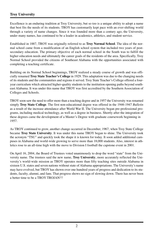Excellence is an enduring tradition at Troy University, but so too is a unique ability to adopt a name that best fits the needs of its students. TROY has customarily kept pace with an ever-shifting world through a variety of name changes. Since it was founded more than a century ago, the University, under many names, has continued to be a leader in academics, athletics, and student service.

Established in 1887, TROY was originally referred to as **Troy Normal School**. The idea of the normal school came from a modification of an English school system that included two years of postsecondary education. The primary objective of each normal school in the South was to fulfill the higher education needs and ultimately the career goals of the residents of the area. Specifically, Troy Normal School provided the citizens of Southeast Alabama with the opportunities associated with completing a teaching certificate.

Building on its Normal School beginnings, TROY realized a steady course of growth and was officially renamed **Troy State Teacher's College** in 1929. This adaptation was due to the changing needs of its students and the communities and regions it served. Troy State Teacher's College offered a fouryear curriculum which attracted higher-quality students to the institution opening paths beyond southeast Alabama. It was under this name that TROY was first accredited by the Southern Association of Colleges and Schools.

TROY soon saw the need to offer more than a teaching degree and in 1957 the University was renamed simply **Troy State College**. The first non-educational degree was offered in the 1946-1947 *Bulletin* as a result of the increase attendance after World War II. The University began pre-professional programs, including medical technology, as well as a degree in business. Shortly after the integration of these degrees came the development of a Master's Degree with graduate coursework beginning in 1957.

As TROY continued to grow, another change occurred in December, 1967, when Troy State College became **Troy State University**. It was under this name TROY began to shine. The University took the acronym "TSU" and quickly took the shape it is known for today. It soon added additional campuses in Alabama and world-wide growing to serve more than 18,000 students. Also, interest in athletics rose to an all-time high with the move to Division I football the capstone event in 2001.

On April 16, 2004, the Board of Trustees voted unanimously to drop the word "state" from the University name. The trustees said the new name, **Troy University**, more accurately reflected the University's world-wide mission as TROY operates more than fifty teaching sites outside Alabama in sixteen U.S. states and seven nations without state of Alabama appropriations. The University's name may have evolved, but TROY has shown over one hundred years of progress and dedication to its students, faculty, alumni, and fans. That progress shows no sign of slowing down. There has never been a better time to be a TROY TROJAN!!!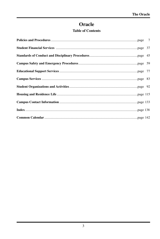## Oracle

## **Table of Contents**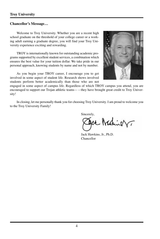#### **Chancellor's Message…**

Welcome to Troy University. Whether you are a recent high school graduate on the threshold of your college career or a working adult earning a graduate degree, you will find your Troy University experience exciting and rewarding.

TROY is internationally known for outstanding academic programs supported by excellent student services, a combination which ensures the best value for your tuition dollar. We take pride in our personal approach, knowing students by name and not by number.

As you begin your TROY career, I encourage you to get involved in some aspect of student life. Research shows involved students perform better academically than those who are not



engaged in some aspect of campus life. Regardless of which TROY campus you attend, you are encouraged to support our Trojan athletic teams——they have brought great credit to Troy University!

In closing, let me personally thank you for choosing Troy University. I am proud to welcome you to the Troy University Family!

Sincerely,

ce Makiner

Jack Hawkins, Jr., Ph.D. Chancellor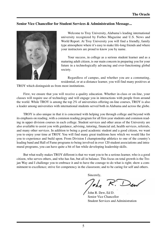#### **Senior Vice Chancellor for Student Services & Administration Message...**



Welcome to Troy University, Alabama's leading international university recognized by Forbes Magazine and U.S. News and World Report. At Troy University you will find a friendly, family type atmosphere where it's easy to make life-long friends and where your instructors are proud to know you by name.

Your success, in college as a serious student learner and as a maturing adult citizen, is our main concern in preparing you for your future in a technologically advancing and ever-functioning global society.

Regardless of campus, and whether you are a commuting, residential, or at-a-distance learner, you will find many positives at

TROY which distinguish us from most institutions.

First, we ensure that you will receive a quality education. Whether in-class or on-line, your classes will require use of technology and will engage you in interactions with people from around the world. While TROY is among the top 2% of universities offering on-line courses, TROY is also a leader among universities with international students served both in Alabama and across the globe.

TROY is also unique in that it is concerned with helping you through college and beyond with its emphasis on reading, with a common reading program for all first-year students and common reading in upper division courses in each college. Student services and other areas of the University are also available to assist you with guidance, advising, tutoring, financial aid, health services, referrals, and many other services. In addition to being a good academic student and a good citizen, we want you to enjoy your time at TROY. You will find many great traditions here which we would like for you to experience and build upon. From Division I championship athletics to one of the country's leading band and Hall of Fame programs to being involved in over 120 student associations and intramural programs, you can have quite a bit of fun while developing leadership skills.

But what really makes TROY different is that we want you to be a serious learner, who is a good citizen, who serves others, and who has fun, but all in balance. This focus on total growth is the Trojan Way and I challenge you to embrace it and to have the courage to do what is right; show a commitment to excellence; strive for competency in the classroom; and to be caring for self and others.

Sincerely,

John R. Dew, Ed D. Senior Vice Chancellor Student Services and Administration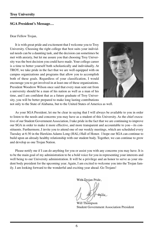#### **SGA President's Message…**

#### Dear Fellow Trojan,

It is with great pride and excitement that I welcome you to Troy University. Choosing the right college that best suits your individual needs can be a daunting task, and the decision can sometimes be met with anxiety, but let me assure you that choosing Troy University was the best decision you could have made. Your college career is a time to better yourself both scholastically and individually. At TROY, we take pride in the fact that we are well equipped with on campus organizations and programs that allow you to accomplish both of these goals. Regardless of your classification, I would encourage you to get involved in at least one of these organizations. President Woodrow Wilson once said that every man sent out from a university should be a man of his nation as well as a man of his time, and I am confident that as a future graduate of Troy University, you will be better prepared to make long lasting contributions



not only to the State of Alabama, but to the United States of America as well.

As your SGA President, let me be clear in saying that I will always be available to you in order to listen to the needs and concerns you may have as a student of this University. As the chief executive of our Student Government Association, I take pride in the fact that we are continuing to improve our SGA in order to make it more effective, and more transparent and accountable to you—its constituents. Furthermore, I invite you to attend one of our weekly meetings, which are scheduled every Tuesday at 6:30 in the Hawkins Adams Long (HAL) Hall of Honor. I hope our SGA can continue to build upon an already healthy relationship with our student body. Together, we can continue to grow and develop as one Trojan Nation.

Please notify me if I can do anything for you or assist you with any concerns you may have. It is to be the main goal of my administration to be a bold voice for you in representing your interests and well being to our University administration. It will be a privilege and an honor to serve as your student body president for the upcoming year. Again, I am excited to welcome you into the Trojan family. I am looking forward to the wonderful and exciting year ahead. Go Trojans!

With Trojan Pride,

Will Thompson Student Government Association President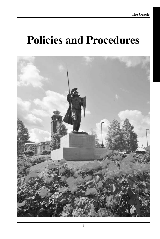# **Policies and Procedures**

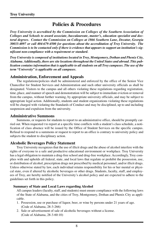## **Policies & Procedures**

*Troy University is accredited by the Commission on Colleges of the Southern Association of Colleges and Schools to award associate, baccalaureate, master's, education specialist and doctoral degrees. Contact the Commission on Colleges at 1866 Southern Lane, Decatur, Georgia 30033-4097 or call 404-679-4500 for questions about the accreditation of Troy University. The Commission is to be contacted only if there is evidence that appears to support an institution's significant non-compliance with a requirement or standard.*

*Troy University is composed of institutions located in Troy, Montgomery, Dothan and Phenix City, Alabama. Additionally, there are site locations throughout the United States and abroad. This publication contains information that is applicable to all students on all Troy campuses. The use of the term "University" is applicable on all campuses.*

## **Administration, Enforcement and Appeals**

The regulations/policies shall be administered and enforced by the office of the Senior Vice Chancellor for Student Services and Administration and such other university officials as shall be designated. Visitors to the campus and all others violating these regulations regarding registration, time, place, and manner of speech and demonstration will be subject to immediate eviction or removal from the campus, without further warning, by appropriate university officials, and may be subject to appropriate legal action. Additionally, students and student organizations violating these regulations will be charged with violating the Standards of Conduct and may be disciplined, up to and including suspension and expulsion from the university.

#### **Administrative Summons**

Summons, or requests for students to report to an administrative office, should be promptly carried out. When requested t to report at a specific time conflicts with a student's class schedule, a notification of class absence will be issued by the Office of Student Services on the specific campus. Refusal to respond to a summons or request to report to an office is contrary to university policy and subjects the student to disciplinary action.

#### **Alcoholic Beverages Policy Statement**

Troy University recognizes that the use of illicit drugs and the abuse of alcohol interfere with the rights of everyone to a safe and productive educational environment or workplace. Troy University has a legal obligation to maintain a drug-free school and drug-free workplace. Accordingly, Troy complies with and upholds all federal, state, and local laws that regulate or prohibit the possession, use, or distribution of alcohol, prescription drugs not prescribed by medical personnel, and/or illicit drugs. Unless otherwise stated by law, each individual retains responsibility for his or her mental or physical state, even if altered by alcoholic beverages or other drugs. Students, faculty, staff, and employees of Troy, are hereby notified of the University's alcohol policy and are expected to adhere to the guidelines set forth in this policy.

#### **Summary of State and Local Laws regarding Alcohol**

All campus leaders (faculty, staff, and students) must ensure compliance with the following laws of the State of Alabama, and the cities of Troy, Montgomery, Dothan and Phenix City as applicable.

- 1. Possession, use or purchase of liquor, beer, or wine by persons under 21 years of age. (Code of Alabama, 28-3-266)
- 2. Sale or advertisement of sale of alcoholic beverages without a license. (Code of Alabama, 28-3-60:10)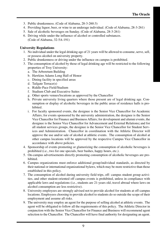- 3. Public drunkenness. (Code of Alabama, 28-3-260:3)
- 4. Providing liquor, beer, or wine to an underage individual. (Code of Alabama, 28-3-261)
- 5. Sale of alcoholic beverages on Sunday. (Code of Alabama, 28-3-261)
- 6. Driving while under the influence of alcohol or controlled substances. (Code of Alabama, 32-5A-191)

#### **University Regulations**

- 1. No individual under the legal drinking age of 21 years will be allowed to consume, serve, sell, or possess alcohol on university property.
- 2. Public drunkenness or driving under the influence on campus is prohibited.
- 3. The consumption of alcohol by those of legal drinking age will be restricted to the following properties of Troy University:
	- a. The Arboretum Building
	- b. Hawkins Adams Long Hall of Honor
	- c. Dining facility in specified areas
	- d. Tailgate Terrace(s)
	- e. Riddle-Pace Field/Stadium
	- f. Stadium Club and Executive Suites
	- g. Other sports venues/locations as approved by the Chancellor
	- h. Private university living quarters where those present are of legal drinking age. Consumption or display of alcoholic beverages in the public areas of residence halls is prohibited.
	- i. For faculty sponsored events, the designee is the Senior Vice Chancellor for Academic Affairs; for events sponsored by the university administration, the designee is the Senior Vice Chancellor for Finance and Business Affairs; for development and alumni events, the designee is the Senior Vice Chancellor for Advancement and External Relations**;** and for all student services groups, the designee is the Senior Vice Chancellor for Student Services and Administration. Chancellor in coordination with the Athletic Director will approve the use and/or sale of alcohol at athletic events. The consumption of alcohol at other campus locations will be approved by the respective Campus Vice Chancellor in accordance with above policies.
- 4. Sponsorship of events promoting or glamorizing the consumption of alcoholic beverages is prohibited (i.e., two for one specials, beer bashes, happy hours, etc.).
- 5. On-campus advertisements directly promoting consumption of alcoholic beverages are prohibited.
- 6. Campus organizations must enforce additional group/individual standards, as directed by their national or international organizational bylaws, which may be more restrictive than those established in this policy.
- 7. The consumption of alcohol during university field trips, off- campus student group activities, and other student-oriented off campus events is prohibited, unless in compliance with applicable laws and regulations (i.e., students are 21-years old, travel abroad where laws on alcohol consumption are less restrictive).
- 8. University employees are strongly advised not to provide alcohol for students at off-campus locations. Employees choosing to provide alcohol to students do so outside the scope of their employment and assume all risks.
- 9. The university may employ an agent for the purpose of selling alcohol at athletic events. The agent will be obligated to follow all the requirements of this policy. The Athletic Director in conjunction with the Senior Vice Chancellor for Finance and Business will recommend agent selection to the Chancellor. The Chancellor will have final authority for designating an agent.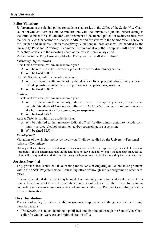#### **Policy Violations**

Enforcement of the alcohol policy for students shall reside in the Office of the Senior Vice Chancellor for Student Services and Administration, with the university's judicial officer acting as the initial contact for such violators. Enforcement of the alcohol policy for faculty resides with the Senior Vice Chancellor for Academic Affairs and for staff with the Senior Vice Chancellor for Finance and Business Affairs respectively. Violations in these areas will be handled by the University Personnel Advisory Committee. Enforcement on other campuses will be with the respective officials in the reporting chain of the officials previously cited.

Violations of the Troy University Alcohol Policy will be handled as follows:

#### *University Organizations*

First Time Offenders, within an academic year:

- A. Will be referred to the university judicial officer for disciplinary action.
- B. Will be fined \$200.\*

Repeat Offenders, within an academic year:

- A. Will be referred to the university judicial officer for appropriate disciplinary action to include possible revocation or recognition as an approved organization.
- B. Will be fined \$500.\*

#### *Students*

First Time Offenders, within an academic year:

- A. Will be referred to the university judicial officer for disciplinary action, in accordance with the Standards of Conduct as outlined in *The Oracle*, to include community service, alcohol assessment and/or counseling, or suspension.
- B. Will be fined \$75.\*

Repeat Offenders, within an academic year:

- A. Will be referred to the university judicial officer for disciplinary action to include community service, alcohol assessment and/or counseling, or suspension.
- B. Will be fined \$150.\*

#### *Faculty/Staff*

Violations of the alcohol policy by faculty/staff will be handled by the University Personnel Advisory Committee

\*Money collected from fines for alcohol policy violations will be used specifically for alcohol education programs. If it is determined that the student does not have the ability to pay the monetary fine, the student will be required to work the fine off through school services, to be determined by the Judicial Officer.

#### **Services Provided**

Troy provides free, confidential counseling for students having drug or alcohol abuse problems within the SAVE Project/Personal Counseling office or through similar programs on other campuses.

Referrals for extended treatment may be made to community counseling and local treatment programs. Individuals not covered in the above areas should check with their respective campus counseling services to acquire necessary help or contact the Troy Personal Counseling office for further information.

#### **Policy Distribution**

The alcohol policy is made available to students, employees, and the general public through these key means:

*The Oracle*, the student handbook, published and distributed through the Senior Vice Chancellor for Student Services and Administration office.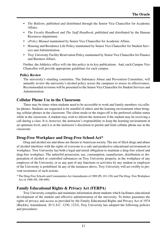- *The Bulletin,* published and distributed through the Senior Vice Chancellor for Academic Affairs.
- *The Faculty Handbook* and *The Staff Handbook*, published and distributed by the Human Resources department.
- *ePolicy Manual* maintained by Senior Vice Chancellor for Academic Affairs.
- *•* Housing and Residence Life Policy maintained by Senior Vice Chancellor for Student Services and Administration.
- *•* Troy University Facility Reservation Policy maintained by Senior Vice Chancellor for Finance and Business Affairs.

Further, the Athletics office will cite this policy in its key publications. And, each Campus Vice Chancellor will provide appropriate guidelines for each campus.

#### **Policy Review**

The university's standing committee, The Substance Abuse and Prevention Committee, will annually review the university's alcohol policy across the campuses to assess its effectiveness. Recommended revisions will be presented to the Senior Vice Chancellor for Student Services and Administration.

## **Cellular Phone Use in the Classroom**

There may be times when students need to be accessible to work and family members via cellular phones. Students are requested to be mindful of others and the learning environment when bringing cellular phones in the classroom. The silent mode or the ringer-off is the preferred cellular status while in the classroom. A student may wish to inform the instructor if the student may be receiving a call during a class. It is, however, the instructor's responsibility to keep the learning environment at an optimum level, and it is at the instructor's discretion to permit and limit cellular phone use in the classroom.

## **Drug-Free Workplace and Drug-Free School Act\***

Drug and alcohol use and abuse are threats to American society. The use of illicit drugs and abuse of alcohol interferes with the rights of everyone to a safe and productive educational environment or workplace. Troy University has both a legal and moral obligation to maintain a drug-free school and drug-free workplace. The unlawful possession, use, consumption, manufacture, distribution or dispensation of alcohol or controlled substances on Troy University property, in the workplace of any employee of the University, or as any part of any functions or activities by any student or employee of the University is prohibited. In any of the instances above, Troy University will act swiftly to prevent recurrence of such actions.

\* The Drug-Free Schools and Communities Act Amendments of 1989 (PL 101-226) and The Drug- Free Workplace Act of 1988 (PL 100-690).

## **Family Educational Rights & Privacy Act (FERPA)**

Troy University compiles and maintains information about students which facilitates educational development of the student and effective administration of the university. To better guarantee the rights of privacy and access as provided by the Family Educational Rights and Privacy Act of 1974 (Buckley Amendment, 20 U.S.C. 1230, 1232), Troy University has adopted the following policies and procedures: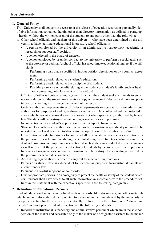#### **1. General Policy**

Troy University shall not permit access to or the release of education records or personally identifiable information contained therein, other than directory information as defined in paragraph 4 herein, without the written consent of the student, to any party other than the following:

- a. Other school officials and teachers of this university who have been determined by the university to have legitimate educational interests. A school official is:
	- A person employed by the university in an administrative, supervisory, academic or research, or support staff position.
	- A person elected to the board of trustees.
	- A person employed by or under contract to the university to perform a special task, such as the attorney or auditor. A school official has a legitimate educational interest if the official is:
		- Performing a task that is specified in his/her position description or by a contract agreement.
		- Performing a task related to a student's education.
		- Performing a task related to the discipline of a student.
		- Providing a service or benefit relating to the student or student's family, such as health care, counseling, job placement or financial aid.
- b. Officials of other schools or school systems in which the student seeks or intends to enroll, upon condition that the student may receive a copy of the record if desired and have an opportunity for a hearing to challenge the content of the record.
- c. Certain authorized representatives of federal departments or agencies or state educational authorities for purposes of audits, evaluative studies, etc. Data collected will be protected in a way which prevents personal identification except when specifically authorized by federal law. The data will be destroyed when no longer needed for such purposes.
- d. In connection with a student's application for, or receipt of, financial aid.
- e. State and local officials or authorities to which such information is specifically required to be reported or disclosed pursuant to state statute adopted prior to November 19, 1974.
- f. Organizations conducting studies for, or on behalf of, educational agencies or institutions for the purpose of developing, validating, or administering predictive tests, administering student aid programs and improving instruction, if such studies are conducted in such a manner as will not permit the personal identification of students by persons other than representatives of such organizations and such information will be destroyed when no longer needed for the purpose for which it is conducted.
- g. Accrediting organizations in order to carry out their accrediting functions.
- h. Parents of a student who is a dependent for income tax purposes. Non-custodial parents are allowed under law.
- i. Pursuant to a lawful subpoena or court order.
- j. Other appropriate persons in an emergency to protect the health or safety of the student or others. Students shall have access to all such information in accordance with the procedure outlines in this statement with the exceptions specified in the following paragraph 2.

#### **2. Definition of Educational Records**

Student educational records are defined as those records, files, documents, and other materials which contain information directly related to a student and are maintained by the university or by a person acting for the university. Specifically excluded from the definition of "educational records" and not open to student inspection are the following materials:

a. Records of instructional, supervisory and administrative personnel which are in the sole possession of the maker and accessible only to the maker or a designated assistant to the maker.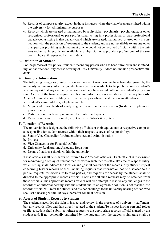- b. Records of campus security, except in those instances where they have been transmitted within the university for administrative purposes.
- c. Records which are created or maintained by a physician, psychiatrist, psychologist, or other recognized professional or para-professional acting in a professional or para-professional capacity, or assisting in that capacity, and which are created, maintained, or used only in connection with the provision of treatment to the student, and are not available to anyone other than persons providing such treatment or who could not be involved officially within the university, but such records are available to a physician or appropriate professional of the student's choice, if requested by the student.

#### **3. Definition of Student**

For the purpose of this policy, "student" means any person who has been enrolled in and is attending, or has attended, any course offering of Troy University. It does not include prospective students.

#### **4. Directory Information**

The following categories of information with respect to each student have been designated by the university as directory information which may be made available to the public, absent a student's written request that any such information should not be released without the student's prior consent. A copy of the form to request withholding information is available in University Records, Adams Administration Building or from the campus where the student is in attendance.

- a. Student's name, address, telephone number
- b. Major and minor fields of study, degree desired, and classification (freshman, sophomore, junior, senior)
- c. Participation in officially recognized activities and sports
- d. Degrees and awards received (i.e., Dean's list, Who's Who, etc.)

#### **5. Location of Records**

The university has designated the following officials or their equivalents at respective campuses as responsible for student records within their respective areas of responsibility:

- a. Senior Vice Chancellor for Student Services and Administration
- b. Provost
- c. Vice Chancellor for Financial Affairs
- d. University Registrar and Associate Registrars
- e. Deans of various schools within the university.

These officials shall hereinafter be referred to as "records officials." Each official is responsible for maintaining a listing of student records within such records official's area of responsibility, which listing shall indicate the location and general content of the records. Any student request concerning his/her records or files, including requests that information not be disclosed to the public, requests for disclosure to third parties, and requests for access by the student shall be directed to the appropriate records official. Forms for all such requests may be obtained from these officials. The appropriate records official will also attempt to resolve any challenges to the records at an informal hearing with the student and, if an agreeable solution is not reached, the records official will refer the student and his/her challenge to the university hearing officer, who shall set a hearing within 10 days thereafter for final decision.

#### **6. Access of Student Records to Student**

The student is accorded the right to inspect and review, in the presence of a university staff member, any records, files and data directly related to the student. To inspect his/her personal folder or file, a student shall submit a written request to the appropriate records official signed by the student and, if not personally submitted by the student, then the student's signature shall be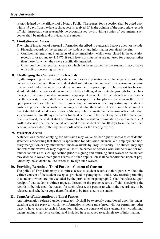acknowledged by the affidavit of a Notary Public. The request for inspection shall be acted upon within 45 days from the date such request is received. If, in the opinion of the appropriate records official, inspection can reasonably be accomplished by providing copies of documents, such copies shall be made and provided to the student.

#### **7. Limitations on Access**

The right of inspection of personal information described in paragraph 6 above does not include:

- a. Financial records of the parents of the student or any information contained therein.
- b. Confidential letters and statements of recommendation, which were placed in the education records prior to January 1, 1975, if such letters or statements are not used for purposes other than those for which they were specifically intended.
- c. Other confidential records, access to which has been waived by the student in accordance with policy concerning waivers.

#### **8. Challenging the Contents of the Records**

If, after inspecting his/her record, a student wishes an explanation or to challenge any part of the contents of such record, then the student shall submit a written request for a hearing in the same manner and under the same procedures as provided by paragraph 5. The request for hearing should identify the item or items in the file to be challenged and state the grounds for the challenge, e.g., inaccuracy, misleading nature, inappropriateness, etc. The records official shall examine the contested item, shall hear the person responsible for placing the item in the file if appropriate and possible, and shall examine any documents or hear any testimony the student wishes to present. The records official may decide that the contested item should be retained or that it should be deleted or revised or he/she may refer the matter to the hearing officer who shall set a hearing within 10 days thereafter for final decision. In the event any part of the challenged item is retained, the student shall be allowed to place a written examination thereof in the file. A written decision shall be delivered or mailed to the student within 10 days from the date such hearing is concluded, either by the records official or the hearing officer.

#### **9. Waiver of Access**

A student or a person applying for admission may waive his/her right of access to confidential statements concerning that student's application for admission, financial aid, employment, honorary recognition or any other benefit made available by Troy University. The student may sign and return the waiver or may request a list of the names of persons who will be asked for recommendations as to such application prior to signing and returning such waiver or the student may decline to waive the right of access. No such application shall be conditioned upon or prejudiced by the student's failure or refusal to sign such waiver.

#### **10. Providing Records to Third Parties – Content of Consent**

The policy of Troy University is to refuse access to student records to third parties without the written consent of the student except as provided in paragraphs 1 and 4. Any records pertaining to a student, which are not excluded by the provisions of paragraph 2, shall be released upon receipt of that student's written request, directed to the proper records official, specifying the records to be released, the reason for such release, the person to whom the records are to be released, and whether a copy thereof is also to be furnished to the student.

#### **11. Transfer of Information by Third Parties**

Any information released under paragraph 10 shall be expressly conditioned upon the understanding that the party to which the information is being transferred will not permit any other party to have access to such information without the consent of the student. Such conditional understanding shall be in writing, and included in or attached to each release of information.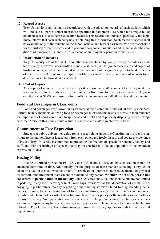#### **12. Record Access**

Troy University shall maintain a record, kept with the education records of each student, which will indicate all parties (other than those specified in paragraph 1.a.) which have requested or obtained access to a student's education records. This record will indicate specifically the legitimate interest that each such party has in obtaining this information. Such record of access shall be available only to the student, to the school official and his/her assistants who are responsible for the custody of such records, and to persons or organizations authorized in, and under the conditions of paragraph 1.a. and 1.c., as a means of auditing the operation of the system.

#### **13. Destruction of Records**

Troy University retains the right, if not otherwise precluded by law, to destroy records as a matter of policy. However, upon written request, a student shall be granted access to and copies of his/her records, which are not excluded by the provisions of paragraph 2, prior to the destruction of such records. Absent such a request on file prior to destruction, no copy of records to be destroyed need be furnished the student.

#### **14. Cost of Copies**

Any copies of records furnished at the request of a student shall be subject to the payment of a reasonable fee, to be established by the university from time to time, for such service. At present, the cost is \$1.00 per transcript for unofficial documents and \$8.00 for official documents.

## **Food and Beverages in Classrooms**

Food and beverages are allowed in classrooms at the discretion of individual faculty members. Further, faculty members allowing food or beverages in classrooms needs to stress to their students the importance of being careful not to spill food and drinks and of properly disposing of cups, wrappers, etc. Abuse of this policy could result in reassessment and/or greater restrictions.

## **Commitment to Free Expression**

Students at public universities enjoy robust speech rights under the Constitution in order to contribute to the marketplace of ideas, learn from each other, and freely discuss and debate a wide range of issues. Troy University is committed to protecting the freedom of speech for students, faculty, and staff, and will not infringe on speech that may be considered to be an unpopular or inconvenient expression of ideas.

## **Hazing Policy**

Hazing is defined by Section 16-1-23, Code of Alabama (1975), and by such section as may be amended from time to time. Additionally, for the purpose of these standards, hazing is any action taken or situation created, whether on or off organizational premises, to produce mental or physical discomfort, embarrassment, harassment or ridicule to any person, **whether or not such person has consented to participation in the activity**. Such activities and situations include but are not limited to paddling in any form, scavenger hunts, road trips, excessive fatigue, deprivation of normal sleep, engaging in public stunts, morally degrading or humiliating activities, blind-folding, branding, calisthenics, running, forced consumption of food, alcohol, drugs, or any other substances and any other activities which are not consistent with fraternal law, ritual or policy or the regulations and policies of Troy University. No organization shall allow any of its pledges/associates, members, or other persons to participate in any hazing ceremony, activity or practice. Hazing in any form is absolutely prohibited at Troy University. For enforcement purposes, this policy applies to both individuals and organizations.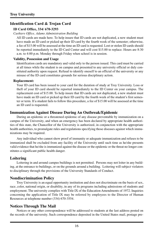## **Identification Card & Trojan Card**

#### **ID Card Office, 334/ 670-3293**

#### *Cashiers Office, Adams Administration Building*

All ID cards are made here. To help insure that ID cards are not duplicated, a new student must have made an ID card or picked up their ID card by the fourth week of the semester; otherwise, a fee of \$15.00 will be assessed at the time an ID card is requested. Lost or stolen ID cards should be reported immediately to the ID Card Center and will cost \$15.00 to replace. Hours are 8:30 a.m. to 4:00 p.m. Monday through Friday when school is in session.

#### **Validity, Possession and Usage**

Identification cards are mandatory and valid only to the person issued. This card must be carried at all times while the student is on campus and presented to any university official or duly constituted authority upon request. Refusal to identify oneself to an official of the university or any misuse of the ID card constitutes grounds for serious disciplinary action.

#### **Replacement:**

Your ID card has been issued to your card for the duration of study at Troy University. Loss or theft of your ID card should be reported immediately to the ID Center on your campus. The replacement cost of \$15.00. To help insure that ID cards are not duplicated, a new student must have made an ID card or picked up their ID card by the fourth week of the student's first semester or term. If a student fails to follow this procedure, a fee of \$15.00 will be assessed at the time an ID card is requested.

#### **Immunization Against Disease During An Outbreak/Epidemic**

During an epidemic or a threatened epidemic of any disease preventable by immunization on a campus of the University, and when an emergency has been declared by appropriate health authorities of this state, the Chancellor of the University is authorized, in conjunction with the appropriate health authorities, to promulgate rules and regulations specifying those diseases against which immunizations may be required.

Any individual who cannot show proof of immunity or adequate immunization and refuses to be immunized shall be excluded from any facility of the University until such time as he/she presents valid evidence that he/she is immunized against the disease or the epidemic or the threat no longer constitutes a significant public health danger.

#### **Loitering**

Loitering in and around campus buildings is not permitted. Persons may not loiter in any building, at the entrance to buildings, or on the grounds around a building. Loitering will subject violators to disciplinary through the provisions of the University Standards of Conduct.

#### **Nondiscrimination Policy**

Troy University is an equal opportunity institution and does not discriminate on the basis of sex, race, color, national origin, or disability, in any of its programs including admissions of students and employment. The university complies with Title IX of the Education Amendments of 1972. Inquiries concerning the application of Title IX may be referred by employees to the Director of Human Resources at telephone number (334) 670-3554.

#### **Notices Through The Mail**

Notices or any other correspondence will be addressed to students at the last address posted on the records of the university. Such correspondence deposited in the United States mail, postage pre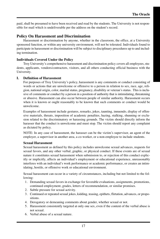paid, shall be presumed to have been received and read by the students. The University is not responsible for mail which is undeliverable per the address on the student's record.

## **Policy On Harassment and Discrimination**

Harassment or discrimination by anyone, whether in the classroom, the office, at a University sponsored function, or within any university environment, will not be tolerated. Individuals found to participate in harassment or discrimination will be subject to disciplinary procedures up to and including termination.

#### **Individuals Covered Under the Policy**

Troy University's comprehensive harassment and discrimination policy covers all employees, students, applicants, vendors/contractors, visitors, and all others conducting official business with the University.

#### **I. Definition of Harassment**

For purposes of Troy University's policy, harassment is any comments or conduct consisting of words or actions that are unwelcome or offensive to a person in relation to sex, race, age, religion, national origin, color, marital status, pregnancy, disability or veteran's status. This is inclusive of comments or conduct by a person in a position of authority that is intimidating, threatening or abusive. Harassment can also occur between people of similar authority. Harassment occurs when it is known or ought reasonably to be known that such comments or conduct would be unwelcome.

Examples of harassment include gestures, remarks, jokes, taunting, innuendo, display of offensive materials, threats, imposition of academic penalties, hazing, stalking, shunning or exclusion related to the discriminatory or harassing grounds. The victim should directly inform the harasser that the conduct is unwelcome and must stop. The victim should report any complaint as dictated by policy.

NOTE: In any case of harassment, the harasser can be the victim's supervisor, an agent of the employer, a supervisor in another area, a co-worker, or a non-employee to include students.

#### **Sexual Harassment**

Sexual harassment as defined by this policy includes unwelcome sexual advances, requests for sexual favors, and any other verbal, graphic, or physical conduct. If these events are of sexual nature it constitutes sexual harassment when submission to, or rejection of this conduct explicitly or implicitly, affects an individual's employment or educational experience, unreasonably interferes with an individual's work performance or academic performance, or creates an intimidating, hostile, or offensive work or educational environment.

Sexual harassment can occur in a variety of circumstances, including but not limited to the following:

- 1. Demanding sexual favors in exchange for favorable evaluations, assignments, promotions, continued employment, grades, letters of recommendation, or similar promises.
- 2. Subtle pressure for sexual activity.
- 3. Continued or repeated sexual jokes, kidding, teasing, epithets, flirtation, advances, or propositions.
- 4. Derogatory or demeaning comments about gender, whether sexual or not.
- 5. Harassment consistently targeted at only one sex, even if the content of the verbal abuse is not sexual.
- 6. Verbal abuse of a sexual nature.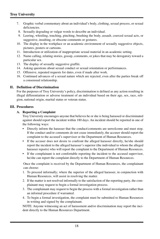- 7. Graphic verbal commentary about an individual's body, clothing, sexual process, or sexual deficiencies.
- 8. Sexually degrading or vulgar words to describe an individual.
- 9. Leering, whistling, touching, pinching, brushing the body, assault, coerced sexual acts, or suggestive, insulting, or obscene comments or gestures.
- 10. The display in the workplace or an academic environment of sexually suggestive objects, pictures, posters or cartoons.
- 11. Introduction or utilization of inappropriate sexual material in an academic setting.
- 12. Name calling, relating stories, gossip, comments, or jokes that may be derogatory toward a particular sex.
- 13. The display of sexually suggestive graffiti.
- 14. Asking questions about sexual conduct or sexual orientation or performances.
- 15. Offensive, repeated requests for dates, even if made after work.
- 16. Continued advances of a sexual nature which are rejected, even after the parties break off a consensual relationship.

#### **II. Definition of Discrimination**

For the purposes of Troy University's policy, discrimination is defined as any action resulting in illegal differentiation or adverse treatment of an individual based on their age, sex, race, religion, national origin, marital status or veteran status.

#### **III. Procedures**

#### **A. Reporting a Complaint**

Troy University encourages anyone that believes he or she is being harassed or discriminated against should report the incident within 180 days. An incident should be reported in one of the following ways:

- Directly inform the harasser that the conduct/comments are unwelcome and must stop. If the conduct and/or comments do not cease immediately, the accuser should report the complaint to the accused's supervisor or the Department of Human Resources.
- If the accuser does not desire to confront the alleged harasser directly, he/she should report the incident to the alleged harasser's superior (the individual to whom the alleged harasser reports) who will report the complaint to the Department of Human Resources.
- If the complainant is not comfortable reporting the incident to the accused supervisor, he/she can report the complaint directly to the Department of Human Resources.

Once the complaint is received by the Department of Human Resources, the complainant can choose:

- 1. To proceed informally; where the superior of the alleged harasser, in conjunction with Human Resources, will assist in resolving the matter.
- 2. If the matter is not resolved informally to the satisfaction of the reporting party, the complainant may request to begin a formal investigation process.
- 3. The complainant may request to begin the process with a formal investigation rather than an informal procedure if warranted.
- 4. To begin a formal investigation, the complaint must be submitted to Human Resources in writing and signed by the complainant.

NOTE: Anyone witnessing an act of harassment and/or discrimination may report the incident directly to the Human Resources Department.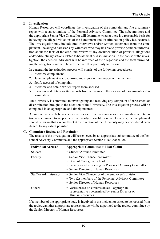#### **B. Investigation**

Human Resources will coordinate the investigation of the complaint and file a summary report with a subcommittee of the Personal Advisory Committee. The subcommittee and the appropriate Senior Vice Chancellor will determine whether there is a reasonable basis for believing the alleged violations of the harassment and discrimination policy has occurred. The investigation may include oral interviews and/or written statements from the complainant, the alleged harasser, any witnesses who may be able to provide pertinent information about the facts of the case, and review of any documentation of previous allegations and/or disciplinary actions related to harassment or discrimination. In the course of the investigation, the accused individual will be informed of the allegations and the facts surrounding the allegations and will be afforded a full opportunity to respond.

In general, the investigation process will consist of the following procedures:

- 1. Interview complainant.
- 2. Have complainant read, approve, and sign a written report of the incident.
- 3. Notify accused of complaint.
- 4. Interview and obtain written report from accused.
- 5. Interview and obtain written reports from witnesses to the incident of harassment or discrimination.

The University is committed to investigating and resolving any complaint of harassment or discrimination brought to the attention of the University. The investigation process will be completed in an appropriate and timely manner.

An individual who believes he or she is a victim of harassment or discrimination or retaliation is encouraged to keep a record of the objectionable conduct. However, the complainant should be aware that a record kept at the direction of the University may be considered privileged, to any extent possible.

#### **C. Committee Review and Resolution**

The results of the investigation will be reviewed by an appropriate subcommittee of the Personnel Advisory Committee and the appropriate Senior Vice Chancellor.

| <b>Individual Accused</b> | <b>Appropriate Committee to Hear Claim</b>                                                                                                                          |
|---------------------------|---------------------------------------------------------------------------------------------------------------------------------------------------------------------|
| Student                   | • Student Affairs Committee                                                                                                                                         |
| Faculty                   | • Senior Vice Chancellor/Provost<br>• Dean of College or School<br>• Faculty member serving on Personnel Advisory Committee<br>• Senior Director of Human Resources |
| Staff or Administrator    | • Senior Vice Chancellor of the employee's division<br>• Two (2) members of the Personnel Advisory Committee<br>• Senior Director of Human Resources                |
| <b>Others</b>             | • Varies based on circumstances – appropriate<br>representatives determined by Senior Director of<br>Human Resources                                                |

If a member of the appropriate body is involved in the incident or asked to be recused from the review, another appropriate representative will be appointed to the review committee by the Senior Director of Human Resources.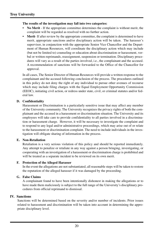#### **The results of the investigation may fall into two categories:**

- **No Merit** If the appropriate committee determines the complaint is without merit, the complaint will be regarded as resolved with no further action.
- **Merit** If after review by the appropriate committee, the complaint is determined to have merit, appropriate sanctions and/or disciplinary action will be taken. The harasser's supervisor, in conjunction with the appropriate Senior Vice Chancellor and the Department of Human Resources, will coordinate the disciplinary action which may include (but not be limited to) counseling or education about discrimination or harassment, verbal or written reprimands, reassignment, suspension or termination. Disciplinary procedures will vary as a result of the parties involved, i.e., the complainant and the accused. A recommendation of sanctions will be forwarded to the Office of the Chancellor for approval.

In all cases, The Senior Director of Human Resources will provide a written response to the complainant and the accused following conclusion of the process. The procedures outlined in this policy do not deny the right of any individual to pursue other avenues of recourse which may include filing charges with the Equal Employment Opportunity Commission (EEOC), initiating civil action, or redress under state, civil, or criminal statutes and/or federal law.

#### **D. Confidentiality**

Harassment or Discrimination is a particularly sensitive issue that may affect any member of the University community. The University recognizes the privacy rights of both the complainant and the accused in a harassment or discrimination situation. The University and its employees will take care to provide confidentiality to all parties involved in a discrimination or harassment charge. However, it will be necessary to investigate the complaint and to respond to any legal and/or administrative proceedings, which may arise out of or relate to the harassment or discrimination complaint. The need to include individuals in the investigation will obligate sharing of information in the process.

#### **E. Non-Retaliation**

Retaliation is a very serious violation of this policy and should be reported immediately. Any attempt to penalize or retaliate in any way against a person bringing, investigating, or cooperating with an investigation of a harassment or discrimination charge is prohibited and will be treated as a separate incident to be reviewed on its own merit.

#### **F. Protection of the Alleged Harasser**

In the event the allegations are not substantiated, all reasonable steps will be taken to restore the reputation of the alleged harasser if it was damaged by the proceeding.

#### **G. False Claims**

A complainant found to have been intentionally dishonest in making the allegations or to have made them maliciously is subject to the full range of the University's disciplinary procedures from official reprimand to dismissal.

#### **IV. Sanctions**

Sanctions will be determined based on the severity and/or number of incidents. Prior issues related to harassment and discrimination will be taken into account in determining the appropriate disciplinary level.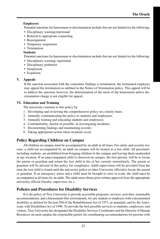#### **Employees**

Potential sanctions for harassment or discrimination include (but are not limited to) the following:

- Disciplinary warning/reprimand
- Referral to appropriate counseling
- Reassignment
- Temporary suspension
- Termination

#### **Students**

Potential sanctions for harassment or discrimination include (but are not limited to) the following:

- Disciplinary warning/ reprimand
- Disciplinary probation
- Suspension
- Expulsion

## **V. Appeals**

If the sanction associated with the committee findings is termination, the terminated employee may appeal the termination as outlined in the Notice of Termination policy. This appeal will be to address the sanction; however, the determination of the merit of the harassment and/or discrimination charge is not eligible for appeal.

#### **VI. Education and Training**

The university commits to this policy by:

- 1. Developing and reviewing the comprehensive policy on a timely basis;
- 2. Annually communicating the policy to students and employees;
- 3. Annually training and educating students and employees;
- 4. Confidentiality, insofar as possible, in investigating incidents;
- 5. Documenting findings and maintaining records;
- 6. Taking appropriate action when incidents occur.

## **Policy Regarding Children on Campus**

All children on campus must be accompanied by an adult at all times. For safety and security reasons, a child not accompanied by an adult on campus will be treated as a lost child. All personnel, including students, are prohibited from bringing children to the campus and leaving them unattended at any location. If an unaccompanied child is observed on campus, the first priority will be to locate the parent or guardian and return the lost child to his or her custody immediately. The parent or guardian will be advised of this policy for compliance. Adult supervision will be provided from the time the lost child is found until the university police or other University official(s) locate the parent or guardian. If an emergency arises and a child must be brought to class or work, the child must be accompanied at all times by an adult. The adult must obtain prior written approval from the appropriate university official (faculty, supervisor, etc.).

## **Policies and Procedures for Disability Services**

It is the policy of Troy University to provide accessible programs, services, activities, reasonable accommodations, and a harassment-free environment, for any student or employee with a documented disability as defined by Section 504 of the Rehabilitation Act of 1973, as amended, and by the Americans with Disabilities Act of 1990. To provide the best possible services to students, employees, and visitors, Troy University has designated the Disability Services Coordinator and the Director of Human Resources on each campus the responsible parties for coordinating accommodations for persons with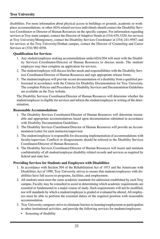disabilities. For more information about physical access to buildings or grounds, academic or workplace accommodations, or other ADA related services individuals should contact the Disability Services Coordinator or Director of Human Resources on the specific campus. For information regarding services at Troy main campus, contact the Director of Adaptive Needs at (334) 670-3220; for services at Troy University/Montgomery, contact the Disability Services Coordinator at (334) 241-9587; and for services at the Troy University/Dothan campus, contact the Director of Counseling and Career Services at (334) 983-6556.

#### **Qualification for Services**

- 1. Any student/employee seeking accommodations underADA/504 will meet with the Disability Services Coordinator/Director of Human Resources to discuss needs. The student/ employee may then complete an application for services.
- 2. The student/employee will discuss his/her needs and responsibilities with the Disability Services Coordinator/Director of Human Resources and sign appropriate release forms.
- 3. The student/employee will provide recent documentation of a disability from a qualified professional in accordance with the Criteria for Disability Documentation for Troy University. The complete Policies and Procedures for Disability Services and Documentation Guidelines are available on the Troy website.

The Disability Services Coordinator/Director of Human Resources will determine whether the student/employee is eligible for services and inform the student/employee in writing of the determination.

#### **Reasonable Accommodations**

- 1. The Disability Services Coordinator/Director of Human Resources will determine reasonable and appropriate accommodations based upon documentation submitted in accordance with Disability Documentation Guidelines.
- 2. The Disability Services Coordinator/Director of Human Resources will provide an Accommodation Letter for each instructor/supervisor.
- 3. The student/employee is responsible for discussing implementation of accommodations with faculty/supervisor. Conflicts or disagreements should be referred to the Disability Services Coordinator/Director of Human Resources.
- 4. The Disability Services Coordinator/Director of Human Resources will insure and maintain confidentiality of all student/employee disability related records and services as required by federal and state law.

#### **Providing Services for Students and Employees with Disabilities**

- 1. In accordance with Section 504 of the Rehabilitation Act of 1973 and the Americans with Disabilities Act of 1990, Troy University strives to ensure that students/employees with disabilities have full access to programs, facilities, and employment.
- 2. All students must meet the same academic standards for admission established by each Troy campus. Faculty may be consulted to assist in determining which academic requirements are essential or fundamental to a major course of study. Such requirements will not be modified, nor will standards by which a student/employee is graded or evaluated be altered. All employees must be able to perform the essential duties of the required position with reasonable accommodation.
- 3. Troy University campuses strive to eliminate barriers to learning/employment or participation in other institutional activities, and provide the following services for students/employees:
	- Screening of disability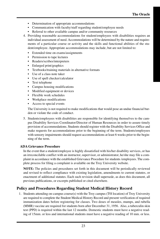- Determination of appropriate accommodations
- Communication with faculty/staff regarding student/employee needs
- Referral to other available campus and/or community resources
- 4. Providing reasonable accommodations for student/employees with disabilities requires an individual assessment of need. Accommodations will be determined by the nature and requirements of a particular course or activity and the skills and functional abilities of the student/employee. Appropriate accommodations may include, but are not limited to:
	- Extended time on exams/assignments
	- Permission to tape lectures
	- Readers/scribes/interpreters
	- Enlarged print/graphics
	- Textbooks/training materials in alternative formats
	- Use of a class note taker
	- Use of spell checker/calculator
	- Text telephone
	- Campus housing modifications
	- Modified equipment or devices
	- Flexible work schedules
	- Workplace modifications
	- Access to special events

The University is not required to make modifications that would pose an undue financial burden or violate the code of conduct.

5. Students/employees with disabilities are responsible for identifying themselves to the campus Disability Services Coordinator/Director of Human Resources in order to assure timely provision of accommodations. Students should register with the Disability Services Office and make requests for accommodations prior to the beginning of the term. Students/employees with sensory impairments should request accommodations at least 6 weeks prior to the beginning of the term.

#### **ADA Grievance Procedure**

In the event that a student/employee is highly dissatisfied with his/her disability services, or has an irreconcilable conflict with an instructor, supervisor, or administrator, he/she may file a complaint in accordance with the established Grievance Procedure for students /employees. The complete process for filing a complaint is available on the Troy University website.

**NOTE:** The policies and procedures set forth in this document will be periodically reviewed and revised to reflect compliance with existing legislation, amendments to current statutes, or enactment of additional statutes. Each such revision shall supersede, as does this document, all previous publications, or excerpts published or cited elsewhere.

## **Policy and Procedures Regarding Student Medical History Record**

1. Students attending on-campus course(s) with the Troy campus (T0l location) of Troy University are required to complete the Student Medical History Record and present verification of required immunization dates before registering for classes. Two doses of measles, mumps, and rubella (MMR) vaccine are required for students born after December 31, 1956. Also, a tuberculin skin test (PPD) is required within the last 12 months. Domestic students must have a negative reading of 15mm. or less and international students must have a negative reading of 10 mm. or less.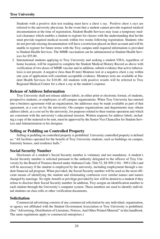Students with a positive skin test reading must have a chest x ray. Positive chest x rays are referred to the university physician. In the event that a student cannot provide required medical documentation at the time of registration, Student Health Services may issue a temporary medical clearance which enables a student to register for classes with the understanding that he/she must provide required medical records within two weeks following registration. Students who do not provide missing documentation will have a restriction placed on their account and will be unable to register for future terms with the Troy campus until required information is provided to Student Health Services. The MMR vaccination can be administered at Student Health Services for \$55.00.

2. International students applying to Troy University and seeking a student VISA, regardless of home location, will be required to complete the Student Medical History Record as above with verification of two doses of MMR vaccine and in addition, submit evidence that active tuberculosis is not present. A negative (less than 10 mm) Monteux test or a negative chest x-ray within one year of application will constitute acceptable evidence. Monteux tests are available at Student Health Services for \$18.00. All students with positive results will be referred to Troy Regional Medical Center for a chest x-ray at the student's expense.

#### **Release of Address Information**

Troy University shall not release address labels, in either print or electronic format, of students, prospective students, or employees, to off-campus organizations. When Troy University has entered into a business agreement with an organization, the addresses may be made available as part of that agreement, at a cost set by the university. On-campus organizations and departments may obtain address labels, at a cost set by the university, for purposes related to their routine operation and which are consistent with the university's educational mission. Written requests for address labels, including a copy of the material to be sent, must be approved by the Senior Vice Chancellor for Student Services and Administration or his designee.

## **Selling or Peddling on Controlled Property**

Selling or peddling on controlled property is prohibited. University controlled property is defined as; "All facilities operated for the benefit of Troy University students, such as buildings on campus, fraternity houses, and residence halls."

#### **Social Security Number**

Disclosure of a student's Social Security number is voluntary and not mandatory. A student's Social Security number is solicited pursuant to the authority delegated to the officers of Troy University by the Board of Trustees thereof under Alabama Code, Title 52, SS 509 (116) - 509 (128c) and will be necessary if the student is employed by the university, including employment through a student financial aid program. When provided, the Social Security number will be used as the most efficient means of identifying the student and eliminating confusion over similar names and names changed by marriage. No right, benefit or privilege provided by law will be denied to a student if they refuse to disclose their Social Security number. In addition, Troy assigns an identification number to each student through the University's computer system. These numbers are used to identify individual students on class rolls or other verification documents.

#### **Solicitation**

Commercial advertising consists of any commercial solicitation by any individual, organization, or agency not affiliated with the Student Government Association or Troy University is prohibited. (See "Advertising, Distribution of Literature, Notices, And Other Printed Material" in this handbook. The same regulations apply to commercial enterprises.)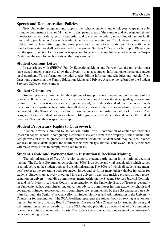## **Speech and Demonstration Policies**

Troy University recognizes and supports the rights of students and employees to speak in public and to demonstrate in a lawful manner in designated areas of the campus and at designated times. In order to maintain safety, security and order, and to ensure the orderly scheduling of campus facilities, and to preclude conflicts with academic and curricular activities, Troy University reserves the right to limit such activities regarding time, place, and manner of such activities. The specific location for these activities shall be determined by the Student Services Office on each campus. Please consult the specific section for the campus in question. In general, the amphitheater adjacent to the Trojan Center maybe used for such events on the Troy campus.

## **Student Consent Letter**

In accordance with (FERPA) Family Educational Rights and Privacy Act, the university must have signed student consent to allow the university to release student information to the parents and/or legal guardians. This information includes grades, billing information, schedules and judicial files. Questions concerning the Family Education Rights and Privacy Act may be referred to the Student Services Office on each campus.

## **Student Grievances**

Student grievances are handled through one of two procedures depending on the nature of the grievance. If the matter is academic in nature, the student should follow the stated grade grievance procedures. If the matter is non-academic or grade related, the student should address the concern with the appropriate department head. After that, all student grievances that are non-academic related should be brought to the Senior Vice Chancellor for Student Services and Administration's Office or his/her designee. Should a student not know where to file a grievance, the student should contact the Student Services Office on their respective campus.

## **Student Proprietary Rights to Coursework**

Academic work submitted by students in partial or full completion of course requirements (research papers, reports, photography, electronic discs, etc.) remain the property of the student. Student permission must be granted if faculty members decide that student work may be used in other venues. Should students request the return of their previously submitted coursework, faculty members will make every effort to comply with such requests.

## **Student's Role and Participation in Institutional Decision Making**

The administration of Troy University supports student participation in institutional decision making. The Student Government Association (SGA) is an active and vital organization which serves as a link between the student body and the administration. The SGA (of which all students are members) serves as the governing body for student issues and performs many other valuable functions for students. Students are actively integrated into the university decision-making process through representation on university standing committees, membership on the Student Services Judicial Committee and the University Activities Council, representation on the University Board of Trustees, generally on University ad hoc committees, and on various advisory committees in some academic schools and departments. Student representatives to committees are recommended by the SGA and names are submitted through the Senior Vice Chancellor for Student Services and Administration to the University Chancellor for appointment. The SGA President represents the student body by serving as a nonvoting member of the University Board of Trustees. The Senior Vice Chancellor for Student Services and Administration serves as co-advisor to the SGA, thereby providing an open channel of communication to the administration on a daily basis. The student voice is an active component of the university's decision-making process.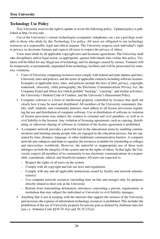## **Technology Use Policy**

Troy University reserves the right to update or revise the following policy. Updated policy is published at http://it.troy.edu.

Use of the University's various technologies (computers, telephones, etc.) are a privilege available to those who abide by this Technology Use policy. All users are obligated to use technology resources in a responsible, legal and ethical manner. The University respects each individual's right to privacy in electronic formats and expects all users to respect the privacy of others.

Users must abide by all applicable copyright laws and licensure agreements. The University shall take disciplinary and/or legal action, as appropriate, against individuals who violate this policy. Violators will be billed for any illegal use of technology and for damages caused by misuse. Violators will be temporarily or permanently suspended from technology facilities and will be prosecuted for statutory violations.

- Users of University computing resources must comply with federal and state statutes and laws, University rules and policies, and the terms of applicable contracts including software licenses. Examples of applicable laws, rules, and policies include the laws of libel, privacy, copyright, trademark, obscenity, child pornography, the Electronic Communications Privacy Act, the Computer Fraud and Abuse Act (which prohibit "hacking", "cracking", and similar activities), the University's Student Code of Conduct, and the University's Harassment Policy.
- Computer software is a form of intellectual property controlled by licenses that spell out clearly how it may be used and distributed. All members of the University community (faculty, staff, students, and community patrons), must adhere to all license provisions regulating the use and distribution of computer software. Use or distribution of software in violation of license provisions may subject the violator to criminal and civil penalties, as well as to civil liability to the licensor. Any violation of licensing agreements, such as copying, distributing, or otherwise sharing of software in violation of the license agreement is prohibited.
- A computer network provides a powerful tool in the educational arena by enabling communications and learning among people who are engaged in the education process, but are separated by time, distance, language, or other traditional communication barriers. A computer network also enhances and helps to equalize the resources available for scholarship at colleges and universities worldwide. However, the unlawful or inappropriate use of these tools infringes on both the integrity of the system and on the rights of others. In that light, the University expects all members of its community to use electronic communications in a responsible, considerate, ethical, and beneficial manner. All users are expected to:
	- Respect the rights of all users on the system
	- Comply with all copyright and fair use laws and regulations
	- Comply with any and all applicable instructions issued by faculty and network administrator(s)
	- Use computer network resources (including time on-line and storage) only for purposes directly related to their role at the University
	- Refrain from transmitting defamatory utterances concerning a person, organization, or institution that may subject the individual or University to civil liability damages.
- Anything that is not in keeping with the interests that support the mission of the University and increases the expense of information technology resources is prohibited. This includes the prohibition of the use of University property for private gain as defined by Alabama state law [see i.e. Alabama Code §§36-25-5(a) and 36-25-27(a)].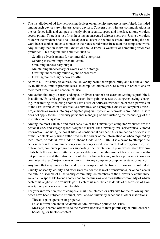- The installation of ad-hoc networking devices on university property is prohibited. Included among such devices are wireless access devices. Concern over wireless communications in the residence halls and campus is mostly about security, speed and interface among wireless access points. There is a lot of risk in using an unsecured wireless network. Using a wireless router in the residence halls has already caused users to become restricted from using the network because other students connect to their unsecured router Instead of the campus network. Any activity that an individual knows or should know is wasteful of computing resources prohibited. This may include activities such as:
	- Sending advertisements for commercial enterprises
	- Sending mass mailings or chain letters
	- Obtaining unnecessary output
	- Maintaining unnecessary or excessive file storage
	- Creating unnecessary multiple jobs or processes
	- Creating unnecessary network traffic
- As with all University resources, the University bears the responsibility and has the authority to allocate, limit or prohibit access to computer and network resources in order to ensure their most effective and economical use.
- Any action that may destroy, endanger, or divert another's research or writing is prohibited. In addition, University policy prohibits users from gaining access to, using, reviewing, changing, transmitting or deleting another user's files or software without the express permission of the user. Introduction of destructive software such as programs known as computer viruses, Trojan horse or worms into any computer, program, system or network is prohibited. "User" does not apply to the University personnel managing or administering the technology of the institution or the system.
- Among the most valuable and most sensitive of the University's computer resources are the personal work and storage spaces assigned to users. The University treats electronically stored information, including personal files, as confidential and permits examination or disclosure of their contents only when authorized by the owner of the information or when required by local, state, or federal law. Under Alabama Code §13A-8-102, it is a crime to attempt or to achieve access to, communication, examination, or modification of, to destroy, disclose, use, or take data, computer programs or supporting documentation. In plain words, state law prohibits both the use, transmittal, change, or deletion of another user's files or software without permission and the introduction of destructive software, such as programs known as computer viruses, Trojan horses or worms into any computer, computer system, or network.
- Anything that may hinder a free and open atmosphere of electronic discussion is prohibited.
- Cruelty, obscenity, crudity, and offensiveness, for the sake of offensiveness, have no place in the public discourse of a University community. As members of the University community, we are all responsible to one another and to the thinking and thoughtful community of which each of us ought to be a valuable part. Each of us must be considerate of other users of University computer resources and facilities.
- For your information, use of campus e-mail, the Internet, or networks for the following purposes have been subject to criminal, civil, and/or university sanctions at other institutions:
	- Threats against persons or property;
	- False information about academic or administrative policies or issues
	- Messages deemed offensive to the receiver because of their pointlessly hateful, obscene, harassing, or libelous content.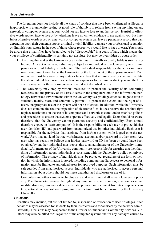The foregoing does not include all the kinds of conduct that have been challenged as illegal or inappropriate in a university setting. A good rule of thumb is to refrain from saying anything on any network or computer system that you would not say face to face to another person. Hurtful or offensive words spoken face to face or by telephone leave no written evidence to use against you, but hurtful or offensive words typed on a network or computer system can leave a permanent record that can, depending upon their content, support criminal or civil liability, damage your professional reputation or diminish your stature in the eyes of those whose respect you would like to keep or earn. You should be aware that e-mail files have been ruled to be "discoverable" in a court of law, which means that your privilege of confidentiality is certainly not absolute, but may be overridden by court order.

- 1. Anything that makes the University or an individual criminally or civilly liable is strictly prohibited. Any act or omission that may subject an individual or the University to criminal penalties or civil liability is prohibited. The individual responsible for the act or omission may be required to reimburse the University for the full amount of the expense incurred. Each individual must be aware of any state or federal law that imposes civil or criminal liability. If state or federal law prescribes certain consequences for certain conduct, you and the University may suffer those consequences, even if not described herein.
- 2. The University may employ various measures to protect the security of its computing resources and the privacy of its users. Access to the computers and to the information technology networked environment within the University is a privilege extended in good faith to students, faculty, staff, and community patrons. To protect the system and the right of all users, inappropriate use of the system will not be tolerated. In addition, while the University does not condone the routine inspection of electronic files, it does reserve the absolute right to place restrictions on the use of its computers and network systems and to establish policies and procedures to ensure that systems operate effectively and legally. Users should be aware, therefore, that the University cannot guarantee security and confidentiality. Users should therefore engage in "safe computing". It is the responsibility of each user to protect his/her user identifier (ID) and password from unauthorized use by other individuals. Each user is responsible for the activities that originate from his/her system while logged onto the network. Users may not lend their network/Internet account and/or password to other users. Any user who has reason to believe that his/her password or ID has been or could have been obtained by another individual must report this to an administrator of the University immediately. All members of the University community are responsible for ensuring that their handling of information about individuals is consistent with the University's policy on privacy of information. The privacy of individuals must be protected, regardless of the form or location in which the information is stored, including computer media. Access to personal information must be limited to authorized users for approved purposes. Such information must be safeguarded from unauthorized access. Individuals who are authorized to access personal information about others should not make unauthorized disclosure or use of it.
- 3. Computers and other campus technology are and at all times shall remain University property. The University reserves the right at any time, in its sole discretion, to access, examine, modify, disclose, remove or delete any data, program or document from its computers, system, network or any software program. Such action must be authorized by the University Chancellor.

#### **Violations**

Penalties may include, but are not limited to, suspension or revocation of user privileges. Such penalties may be assessed for students by their instructors and for all users by the network administrator(s). Decisions may be appealed to the Director of Student and Community Services. Violators may also be billed for illegal use of the computer systems and for any damages caused by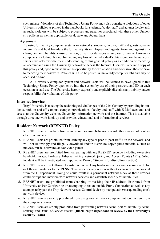such misuse. Violations of this Technology Usage Policy may also constitute violations of other University policies as printed in the handbooks for students, faculty, staff, and adjunct faculty and, as such, violators will be subject to processes and penalties associated with these other University policies as well as applicable local, state and federal laws.

#### **Agreement**

By using University computer systems or networks, students, faculty, staff and guests agree to indemnify and hold harmless the University, its employees and agents, from and against any claim, demand, liability, cause of action, or suit for damages arising out of use of University computers, including, but not limited to, any loss of the individual's data stored on the network. Users must acknowledge their understanding of this general policy as a condition of receiving an account and using the University network to access the Internet. Users will receive a copy of this policy and, upon request, have the opportunity for explanation and discussion thereof prior to receiving their password. Policies will also be posted in University computer labs and may be accessed on-line.

All University computer system and network users will be deemed to have agreed to this Technology Usage Policy upon entry into the system by use of their password and ID on each occasion of said use. The University hereby expressly and explicitly disclaims any liability and/or responsibility for violations of this policy.

#### **Internet Service**

Troy University is meeting the technological challenges of the 21st Century by providing its students, both on and off-campus, campus organizations, faculty and staff with E-Mail accounts and access to the University website, University information network and the Internet. This is available through direct network hook-up and provides educational and informational services.

## **Resident Network (RESNET) Policy**

- 1. RESNET users will refrain from abusive or harassing behavior toward others via email or other electronic means.
- 2. RESNET users are prohibited from utilizing any type of peer-to-peer traffic on the network, and will not knowingly and illegally download and/or distribute copyrighted materials, such as movies, music, software, and/or video games.
- 3. RESNET users are prohibited from tampering with any RESNET resource including excessive bandwidth usage, hardware, Ethernet wiring, network jacks, and Access Points (AP's). (Also, incident will be investigated and reported to Dean of Students for disciplinary action)
- 4. RESNET users are not allowed to install or connect any hardware such as wireless routers, hubs, or Ethernet switches to the RESNET network for any reason without express written consent from the IT department. Doing so could result in a permanent network block as these devices could disrupt and interfere with network services and establish security vulnerabilities.
- 5. RESNET users are prohibited from changing or masking their IP address distributed from University and/or Configuring or attempting to set an outside Proxy Connection as well as any attempts to bypass the Troy Network Access Control device by manipulating/masquerading one's network device.
- 6. RESNET users are strictly prohibited from using another user's computer without consent from the computers owner.
- 7. RESNET users are strictly prohibited from performing network scans, port vulnerability scans, sniffing, and Denial of Service attacks. **(Block length dependant on review by the University's Security Team)**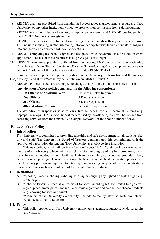- 8. RESNET users are prohibited from unauthorized access to local and/or remote resources at Troy University, or any other institution, without express written permission from said institution.
- 9. RESNET users are limited to 1 desktop/laptop computer system and 1 PDA/Phone logged into the RESNET Network at any given time.
- 10. RESNET users are strictly prohibited from sharing user credentials with any user, for any reason. This includes requesting another user to log into your computer with their credentials, or logging into another user's computer with your credentials.
- 11. RESNET computing has been designed and designated with Academics as a first and foremost application. The use of these resources is a "privilege", not a "right".
- 12. RESNET users are expressly prohibited from connecting ANY device other than a Gaming Console, (Wii, Xbox 360, or Playstation 3) to the "Dorm-Gaming-Console" protected wireless network. Violation of this policy is an automatic 3 day RESNET block.

Some of the above polices are previously stated in the University's Information and Technology Usage Policy listed at http://www.troy.edu/epolicy/manuals/800.htm#802.

RESNET Policies listed here are subject to change at any time without prior notice to users.

| Any violation of these policies can result in the following suspensions: |                          |
|--------------------------------------------------------------------------|--------------------------|
| <b>1st Offense of Academic Year</b>                                      | Helpdesk Ticket Required |
| 2nd Offense                                                              | 3 Days Suspension        |
| 3rd Offense                                                              | 5 Days Suspension        |
| <b>4th and Above Offense</b>                                             | Semester Suspension      |

The definition of suspension is as follows: Internet access for ALL personal systems (e.g. Laptops, Desktops, PDA, and/or Phones) that are used by the offending user, will be blocked from accessing services from the University's Campus Network for the above number of days.

#### **Tobacco Free Policy**

#### **I. Introduction**

Troy University is committed to providing a healthy and safe environment for all students, faculty and staff. The University's Board of Trustees demonstrated this commitment with the approval of a resolution designating Troy University as a tobacco-free institution.

This new policy, which will go into effect on August 13, 2012, will prohibit smoking and the use of all tobacco products within all University buildings, parking lots, structures, walkways, indoor and outdoor athletic facilities, University vehicles, worksites and grounds and any vehicles on campus regardless of ownership. The health care and health education programs of the University perform an important function by demonstrating and promoting healthy lifestyles through activities such as curtailment of the use of tobacco products.

#### **II. Definitions**

- A. "Smoking" means inhaling, exhaling, burning or carrying any lighted or heated cigar, cigarette or pipe.
- B. "Tobacco Products" such as all forms of tobacco, including but not limited to cigarettes, cigars, pipes, water pipes (hookah), electronic cigarettes and smokeless tobacco products (e.g. chewing tobacco and snuff).
- C. "Members of the University Community" include its faculty, staff, students, volunteers, vendors, customers and visitors.

#### **III. Policy**

A. This policy applies to all Troy University employees, students, contractors, vendors, recruits and visitors.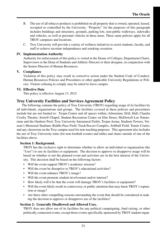- B. The use of all tobacco products is prohibited on all property that is owned, operated, leased, occupied or controlled by the University. "Property" for the purposes of this paragraph includes buildings and structures, grounds, parking lots, non-public walkways, sidewalks and vehicles, as well as personal vehicles in these areas. These same policies apply for all TROY campuses and locations.
- C. Troy University will provide a variety of wellness initiatives to assist students, faculty, and staff to achieve nicotine independence and smoking cessation.

#### **IV. Implementation Authority**

Authority for enforcement of this policy is vested in the Deans of Colleges, Department Chairs, Supervisors or the Dean of Students and Athletic Director or their designee, in conjunction with the Senior Director of Human Resources.

#### **V. Compliance**

Violation of this policy may result in corrective action under the Student Code of Conduct, Human Resources Policies and Procedures or other applicable University Regulations or Policies. Visitors refusing to comply may be asked to leave campus.

#### **VI. Effective Date**

This policy is effective August 13, 2012

#### **Troy University Facilities and Services Agreement Policy**

The following contains the policy of Troy University (TROY) regarding usage of its facilities by all individuals, organizations and groups. The facilities covered in these policies and procedures include but are not limited to: Trojan Center and all spaces within; Arboretum; HAL Hall; Claudia Crosby Theater; Sorrell Chapel; Student Recreation Center on Elm Street; McDowell Lee Natatorium and the Outdoor Pool; Troy University Intramural Fields; Trojan Arena; Stadium Towers; Veteran's Memorial Stadium; Riddle-Pace Field; Track/Soccer Complex, Softball Field; Tennis Courts; and any classroom on the Troy campus used for non-teaching purposes. This agreement also includes the use of Troy University tents (for non-football events) and tables and chairs outside of one of the facilities above.

#### **Section 1: Background.**

TROY has the exclusive right to determine whether to allow an individual or organization (the "User") to use its facilities or equipment. The decision to approve or disapprove usage will be based on whether or not the planned event and activities are in the best interest of the University. This decision shall be based on the following factors:

- Will the event support TROY's academic mission?
- Will the event be disruptive to TROY's educational activities?
- Will the event enhance TROY's image?
- Will the event promote student involvement and/or interest?
- How likely will it be that the event will damage TROY's facilities or equipment?
- Will the event likely result in controversy or public attention that may harm TROY's reputation or image?
- Are there other compelling reasons surrounding the event that should be considered in making the decision to approve or disapprove use of the facilities?

#### **Section 2: Generally Disallowed and Allowed Uses.**

TROY does not allow use of its facilities for any political campaigning, fund raising, or other politically connected events, except those events specifically sponsored by TROY student organ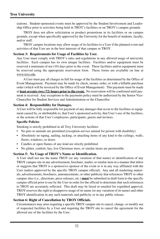izations. Student-sponsored events must be approved by the Student Involvement and Leadership Office prior to activities being held in TROY's facilities or on TROY's campus grounds.

TROY does not allow solicitation or product promotions in its facilities or on campus grounds, except when specifically approved by the University for the benefit of students, faculty, and/or staff.

TROY campus locations may allow usage of its facilities to a User if the planned event and activities of that User are in the best interests of that campus or TROY.

#### **Section 3: Requirements for Usage of Facilities by User.**

Any User must comply with TROY's rules and regulations in any allowed usage of university facilities. Each campus has its own unique facilities. Facilities and/or equipment must be reserved a minimum of ten (10) days prior to the event. These facilities and/or equipment must be reserved using the appropriate reservation form. These forms are available on line at www.troy.edu.

A User must pay all charges in full for usage of the facilities as determined by the Office of Event Management. Payment may be made by check, money order, or with a billable purchase order (which will be invoiced by the Office of Event Management). This payment must be made at **least seventy-two (72) hours prior to the event.** No reservation will be confirmed until payment is received. Any exceptions to the payments policy must be authorized by the Senior Vice-Chancellor for Student Services and Administration or the Chancellor.

#### **Section 4: Responsibility for Damages.**

A User will be fully responsible for payment of any damages that occur to the facilities or equipment caused by, or attributable to, that User's sponsored activity, that User's use of the facilities, or the actions of that User's employees, participants, guests and invitees.

#### **Specific Policies**

Smoking is strictly prohibited in all Troy University facilities

- No pets or animals are permitted (exception-service animal for person with disability)
- Absolutely no taping, nailing, tacking, or attaching items of any kind to the ceilings, walls, floors, windows, or doors
- Candles or open flames of any kind are strictly prohibited
- No glitter, confetti, hay, live Christmas trees, or similar items are permissible

#### **Section 5: No Usage of TROY's Name or Identification.**

A User shall not use the name TROY (or any variation of that name) or identification of any TROY campus site in any advertisement, brochure, mailer, or similar item in a manner that infers or suggests that TROY is a sponsor/co-sponsor of the event or is in any way affiliated with the User (unless approved by the specific TROY campus official). Any and all marketing materials, advertisements, brochures, announcements, or other publicity that references TROY or other campus sites (i.e., directions, press releases, etc.) **must** be submitted in draft form to the specific campus official prior to use by the User in order for the official to determine that such references to TROY are accurately reflected. This draft may be faxed or emailed for expedited approval. TROY reserves the right to disapprove usage of its name (or any variation of its name) and other TROY identification in any such materials and publicity or in any public release.

#### **Section 6: Right of Cancellation by TROY Officials.**

Circumstances may arise requiring a specific TROY campus site to cancel, change, or modify use of requested facilities by a User and requiring the TROY site to cancel the agreement for the allowed use of the facilities by the User.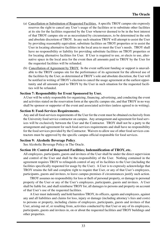- (a) Cancellation or Substitution of Requested Facilities. A specific TROY campus site expressly reserves the right to cancel any User's usage of the facilities or to substitute other facilities at its site for the facilities requested by the User whenever deemed to be in the best interest of that TROY campus site or as necessitated by circumstances, to be determined in the sole and absolute discretion of TROY. In any such situation TROY will attempt to assist the User by providing reasonably equivalent, substitute facilities on TROY properties or to assist the User in locating alternative facilities in the local area to meet the User's needs. TROY shall have no responsibility or liability for providing substitute facilities on TROY properties or for locating alternative facilities for User. If User is required to use, or elects to use, alternative space in the local area for the event then all amounts paid to TROY by the User for the requested facilities will be refunded.
- (b) Cancellation of Agreement by TROY. In the event sufficient funding or support is unavailable to the TROY campus site for the performance of its agreement for the allowed use of the facilities by the User, as determined at TROY's sole and absolute discretion, the User will be notified in writing of TROY's election to cancel the usage agreement at the earliest opportunity and all amounts paid to TROY by the User in such situation for the requested facilities will be refunded.

#### **Section 7: Responsibility for Event Sponsored by User.**

A User will be solely responsible for organizing, financing, advertising, and conducting the event and activities stated on the reservation form at the specific campus site, and that TROY in no way shall be sponsor or supporter of the event and associated activities (unless agreed to in writing).

#### **Section 8: Food-Services Requirements.**

Any and all food-services requirements of the User for the event must be obtained exclusively from the University food service contractor on campus. Any arrangement and agreement for food services will be exclusively between the User and the Contractor. TROY shall not be a party to the arrangement and agreement for such food-services requirements and shall have no responsibility for the food services provided by the Contractor. Waivers to allow use of other food services contractors must be approved by the specific campus official responsible for food services.

#### **Section 9: Alcoholic Beverage Policy***.*

See Alcoholic Beverage Policy in The Oracle.

#### **Section 10: Control of Requested Facilities; Indemnification of TROY, etc.**

All employees, participants, guests and invitees of the User shall be under the direct supervision and control of the User and shall be the responsibility of the User. Nothing contained in the agreement requires TROY to relinquish control of any of its facilities to the User (including the facilities specifically requested for usage by the User). A User is to expressly acknowledge that TROY retains the full and complete right to require that User, or any of that User's employees, participants, guests and invitees, to leave campus premises if circumstances justify such action.

TROY assumes no responsibility for loss or theft of personal property, or damage to personal property of the User or any of the User's employees, participants, guests and invitees. A User shall be liable for, and shall reimburse TROY for, all damages to persons and property on account of that User's use of the requested facilities.

A User must indemnify and hold harmless TROY, its officers, agents and employees, against any and all liabilities and claims for loss, injury or damage (including attorney's fees and costs) to persons or property, including claims of employees, participants, guests and invitees of that User, arising out of, or resulting from, activities conducted by that User or any of its employees, participants, guests and invitees in, on or about the requested facilities and TROY buildings and other properties.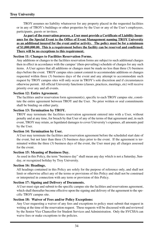TROY assumes no liability whatsoever for any property placed in the requested facilities or in any of TROY's buildings or other properties by the User or any of the User's employees, participants, guests or invitees.

**As part of the reservation process, a User must provide a Certificate of Liability Insurance for the Special Event to the Office of Event Management naming TROY University as an additional insured for the event and/or activity. The policy must be for a minimum of \$1,000,000.00. This is a requirement before the facility can be reserved and confirmed. There will be no exceptions to this requirement.**

#### **Section 11: Changes to Facilities Reservation Forms.**

Any additions or changes to the facilities reservation forms are subject to such additional charges then in effect in accordance with the campus' (then-prevailing) schedule of charges for any such items. A User agrees that all additions or changes must be made no less than three (3) business days before the event. TROY campus sites cannot commit to accommodate additions or changes requested within three (3) business days of the event and any attempt to accommodate such request by TROY campus sites will only occur in TROY's sole discretion and if circumstances otherwise permit. All official University functions (classes, practices, meetings, etc) will receive priority over any and all events.

#### **Section 12: Entire Agreement.**

The facilities and/or reservation form agreement(s), specific to each TROY campus site, constitute the entire agreement between TROY and the User. No prior written or oral commitments shall be binding on either party.

#### **Section 13: Termination by TROY.**

TROY may terminate the facilities reservation agreement entered into with a User, without penalty and at any time, for breach by that User of any of the terms of that agreement and, in such event, TROY may retain, as liquidated damages to cover University's expenses, all amounts paid by the User.

#### **Section 14: Termination by User.**

A User may terminate the facilities and reservation agreement before the scheduled start date of the event, but not later than three (3) business days prior to the event. If the agreement is terminated within the three (3) business days of the event, the User must pay all charges assessed for the event.

#### **Section 15: Meaning of Business Day.**

As used in this Policy, the term "business day" shall mean any day which is not a Saturday, Sunday, or recognized holiday by Troy University.

#### **Section 16: Headings.**

All headings contained in this Policy are solely for the purpose of reference only, and shall not limit or otherwise affect any of the terms or provisions of this Policy and shall not be construed or interpreted in connection with any term or provision of this Policy.

#### **Section 17: Signing and Delivery of Documents.**

A User must sign and submit to the specific campus site the facilities and reservations agreement, which shall thereafter become effective upon the signing and delivery of the agreement to the specific TROY campus site.

#### **Section 18: Waiver of Fees and/or Policy Exceptions:**

Any User requesting a waiver of any fees and exceptions to policy must submit that request in writing at the time of the reservation request. These requests will be discussed with and reviewed by the Senior Vice Chancellor for Student Services and Administration. Only the SVCSSA can waive fees or make exceptions to the policies.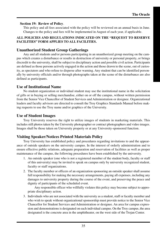#### **Section 19: Review of Policy**.

This policy and all fees associated with the policy will be reviewed on an annual basis in June. Changes to the policy and fees will be implemented in August of each year, if applicable.

#### **ALL POLICIES AND REGULATIONS INDICATED ON THE "REQUEST TO RESERVE FACILITIES" FORM APPLIES TO ALL FACILITIES.**

## **Unauthorized Student Group Gatherings**

Any and all students and/or persons participating in an unauthorized group meeting on the campus which creates a disturbance or results in destruction of university or personal property, or brings discredit to the university, shall be subject to disciplinary action and possible civil action. Participants are defined as those persons actively engaged in the action and those drawn to the scene, out of curiosity, as spectators and who refuse to disperse after warning. Any student that can be identified personally by university officials and/or through photographs taken at the scene of the disturbance are also defined as participants.

### **Use of Institutional Name**

No student organization or individual student may use the institutional name in the solicitation of gifts or in buying or selling merchandise, either on or off the campus, without written permission from the Senior Vice Chancellor of Student Services and Administration or designee. Organizational leaders and faculty advisors are directed to consult the Troy Graphics Standards Manual before making requests to use the Troy name and/or graphics of the University.

### **Use of Student Images**

Troy University reserves the right to utilize images of students in marketing materials. This includes still photos taken by the University photographer or contract photographers and video images. Images shall be those taken on University property or at any University-sponsored function.

## **Visiting Speaker/Notices Printed Materials Policy**

Troy University has established policy and procedures regarding invitations to and the appearance of outside speakers on the university campus. In the interest of orderly administration and to ensure effective public relations, adequate preparation and reservation of facilities as well as proper maintenance of the campus, the following procedures have been established by the university.

- 1. An outside speaker (one who is not a registered member of the student body, faculty or staff of this university) may be invited to speak on campus only by university recognized student, faculty or staff organizations.
- 2. The faculty member or officers of an organization sponsoring an outside speaker shall assume full responsibility for making the necessary arrangements, paying all expenses, including any damages to university property during the course of the event, and preserving the peace and dignity of participants of the scheduled event.

Any responsible officer who willfully violates this policy may become subject to appropriate disciplinary action.

3. Individuals who are not associated with the university as a student, staff or faculty member and who wish to speak without organizational sponsorship must provide notice to the Senior Vice Chancellor for Student Services and Administration or designee. An area for campus expression and demonstrations is designated on each individual campus. On the Troy campus, the area designated is the concrete area in the amphitheater, on the west side of the Trojan Center.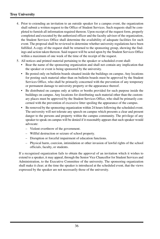- 4. Prior to extending an invitation to an outside speaker for a campus event, the organization shall submit a written request to the Office of Student Services. Such requests shall be completed to furnish all information required thereon. Upon receipt of the request form, properly completed and executed by the authorized officer and the faculty advisor of the organization, the Student Services Office shall determine the availability of adequate facilities for such event. The proposal shall be reviewed to determine whether university regulations have been fulfilled. A copy of the request shall be returned to the sponsoring group, showing the findings and action taken thereon. Said request will be acted upon by the Student Services Office within a maximum of one week of the time of the receipt of the request.
- 5. All notices and printed material pertaining to the speaker or scheduled event shall:
	- Bear the name of the sponsoring organization and shall not contain any implication that the speaker or event is being sponsored by the university.
	- Be posted only on bulletin boards situated inside the buildings on campus. Any locations for posting such material other than on bulletin boards must be approved by the Student Services Office, who shall be primarily concerned with the prevention of any temporary or permanent damage to university property or the appearance thereof.
	- Be distributed on campus only at tables or booths provided for such purpose inside the buildings on campus. Any locations for distributing such material other than the customary places must be approved by the Student Services Office, who shall be primarily concerned with the prevention of excessive litter spoiling the appearance of the campus.
	- Be removed by the sponsoring organization within 24 hours following the scheduled event. The university will not tolerate any speech on campus which presents a clear and present danger to the persons and property within the campus community. The privilege of any speaker to speak on campus will be denied if it reasonably appears that such speaker would advocate:
		- Violent overthrow of the government.
		- Willful destruction or seizure of school property.
		- Disruption or forceful impairment of education functions.
		- Physical harm, coercion, intimidation or other invasion of lawful rights of the school officials, faculty, or students.

If a recognized organization fails to obtain the approval of an invitation which it wishes to extend to a speaker, it may appeal, through the Senior Vice Chancellor for Student Services and Administration, to the Executive Committee of the university. The sponsoring organization shall make it clear; at the time the speaker is introduced at the scheduled event, that the views expressed by the speaker are not necessarily those of the university.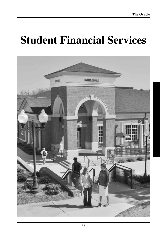## **Student Financial Services**

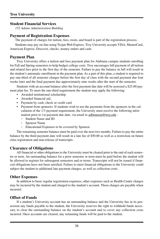## **Student Financial Services**

*152 Adams Administration Building*

### **Payment of Registration Expenses**

The payment of charges for tuition, fees, room, and board is part of the registration process.

Students may pay on-line using Trojan Web Express. Troy University accepts VISA, MasterCard, American Express, Discover, checks, money orders and cash.

## **Payment Plan**

Troy University offers a tuition and fees payment plan for Alabama campus students enrolling for Fall and Spring semesters to help budget college costs. Troy encourages full payment of all tuition and related fees prior to the first day of the semester. Failure to pay the balance in full will result in the student's automatic enrollment in the payment plan. As a part of this plan, a student is required to pay one-third of all semester charges before the first day of class with the second payment due four weeks later and the final payment due approximately nine weeks after the start of the semester.

Students with an account balance after the first payment due date will be assessed a \$25.00 payment plan fee. To meet the one-third requirement the student may apply the following:

- Awarded institutional scholarship
- Awarded financial aid,
- Payment by cash, check or credit card
- Payment from sponsors: If students wish to use the payments from the sponsors in the calculation of the 1/3 payment requirement, the University must receive the following information prior to 1st payment due date, via email to adbrunson@troy.edu :
	- Student Name and ID
	- Sponsor Name
	- Educational Expenses to be covered by Sponsor.

The remaining semester balance must be paid over the next two months. Failure to pay the entire balance by the third payment date will result in a late fee of \$50.00 as well as a restriction on future class registration and non-release of transcripts.

## **Clearance of Obligations**

All financial or other obligations to the University must be cleared prior to the end of each semester or term. An outstanding balance for a prior semester or term must be paid before the student will be allowed to register for subsequent semesters and or terms. Transcripts will not be issued if financial obligations have not been satisfied. Failure to meet financial obligations to the University could subject the student to additional late payment charges, as well as collection costs.

## **Other Expenses**

In addition to basic regular registration expenses, other expenses such as Health Center charges may be incurred by the student and charged to the student's account. These charges are payable when incurred.

## **Offset of Funds**

If a student's University account has an outstanding balance and the University has in its possession any funds payable to the student, the University reserves the right to withhold funds necessary to clear the outstanding balance on the student's account and to cover any collection costs incurred. Once accounts are cleared, any remaining funds will be paid to the student.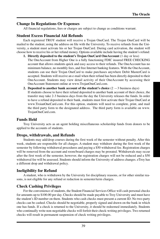## **Change In Regulations Or Expenses**

All financial regulations, fees or charges are subject to change as conditions warrant.

## **Student Excess Financial Aid Refunds**

Each registered TROY student will receive a Trojan OneCard. The Trojan OneCard will be mailed to the student, using the address on file with the University. To receive refunds from the University, a student must activate his or her Trojan OneCard. During card activation, the student will choose how to receive his or her refund money. Options available include having the student's refund:

- **1. Directly deposited to the student's Trojan OneCard OneAccount** (1 day or less) The OneAccount from Higher One is a fully functioning FDIC insured FREE CHECKING account that allows students quick and easy access to their refunds. The OneAccount has no minimum balance, no monthly fees, and free Internet banking features. With the OneAccount, students can use their Trojan OneCard to make purchases anywhere Debit MasterCard is accepted. Students will receive an e-mail when their refund has been directly deposited to their OneAccount. Students may view detail activity of their OneAccount by accessing their OneAccount Statement online at www.TrojanOneCard.com.
- **2. Deposited to another bank account of the student's choice**  $(2 3)$  business days) If students choose to have their refund deposited to another bank account of their choice, the transfer may take 2-3 business days from the day the University releases the funds. In order to have a refund deposited to their bank, students must first activate their Trojan OneCard at www.TroianOneCard.com. For this option, students will need to complete, print, and mail the third party form to the designated address. The third party form is available on www. TrojanOneCard.com.

## **Funds Held**

Troy University acts as an agent holding miscellaneous scholarship funds from donors to be applied to the accounts of students.

## **Drops, withdrawals, and Refunds**

Students may add/drop courses during the first week of the semester without penalty. After this week, students are responsible for all charges. A student may withdraw during the first week of the semester by following withdrawal procedures and paying a \$50 withdrawal fee. Registration charges will be removed from the account and room/board charges may be prorated. Withdrawals may occur after the first week of the semester, however, the registration charges will not be reduced and a \$50 withdrawal fee will be assessed. Students should inform the University of address changes. eTroy has a different drop and withdrawal policy.

## **Ineligibility for Refund**

A student, who is withdrawn by the University for disciplinary reasons, or for other similar reasons, is not eligible for any refund or reduction in semester/term charges.

## **Check Cashing Privileges**

For the convenience of students, the Student Financial Services Office will cash personal checks for amounts up to \$100.00 per day. Checks should be made payable to Troy University and must have the student's ID number on them. Students who cash checks must present a current ID. No two-party checks can be cashed. Checks should be negotiable, properly signed and drawn on the bank in which one has funds. If a check is returned to the University, it should be redeemed immediately. Students who continually write non-negotiable checks will forfeit their check-writing privileges. Two returned checks will result in permanent suspension of check writing privileges.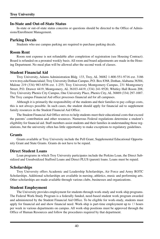## **In-State and Out-of-State Status**

In-state or out-of-state status concerns or questions should be directed to the Office of Admissions/Enrollment Management.

## **Parking Decals**

Students who use campus parking are required to purchase parking decals.

## **Room Rent**

Room rent expense is not refundable after completion of registration (see Housing Contract). Board is refunded on a prorated weekly basis. All room and board adjustments are made in the Housing Department. No meal plan will be allowed after the second week of classes.

## **Student Financial Aid**

Troy University, Adams Administration Bldg. 133, Troy, AL 36082 1-800-551-9716 ext. 3186 www.troy.edu/financialaid; Troy University Dothan Campus, P.O. Box 8368, Dothan, Alabama 36304, Malone 219 (334) 983-6556 ext. 1-255; Troy University Montgomery Campus, 231 Montgomery Street, P.O. Drawer 4419, Montgomery, AL 36103-4419, (334) 241-9520, Whitley Hall Room 208; Troy University Phenix City Campus, One University Place, Phenix City, AL 36869 (334) 297-1007. The Troy campus Financial Aid office processes financial aid for all campuses*.*

Although it is primarily the responsibility of the students and their families to pay college costs, this is not always possible. In such cases, the student should apply for financial aid to supplement family resources in the Student Financial Aid Office.

The Student Financial Aid Office strives to help students meet their educational costs that exceed the parents' contribution and other resources. Numerous Federal regulations determine a student's eligibility for financial aid. Staff members assist students and their families in understanding those regulations, but the university often has little opportunity to make exceptions to regulatory guidelines.

## **Grants**

Grants available at Troy University include the Pell Grant, Supplemental Educational Opportunity Grant and State Grants. Grants do not have to be repaid.

## **Direct Student Loans**

Loan programs in which Troy University participates include the Perkins Loan, the Direct Subsidized and Unsubsidized Stafford Loans and Direct PLUS (parent) loans. Loans must be repaid.

## **Scholarships**

Troy University offers Academic and Leadership Scholarships, Air Force and Army ROTC Scholarships. Additional scholarships are available in nursing, athletics, music and performing arts. Other scholarships are made available through various clubs, businesses and organizations.

## **Student Employment**

The University provides employment for students through work-study and work-ship programs. The Federal Work-Study Program is a federally funded, need-based student work program awarded and administered by the Student Financial Aid Office. To be eligible for work-study, students must apply for financial aid and show financial need. Work-ship is part-time employment up to 13 hours per week in various departments on campus. All work-ship positions must be approved through the Office of Human Resources and follow the procedures required by that department.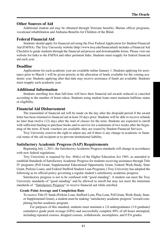## **Other Sources of Aid**

Additional student aid may be obtained through Veterans benefits, Marine officer programs, vocational rehabilitation and Alabama Benefits for Children of the Blind.

## **Federal Financial Aid**

Students should apply for financial aid using the Free Federal Application for Student Financial Aid (FAFSA). The Troy University website (http://www.troy.edu/financialaid) includes a Financial Aid Checklist to guide students through the financial aid process and downloadable forms. Please visit our website for links to the FAFSA and other pertinent links. Students must reapply for federal financial aid each year.

## **Deadline**

Applications for each academic year are available online January 1. Students applying for assistance prior to March 1 will be given priority in the allocation of funds available for the coming academic year. Students applying after that date may receive assistance if funds are available. Students must reapply each academic year.

### **Additional Information**

Students enrolling less than full-time will have their financial aid awards reduced or canceled according to the number of hours taken. Students using student loans must maintain halftime status or eligibility.

## **Financial Aid Disbursement**

The transmittal of financial aid will be made on the day after the drop/add period if the award letter has been returned to financial aid at least 10 days prior. Students will be able to receive refunds no later than twelve (12) days after the start of classes for the term. Students are expected to enroll with sufficient funding to purchase books and to survive for a minimum of two weeks after the beginning of the term. If book vouchers are available, they are issued by Student Financial Services.

Troy University reserves the right to adjust any aid if there is any change in academic or financial status of the aid recipient or to prevent institutional liability.

## **Satisfactory Academic Progress (SAP) Requirements**

Beginning July 1, 2011, the Satisfactory Academic Progress standards will change in accordance with new federal regulations.

Troy University is required by Sec. 484(c) of the Higher Education Act 1965, as amended to establish Standards of Satisfactory Academic Progress for students receiving assistance through Title IV programs (Pell Grant, Supplemental Educational Opportunity Grant, Federal Work-Study, State Grant, Perkins Loans, and Federal Stafford Student Loan Programs.) Troy University has adopted the following as its official policy governing a regular student's satisfactory academic progress.

Satisfactory progress is not to be confused with "good standing". A student can meet the Troy University standards of "good standing" and be allowed to enroll but may not meet the minimum standards of "Satisfactory Progress" to receive financial aid while enrolled.

#### **Grade Point Average and Completion Rate**

To receive Title IV funds (Perkins Loan, Stafford Loan, Plus Loan, Pell Grant, Work-Study, State, or Supplemental Grant), a student must be making "satisfactory academic progress" toward completing his/her academic program.

For purposes of this standard, students must maintain a 2.0 undergraduates (3.0 graduate) cumulative grade point average (GPA) and successfully complete 80% of all hours attempted, including repeated courses, dropped courses, withdrawals, incompletes, and F/FA grades.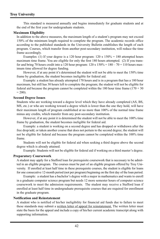#### **Troy University**

This standard is measured annually and begins immediately for graduate students and at the end of the first year for undergraduate students.

#### **Maximum Eligibility**

In addition to the above measures, the maximum length of a student's program may not exceed 150% of the minimum length required to complete the program. The academic records office according to the published standards in the University Bulletin establishes the length of each program. Courses, which transfer from another post-secondary institution, will reduce the time frame accordingly.

Examples: (1) If your degree is a 120 hour program:  $120 \times 150\% = 180$  attempted hours maximum time frame. You are eligible for only the first 180 hours attempted. (2) If you transfer and bring 70 hours credit into a 120 hour program:  $120 \times 150\% = 180 - 70 = 110$  hours maximum time allowed for degree funding.

However, if at any point it's determined the student will not be able to meet the 150% time frame by graduation, the student becomes ineligible for federal aid.

Example: a student has already attempted 170 hours and is in a program that has a 180 hour maximum, but still has 30 hours left to complete the program; the student will not be eligible for federal aid because the program cannot be completed within the 180 hour time frame  $(170 + 30)$  $= 200$ ).

#### **Second Degree Issues**

Students who are working toward a degree level which they have already completed (AS, BS, MS, etc.) or who are working toward a degree which is lower than the one they hold, will have their maximum length of program established at no more than 100% of the normal time frame minus any credits, which transfer from any post-secondary institution.

However, if at any point it is determined the student will not be able to meet the 100% time frame by graduation, the student becomes ineligible for federal aid.

Example: a student is working on a second degree and has dropped or withdrawn after the free drop/add, or taken another course that does not pertain to the second degree; the student will not be eligible for federal aid because the program cannot be completed within the 100% time frame.

Students will not be eligible for federal aid when seeking a third degree above the second degree which is already attained.

Example: Students will not be eligible for federal aid if working on a third master's degree.

#### **Preparatory Coursework**

A student may apply for a Stafford loan for prerequisite coursework that is necessary to be admitted in an eligible program. The courses must be part of an eligible program offered by Troy University. If enrolled at least half time in these prerequisite courses, the student is eligible for loans for one consecutive 12-month period (not per program) beginning on the first day of the loan period.

Example: a student has a bachelor's degree with a major in mathematics and wants to enroll in a graduate computer science program but needs 12 more semester hours of computer science coursework to meet the admission requirements. The student may receive a Stafford loan if enrolled at least half time in undergraduate prerequisite courses that are required for enrollment in the graduate program.

#### **Notification and Reinstatement**

A student who is notified of his/her ineligibility for financial aid funds due to failure to meet these standards may submit a written letter of appeal for reinstatement. The written letter must state the basis for the appeal and include a copy of his/her current academic transcript along with supporting information.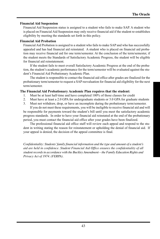#### **Financial Aid Suspension**

Financial Aid Suspension status is assigned to a student who fails to make SAP. A student who is placed on Financial Aid Suspension may only receive financial aid if the student re-establishes eligibility by meeting the standards set forth in this policy.

#### **Financial Aid Probation**

Financial Aid Probation is assigned to a student who fails to make SAP and who has successfully appealed and has had financial aid reinstated. A student who is placed on financial aid probation may receive financial aid for one term/semester. At the conclusion of the term/semester, if the student meets the Standards of Satisfactory Academic Progress, the student will be eligible for financial aid reinstatement.

If the student fails to meet overall Satisfactory Academic Progress at the end of the probation, the student's academic performance for the term/semester will be evaluated against the student's Financial Aid Probationary Academic Plan.

The student is responsible to contact the financial aid office after grades are finalized for the probationary term/semester to request a SAP reevaluation for financial aid eligibility for the next term/semester.

#### **The Financial Aid Probationary Academic Plan requires that the student:**

- 1. Must be at least half-time and have completed 100% of those classes for credit
- 2. Must have at least a 2.0 GPA for undergraduate students or 3.0 GPA for graduate students
- 3. Must not withdraw, drop, or have an incomplete during the probationary term/semester. If you do not meet these requirements, you will be ineligible to receive financial aid and will

be responsible for payments toward the student's bill until you meet the satisfactory academic progress standards. In order to have your financial aid reinstated at the end of the probationary period, you must contact the financial aid office after your grades have been finalized.

The professional financial aid office staff will review each appeal and respond to the student in writing stating the reason for reinstatement or upholding the denial of financial aid. If your appeal is denied, the decision of the appeal committee is final.

*Confidentiality: Students' family financial information and the type and amount of a student's aid are held in confidence. Student Financial Aid Office ensures the confidentiality of all student records in accordance with the Buckley Amendment – the Family Education Rights and Privacy Act of 1974. (FERPA).*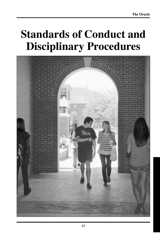## **Standards of Conduct and Disciplinary Procedures**

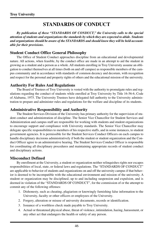## **STANDARDS OF CONDUCT**

*By publication of these "STANDARDS OF CONDUCT," the University calls to the special attention of students and organizations the standards by which they are expected to abide. Students and organizations should be aware of the STANDARDS and should know they will be held accountable for their provisions.*

## **Student Conduct Office General Philosophy**

The Office of Student Conduct approaches discipline from an educational and developmental nature. All actions, when feasible, by the conduct office are made in an attempt to aid the student in growing as a student and a person as a whole. All students enrolling in Troy University assume an obligation to conduct themselves at all times (both on and off campus) as responsible members of the campus community and in accordance with standards of common decency and decorum, with recognition and respect for the personal and property rights of others and the educational mission of the university.

## **Authority For Rules And Regulations**

The Board of Trustees of Troy University is vested with the authority to promulgate rules and regulations regarding the conduct of students while enrolled at Troy University by Title 16-56-6, Code of Alabama, 1975. The University Trustees have delegated full authority to the University administration to prepare and administer rules and regulations for the welfare and discipline of its students.

## **Administrative Responsibility and Authority**

The Student Services Division of the University has primary authority for the supervision of student conduct and administration of discipline. The Senior Vice Chancellor for Student Services and Administration and campus staff are responsible for working with students and student organizations to encourage support and compliance with University standards. The Senior Vice Chancellor may delegate specific responsibilities to members of his respective staffs, and in some instances, to student government agencies. It is permissible for the Student Services Conduct Officers on each campus to handle disciplinary decisions administratively if both the student or student organization and the Conduct Officer agree to an administrative hearing. The Student Services Conduct Officer is responsible for coordinating all disciplinary procedures and maintaining appropriate records of student conduct and disciplinary actions.

## **Misconduct Defined**

By enrollment at the University, a student or organization neither relinquishes rights nor escapes responsibilities of local, state, or federal laws and regulations. The "STANDARDS OF CONDUCT" are applicable to behavior of students and organizations on and off the university campus if that behavior is deemed to be incompatible with the educational environment and mission of the university. A student or organization may be disciplined, up to and including suspension and expulsion, and is deemed in violation of the "STANDARDS OF CONDUCT", for the commission of or the attempt to commit any of the following offenses:

- 1. Dishonesty, such as cheating, plagiarism or knowingly furnishing false information to the University, faculty or other officers or employees of the University.
- 2. Forgery, alteration or misuse of university documents, records or identification.
- 3. Issuance of a worthless check made payable to Troy University.
- 4. Actual or threatened physical abuse, threat of violence, intimidation, hazing, harassment, or any other act that endangers the health or safety of any person.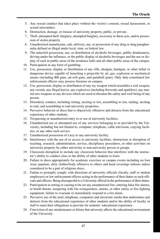- 5. Any sexual conduct that takes place without the victim's consent, sexual harassment, or sexual misconduct.
- 6. Destruction, damage, or misuse of university property, public, or private.
- 7. Theft, attempted theft, burglary, attempted burglary, accessory to these acts, and/or possession of stolen property.
- 8. Unauthorized manufacture, sale, delivery, use, or possession of any drug or drug paraphernalia defined as illegal under local, state, or federal law.
- 9. The unlawful possession, use, or distribution of alcoholic beverages, public drunkenness, driving under the influence, or the public display of alcoholic beverages and the use or display of such in public areas of the residence halls and all other public areas of the campus.
- 10. Participation in any form of gambling.
- 11. Use, possession, display or distribution of any rifle, shotgun, handgun, or other lethal or dangerous device capable of launching a projectile by air, gas, explosion or mechanical means (including BB guns, air-soft guns, and paintball guns). Only duly-constituted law enforcement officers may possess firearms on campus.
- 12. Use, possession, display or distribution of any toy weapon which resembles a real weapon, any swords, any illegal knives, any explosives (including fireworks and sparklers), any martial arts weapons or any devices which are used to threaten the safety and well-being of any person.
- 13. Disorderly conduct, including rioting, inciting to riot, assembling to riot, raiding, inciting to raid, and assembling to raid university properties.
- 14. Pervasive behavior or dress that is objectively offensive and detracts from the educational experience of other students.
- 15. Trespassing or unauthorized entry to or use of university facilities.
- 16. Unauthorized use or attempted use of any services belonging to or provided by the University, including but not limited to, computer, telephone, cable television, copying facilities, or any other such service.
- 17. Unauthorized possession of a key to any university facility.
- 18. Interference with the use of or access to university facilities, obstruction or disruption of teaching, research, administration, service, disciplinary procedures, or other activities on university property by either university or non-university person or groups.
- 19. Classroom disruption to include any classroom behavior that interferes with the instructor's ability to conduct class or the ability of other students to learn.
- 20. Failure to dress appropriately for academic exercises or campus events including no foot wear, pajamas, dirty clothes/body offensive to others and head coverings indoors unless considered to be a part of religious dress.
- 21. Failure to promptly comply with directions of university officials (faculty, staff or student employees) or law enforcement officers acting in the performance of their duties as such officials and officers. Being disrespectful to a University official in the performance of their duties.
- 22. Participation in setting or causing to be set any unauthorized fire, entering false fire alarms, or bomb threats, tampering with fire extinguishers, alarms, or other safety or fire-fighting equipment, failure to evacuate or immediately respond to a fire alarm.
- 23. Pervasive use of the mail, telephone, computers and electronic media that undermines and detracts from the educational experience of other students and/or the ability of faculty or staff to meet their obligations to provide for students' educational experience.
- 24. Conviction of any misdemeanor or felony that adversely affects the educational environment of the University.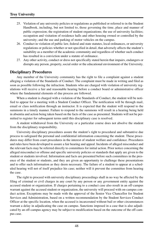- 25. Violation of any university policies or regulations as published or referred to in the Student Handbook, including, but not limited to, those governing the time, place and manner of public expression; the registration of student organizations; the use of university facilities; occupation and visitation of residence halls and other housing owned or controlled by the university; and the use and parking of motor vehicles on the campus.
- 26. Conduct in violation of public law, federal and state statutes, local ordinances, or university regulations or policies whether or not specified in detail, that adversely affects the student's suitability as a member of the academic community and regardless of whether such conduct has resulted in a conviction under a statute of ordinance.
- 27. Any other activity, conduct or dress not specifically stated herein that impairs, endangers or disrupts any person, property, social order or the educational environment of the University.

## **Disciplinary Procedures**

Any member of the University community has the right to file a complaint against a student alleging a violation of the Standards of Conduct. The complaint must be made in writing and filed as soon as possible following the infraction. Students who are charged with violation of university regulations will receive a fair and reasonable hearing before a conduct board or administrative officer where the fundamental elements of due process are followed.

When a student is charged with a violation of the Standards of Conduct, the student will be notified to appear for a meeting with a Student Conduct Officer. The notification will be through mail, email or class notification through an instructor. It is expected that the student will respond to the summons in a timely manner. Failure to respond to the summons will result in a hearing being held in absentia and action being taken based on the facts of the case as presented. Students will not be permitted to register for subsequent terms until this disciplinary case is resolved.

A student withdrawal from the University or a particular course does not absolve the student from the disciplinary responsibility.

University disciplinary procedures assure the student's right to procedural and substantive due process to safeguard the personal and confidential information concerning the student. These procedures may differ from court procedures in the interest of student welfare and confidence. Procedures and rules have been developed to assure a fair hearing and appeal. Incidents of alleged misconduct and the relevant facts may be referred directly to committees for initial action. Prior notice concerning the alleged misconduct or offense and specific university policies or standards that apply are given to the student or students involved. Information and facts are presented before such committees in the presence of the student or students, and they are given an opportunity to challenge these presentations and to offer such information as they deem necessary. The failure of a student to appear at a scheduled hearing will not of itself prejudice his case; neither will it prevent the committee from hearing the case.

The right to proceed with university disciplinary proceedings shall in no way be affected by the filing of criminal or civil charges in any court by any person or any government entity against the accused student or organization. If charges pertaining to a conduct case also result in an off-campus warrant against the accused student or organization, the university will proceed with on-campus conduct action. Exceptions may be made with the approval of the Senior Vice Chancellor for Student Services and Administration, based on a written recommendation by the Student Services Conduct Officer at the specific location, when the accused is incarcerated without bail or other circumstances warrant a delay in adjudicating the case on campus. Sanctions imposed in a case that is also adjudicated by an off-campus agency may be subject to modification based on the outcome of the off-campus case.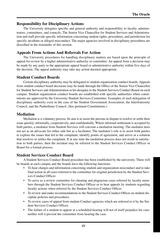## **Responsibility for Disciplinary Actions**

The University delegates specific and general authority and responsibility to faculty, administrators, committees, and councils. The Senior Vice Chancellor for Student Services and Administration and staff provide specific information concerning student rights, procedures, and jurisdiction for specific incidents or alleged misconduct. The major agencies involved in disciplinary procedures are described in the remainder of this section.

## **Appeals From Actions And Referrals For Action**

The University procedures for handling disciplinary matters are based upon the principle of appeal for review by a higher administrative authority or committee. An appeal from a decision may be made by any party to the appropriate appeal board or administrative authority within five days of the decision. The appeal authority may take any action deemed appropriate.

## **Student Conduct Boards**

Certain disciplinary authority may be delegated to student organization conduct boards. Appeals from student conduct board decisions may be made through the Office of the Senior Vice Chancellor for Student Services and Administration or his designee to the Student Services Conduct Board on each campus. Student organization conduct boards are established with specific authorities when constitutions are approved by the University Student Services Committee. Examples of such delegation of disciplinary authority exist in the case of the Student Government Association, the Interfraternity Council, and the Panhellenic Council. (See pertinent Constitutions.)

## **Mediation**

Mediation is a voluntary process. Its aim is to assist the persons in dispute to resolve or settle their issue quickly, informally, cooperatively, and confidentially. Where informal settlement is accepted by both parties, a mediator from Student Services will convene a mediation meeting. The mediator does not act as an advocate for either side but as a facilitator. The mediator's role is to assist both parties to explore the issues that led to the complaint, identify points of agreement, and arrive at a solution that resolves or settles the complaint. If at any time the mediation process does not result in satisfaction to both parties, then the incident may be referred to the Student Services Conduct Officer or Board for a formal process.

## **Student Services Conduct Board**

A Student Services Conduct Board procedure has been established by the university. There will be boards at each campus and the boards have the following functions:

- To hear charges and information concerning student and organization misconduct and to take final action in all cases referred to the committee for original jurisdiction by the Student Services Conduct Officer.
- To serve as a review committee for cheating and plagiarism cases referred by faculty members through the Student Services Conduct Officer or to hear appeals by students regarding faculty actions when referred by the Student Services Conduct Officer.
- To review and make recommendations to the Student Services Conduct Officer on student discipline policies and procedures.
- To review cases of appeal from student Conduct agencies which are referred to it by the Student Services Conduct Officer.
- The failure of a student to appear at a scheduled hearing will not of itself prejudice his case; neither will it prevent the committee from hearing the case.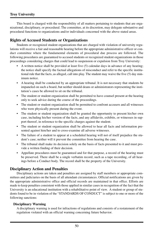## **Troy University**

This board is charged with the responsibility of all matters pertaining to students that are organizational, disciplinary, or procedural. The committee, at its discretion, may delegate substantive and procedural functions to organizations and/or individuals concerned with the above stated areas.

## **Rights of Accused Students or Organizations**

Students or recognized student organizations that are charged with violation of university regulations will receive a fair and reasonable hearing before the appropriate administrative officer or conduct committee where the fundamental elements of procedural due process are followed. The following procedures are guaranteed to accused students or recognized student organizations in those proceedings considering charges that could lead to suspension or expulsion from Troy University:

- A written notice shall be provided at least five (5) calendar days in advance of any hearing; the notice shall specify the factual allegations of misconduct and refer to the specific institutional rule that the facts, as alleged, call into play. The student may waive the five (5) day minimum notice.
- A hearing shall be conducted by an appropriate tribunal. It is not necessary that students be impaneled on such a board, but neither should deans or administrators representing the institution's cases be allowed to sit on the tribunal.
- The student or student organization shall be permitted to have counsel present at the hearing only to seek advice during the course of the proceedings.
- The student or student organization shall be permitted to confront accusers and all witnesses who were physically present during the event.
- The student or student organization shall be granted the opportunity to present his/her own case, including his/her version of the facts, and any affidavits, exhibits, or witnesses in support thereof, in reference to the specific charges against the student.
- The student or student organization shall be allowed to hear all facts and information presented against him/her and to cross-examine all adverse witnesses.
- The failure of a student to appear at a scheduled hearing will not of itself prejudice the student's case; neither will it prevent the committee from hearing the case.
- The tribunal shall make its decision solely on the basis of facts presented to it and must provide a written finding of their decision.
- Appellate procedures must be guaranteed and for that purpose, a record of the hearing must be preserved. There shall be a single verbatim record, such as a tape recording, of all hearings before a Conduct body. The record shall be the property of the University.

## **Disciplinary Action and Penalties**

Disciplinary actions are taken and penalties are assigned by staff members or appropriate committees and judiciaries on the basis of all attendant circumstances. Official notifications are given by the appropriate administrative office and official records are maintained in that office. Efforts are made to keep penalties consistent with those applied in similar cases in recognition of the fact that the University is an educational institution with a rehabilitative point of view. A student or group of students found to be in violation of the "STANDARDS OF CONDUCT" is subject to one or more of the following sanctions:

#### **Disciplinary Warning**

A disciplinary warning is used for infractions of regulations and consists of a restatement of the regulation violated with an official warning concerning future behavior.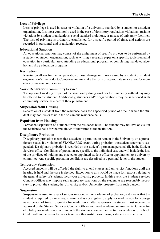#### **Loss of Privilege**

Loss of privilege is used in cases of violation of a university standard by a student or a student organization. It is most commonly used in the case of dormitory regulations violations, rushing violations by student organizations, social standard violations, or misuse of university facilities. The loss of privilege is ordinarily established for a specific period of time, and actions are recorded in personnel and organization records.

#### **Educational Sanction**

An educational sanction may consist of the assignment of specific projects to be performed by a student or student organization, such as writing a research paper on a specific topic, remedial education in a particular area, attending an educational program, or completing mandated alcohol and drug education programs.

#### **Restitution**

Restitution allows for the compensation of loss, damage or injury caused by a student or student organization's misconduct. Compensation may take the form of appropriate service, and/or monetary or material replacement.

#### **Work Reparation/Community Service**

The option of working off part of the sanction by doing work for the university without pay may be offered to the student. Additionally, students and/or organizations may be sanctioned with community service as a part of their punishment.

#### **Suspension from Housing**

Separation of a student from the residence halls for a specified period of time in which the student may not live or visit in the on campus residence halls.

#### **Expulsion from Housing**

Permanent separation of a student from the residence halls. The student may not live or visit in the residence halls for the remainder of their time at the institution.

#### **Disciplinary Probation**

Disciplinary probation means that a student is permitted to remain in the University on a probationary status. If a violation of STANDARDS occurs during probation, the student is normally suspended. Disciplinary probation is recorded on the student's permanent personal file in the Student Services office. Conditions of probation are specific to the individual case and will include the loss of the privilege of holding any elected or appointed student office or appointment to a university committee. Any specific probation conditions are described in a personal letter to the student.

#### **Temporary Suspension**

Accused students will be afforded the right to attend classes and university functions until the hearing is held and the case is decided. Exception to this would be made for reasons relating to the general safety of students, faculty, or university property. In this event, the Student Services Conduct Officer may impose such temporary sanctions on the student as are reasonably necessary to protect the student, the University and/or University property from such danger.

#### **Suspension**

Suspension is used in cases of serious misconduct, or violation of probation, and means that the student is required to cancel registration and is not eligible to apply for readmission for a designated period of time. To qualify for readmission after suspension, a student must receive the approval of the Student Services Conduct Officer and meet academic requirements. Criteria for eligibility for readmission will include the students conduct and activities while out of school. Credit will not be given for work taken at other institutions during a student's suspension.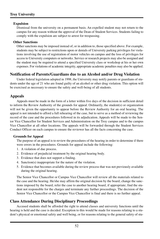#### **Expulsion**

Dismissal from the university on a permanent basis. An expelled student may not return to the campus for any reason without the approval of the Dean of Student Services. Students failing to comply with the expulsion are subject to arrest for trespassing.

#### **Other Sanctions**

Other sanctions may be imposed instead of, or in addition to, those specified above. For example, students may be subject to restrictions upon or denials of University parking privileges for violations involving the use of registration of motor vehicles on campus and the loss of privileges for access to University computers or networks. Service or research projects may also be assigned and the student may be required to attend a specified University class or workshop at his or her own expenses. For violations of academic integrity, appropriate academic penalties may also be applied.

## **Notification of Parents/Guardians due to an Alcohol and/or Drug Violation**

Under federal legislation adopted in 1998, the University may notify parents or guardians of students under the age of 21 who are found guilty of an alcohol or other drug violation. This option will be exercised as necessary to ensure the safety and well-being of all students.

## **Appeals**

Appeals must be made in the form of a letter within five days of the decision in sufficient detail to inform the Review Authority of the grounds for appeal. Ordinarily, the student(s) or organization will not be given the opportunity to appear before the Review Authority for an oral hearing. The appeal is not intended to afford a full rehearing of the case, but to serve as a method of reviewing the record of the case and the procedures followed in its adjudication. Appeals will be made to the Senior Vice Chancellor for Student Services and Administration on the Troy campus and to the campus Vice Chancellor at all other locations. The appeals will be forwarded through the Student Services Conduct Officer on each campus to ensure the reviewer has all the facts concerning the case.

#### **Grounds for Appeal**

The purpose of an appeal is to review the procedures of the hearing in order to determine if there were errors in the procedures. Grounds for appeal include the following:

- 1. A violation of due process.
- 2. Evidence of prejudicial treatment by the original hearing body.
- 3. Evidence that does not support a finding.
- 4. Sanction(s) inappropriate for the nature of the violation.
- 5. Evidence that becomes available during the review process that was not previously available during the original hearing.

The Senior Vice Chancellor or Campus Vice Chancellor will review all the materials related to the case and the hearing. He/she may affirm the original decision by the board; change the sanctions imposed by the board; refer the case to another hearing board, if appropriate; find the student not responsible for the charges and terminate any further proceedings. The decision of the Senior Vice Chancellor or the Campus Vice Chancellor is final and there is no further appeal.

## **Class Attendance During Disciplinary Proceedings**

Accused students shall be afforded the right to attend classes and university functions until the hearing is held and the case is decided. Exception to this would be made for reasons relating to a student's physical or emotional safety and well being, or for reasons relating to the general safety of stu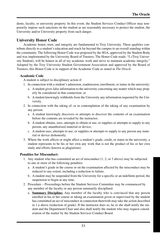dents, faculty, or university property. In this event, the Student Services Conduct Officer may temporarily impose such sanctions on the student as are reasonably necessary to protect the student, the University and/or University property from such danger.

## **University Honor Code**

Academic honor, trust, and integrity are fundamental to Troy University. These qualities contribute directly to a student's education and reach far beyond the campus to an overall standing within the community. The following Honor Code was proposed by the SGA, approved by the Student Body and was implemented by the University Board of Trustees. The Honor Code reads: "I, (Troy University Student), will be honest in all of my academic work and strive to maintain academic integrity." Adopted by the Troy University Student Government Association and approved by the Board of Trustees, this Honor Code is in support of the Academic Code as stated in *The Oracle*.

#### **Academic Code**

A student is subject to disciplinary action if:

- 1. In connection with a student's admission, readmission, enrollment, or status in the university:
	- a. A student gives false information to the university concerning any matter which may properly be considered in that connection; or
	- b. A student knowingly withholds from the University any information requested by the University.
- 2. In connection with the taking of, or in contemplation of the taking of any examination by any person:
	- a. A student knowingly discovers or attempts to discover the contents of an examination before the contents are revealed by the instructor;
	- b. A student obtains, uses, attempts to obtain or use, or supplies or attempts to supply to any person, any unauthorized material or device;
	- c. A student uses, attempts to use, or supplies or attempts to supply to any person any material or device dishonestly.
- 3. Where the work affects or might affect a student's grade, credit, or status in the university, a student represents to be his or her own any work that is not the product of his or her own study and efforts (known as plagiarism).

#### **Penalties for Misconduct:**

- 1. Any student who has committed an act of misconduct (1, 2, or 3 above) may be subjected to one or more of the following penalties:
	- a. A student's grade in the course or on the examination affected by the misconduct may be reduced to any extent, including a reduction to failure.
	- b. A student may be suspended from the University for a specific or an indefinite period, the suspension to begin at any time.
- 2. Procedure Proceedings before the Student Services Committee may be commenced by any member of the faculty or any person summarily disciplined.
	- a. **Summary Discipline:** Any member of the faculty who is convinced that any person enrolled in his or her course or taking an examination given or supervised by the student has committed an act of misconduct in connection therewith may take the action described in 1.a above (reduction of grade). If the instructor does so, he or she shall notify the student and the Department Chair and also shall notify the student who may request consideration of the matter by the Student Services Conduct Board.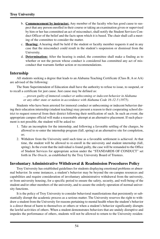- b. **Commencement by instructor:** Any member of the faculty who has good cause to suspect that any person enrolled in their course or taking an examination given or supervised by him or her has committed an act of misconduct, shall notify the Student Services Conduct Officer of the belief and the facts upon which it is based. The chair shall call a meeting of the committee to consider the matter.
- c. **Hearing:** A hearing shall be held if the student or faculty member requests it and in any case that the misconduct could result in the student's suspension or dismissal from the University.
- d. **Determination:** After the hearing is ended, the committee shall make a finding as to whether or not the person whose conduct is considered has committed any act of misconduct that warrants further action or recommendations.

## **Internship**

All students seeking a degree that leads to an Alabama Teaching Certificate (Class B, A or AA) are advised of the following:

The State Superintendent of Education shall have the authority to refuse to issue, to suspend, or to recall a certificate for just cause. Just cause may be defined as:

*… proven guilty of immoral conduct or unbecoming or indecent behavior in Alabama or any other state or nation in accordance with Alabama Code 16-12-5 (1975).*

Students who have been arrested for immoral conduct or unbecoming or indecent behavior during their education internship (student teaching) may present a reason to their cooperating school district to request removal from their district following their notification of such. In such an event, the appropriate campus official will make a reasonable attempt at an alternative placement. If such placement is not possible, the student will be asked to:

- 1. Take an incomplete for the internship, and following a favorable settling of the charges, be allowed to re-enter the internship program (fall, spring) at an alternative site for completion, or;
- 2. Withdraw from the University until such time as a favorable settlement is achieved. At that time, the student will be allowed to re-enroll in the university and student internship (fall, spring). In the event that the individual is found guilty, the case will be remanded to the Office of Student Services for appropriate action under the "STANDARDS OF CONDUCT" set forth in *The Oracle,* as established by the Troy University Board of Trustees.

## **Involuntary Administrative Withdrawal & Readmission Procedures Policy**

Troy University has established guidelines for students displaying emotional problems or abnormal behavior. In some instances, a student's behavior may be beyond the on-campus resources and capabilities and require consideration of involuntary administrative withdrawal from the university, or from university housing, for a specific period to ensure the safety, security, and well-being of the student and/or other members of the university, and to assure the orderly operation of normal university functions.

It is the policy of Troy University to consider behavioral manifestations that persistently or substantially disrupt the academic process as a serious matter. The University reserves the right to withdraw a student from the University for reasons pertaining to mental health when the student's behavior is a direct threat of harm to themselves or others or when a student's behavior significantly disrupts the lawful activities of others. When a student demonstrates behaviors that are unduly disruptive and impedes the performance of others, students will not be allowed to return to the University residen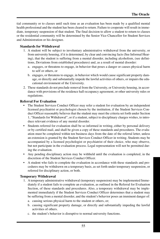tial community or to classes until such time as an evaluation has been made by a qualified mental health professional and the student has been cleared to return. Failure to cooperate will result in immediate, temporary suspension of that student. The final decision to allow a student to return to classes or the residential community will be determined by the Senior Vice Chancellor for Student Services and Administration or his designee.

#### **Standards for Withdrawal**

- 1. A student will be subject to involuntary administrative withdrawal from the university, or from university housing, if it is determined, by clear and convincing facts (See Informal Hearing), that the student is suffering from a mental disorder, including alcoholism, (see definitions, Deviations from established procedures) and, as a result of mental disorder:
	- a. engages, or threatens to engage, in behavior that poses a danger or causes physical harm to self or others, or
	- b. engages, or threatens to engage, in behavior which would cause significant property damage, or directly and substantially impede the lawful activities of others, or impairs the educational environment of the University.
- 2. These standards do not preclude removal from the University, or University housing, in accordance with provisions of the residence hall occupancy agreement, or other university rules or regulations.

#### **Referral For Evaluation**

- The Student Services Conduct Officer may refer a student for evaluation by an independent licensed psychiatrist or psychologist chosen by the institution, if the Student Services Conduct Officer reasonably believes that the student may meet the criteria set forth under Section 1, "Standards for Withdrawal", or if a student, subject to disciplinary charges wishes, to introduce relevant evidence of any mental disorder.
- Students referred for evaluation shall be so informed in writing, either by personal delivery or by certified mail, and shall be given a copy of these standards and procedures. The evaluation must be completed within ten business days from the date of the referral letter, unless an extension is granted by the Student Services Conduct Officer in writing. Students may be accompanied by a licensed psychologist or psychiatrist of their choice, who may observe, but not participate in the evaluation process. Legal representation will not be permitted during the evaluation.
- Any pending disciplinary action may be withheld until the evaluation is completed, in the discretion of the Student Services Conduct Officer.
- A student who fails to complete the evaluation in accordance with these standards and procedures may be withdrawn on a temporary basis, as set forth under temporary suspension, or referred for disciplinary action, or both.

#### **Temporary Withdrawal**

- 1. A temporary administrative withdrawal (temporary suspension) may be implemented Immediately if a student fails to complete an evaluation, as outlined in the Referral for Evaluation Section, of these standards and procedures. Also, a temporary withdrawal may be implemented immediately if the Student Services Conduct Officer determines that a student may be suffering from a mental disorder, and the student's behavior poses an imminent danger of:
	- a. causing serious physical harm to the student or others, or;
	- b. causing significant property damage, or directly and substantially impeding the lawful activities of others.
	- c. the student's behavior is disruptive to normal university functions.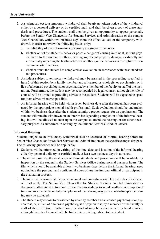- 2. A student subject to a temporary withdrawal shall be given written notice of the withdrawal either by a personal delivery or by certified mail, and shall be given a copy of these standards and procedures. The student shall then be given an opportunity to appear personally before the Senior Vice Chancellor for Student Services and Administration or the campus Vice Chancellor, within two business days from the effective date of the temporary withdrawal, in order to review the following issues only:
	- a. the reliability of the information concerning the student's behavior;
	- b. whether or not the student's behavior poses a danger of causing imminent, serious physical harm to the student or others, causing significant property damage, or directly and substantially impeding the lawful activities or others, or the behavior is disruptive to normal university functions.
	- c. whether or not the student has completed an evaluation, in accordance with these standards and procedures.
- 3. A student subject to temporary withdrawal may be assisted in the proceeding specified in item 2 of this section by a family member and a licensed psychologist or psychiatrist, or in lieu of a licensed psychologist, or psychiatrist, by a member of the faculty or staff of the institution. Furthermore, the student may be accompanied by legal counsel, although the role of counsel will be limited to providing advice to the student. Students will be expected to speak for themselves whenever possible.
- 4. An informal hearing will be held within seven business days after the student has been evaluated by the appropriate mental health professional. Such evaluation should be undertaken within two business days after the student submits a proper request for an appointment. The student will remain withdrawn on an interim basis pending completion of the informal hearing, but will be allowed to enter upon the campus to attend the hearing, or for other necessary purposes, as authorized in writing by the Student Services Conduct Officer.

#### **Informal Hearing**

Students subject to an involuntary withdrawal shall be accorded an informal hearing before the Senior Vice Chancellor for Student Services and Administration, or the specific campus designee. The following guidelines will be applicable:

- 1. Students will be informed, in writing, of the time, date, and location of the informal hearing either by personal delivery or certified mail, at least two business days in advance.
- 2. The entire case file, the evaluation of these standards and procedures will be available for inspection by the student in the Student Services Office during normal business hours. The file, which should be available at least two business days before the informal hearing, need not include the personal and confidential notes of any institutional official or participant in the evaluation process.
- 3. The informal hearing shall be conversational and non-adversarial. Formal rules of evidence will not apply. The Senior Vice Chancellor for Student Services and Administration or designee shall exercise active control over the proceedings to avoid needless consumption of time and to achieve the orderly completion of the hearing. Any person who disrupts the hearing may be excluded.
- 4. The student may choose to be assisted by a family member and a licensed psychologist or psychiatrist, or, in lieu of a licensed psychologist or psychiatrist, by a member of the faculty or staff of the institution. Furthermore, the student may be accompanied by legal counsel, although the role of counsel will be limited to providing advice to the student.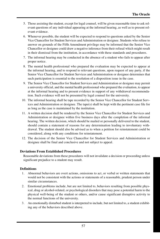- 5. Those assisting the student, except for legal counsel, will be given reasonable time to ask relevant questions of any individual appearing at the informal hearing, as well as to present relevant evidence.
- 6. Whenever possible, the student will be expected to respond to questions asked by the Senior Vice Chancellor for Student Services and Administration or designee. Students who refuse to answer on grounds of the Fifth Amendment privilege may be informed that the Senior Vice Chancellor or designee could draw a negative inference from their refusal which might result in their dismissal from the institution, in accordance with these standards and procedures.
- 7. The informal hearing may be conducted in the absence of a student who fails to appear after proper notice.
- 8. The mental health professional who prepared the evaluation may be expected to appear at the informal hearing, and to respond to relevant questions, upon request of any party, if the Senior Vice Chancellor for Student Services and Administration or designee determines that such participation is essential to the resolution of a disposition issue in the case.
- 9. The Senior Vice Chancellor for Student Services and Administration or designee may permit a university official, and the mental health professional who prepared the evaluation, to appear at the informal hearing and to present evidence in support of any withdrawal recommendation. Such evidence will not be presented by legal counsel for the university.
- 10. The informal hearing shall be tape recorded by the Senior Vice Chancellor for Student Services and Administration or designee. The tape(s) shall be kept with the pertinent case file for as long as the case is maintained by the institution.
- 11. A written decision shall be rendered by the Senior Vice Chancellor for Student Services and Administration or designee within five business days after the completion of the informal hearing. The written decision, which should be mailed or personally delivered to the student, should contain a statement of reasons for any determination leading to involuntary withdrawal. The student should also be advised as to when a petition for reinstatement could be considered, along with any conditions for reinstatement.
- 12. The decision of the Senior Vice Chancellor for Student Services and Administration or designee shall be final and conclusive and not subject to appeal.

#### **Deviations From Established Procedures**

Reasonable deviations from these procedures will not invalidate a decision or proceeding unless significant prejudice to a student may result.

#### **Definitions**

- 1. Abnormal behaviors are overt actions, omissions to act, or verbal or written statements that would not be consistent with the actions or statements of a reasonable, prudent person under similar circumstances.
- 2. Emotional problems include, but are not limited to, behaviors resulting from possible physical, drug or alcohol-related, or psychological disorders that may pose a potential harm to the physical well-being of the student or others, and/or cause significant disruptive activity to the normal functions of the university.
- 3. An emotionally disturbed student is interpreted to include, but not limited to, a student exhibiting any of the behaviors described above.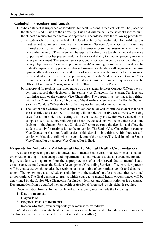#### **Readmission Procedures and Appeals**

- 1. When a student is suspended or withdrawn for health reasons, a medical hold will be placed on the student's readmission to the university. This hold will remain in the student's records until the student's request for readmission is approved in accordance with the following procedures:
	- a. A student who has had a medical hold placed on his or her readmission for health reasons must request readmission clearance from the Student Services Conduct Officer at least three (3) weeks prior to the first day of classes of the semester or summer session in which the student wishes to enroll. The student will be required by that office to submit medical evidence supportive of his or her present health and emotional ability to function properly in a university environment. The Student Services Conduct Officer, in consultation with the University physician and/or other appropriate health/counseling personnel, shall evaluate the student's request and supporting evidence. Primary consideration will be given to the satisfying of all conditions specified at the time of suspension or withdrawal for the readmission of the student to the University. If approval is granted by the Student Services Conduct Officer for the removal of the medical hold, the student must then complete requirements by the Office of Enrollment Management and the Office of University Records.
	- b. If approval for readmission is not granted by the Student Services Conduct Officer, the student may appeal that decision to the Senior Vice Chancellor for Student Services and Administration or the campus Vice Chancellor. The appeal must be made, in writing, within five (5) university working days of the date the student was notified by the Student Services Conduct Officer that his or her request for readmission was denied.
	- c. The Senior Vice Chancellor or campus Vice Chancellor will inform the student that he or she is entitled to a hearing. This hearing will be held within five (5) university working days if at all possible. The hearing will be conducted by the Senior Vice Chancellor or campus Vice Chancellor. Following the hearing, the decision will be to either sustain the decision of the Student Services Conduct Officer or overrule the decision and allow the student to apply for readmission to the university. The Senior Vice Chancellor or campus Vice Chancellor shall notify all parties of this decision, in writing, within three (3) university working days following the completion of the hearing. The decision of the Senior Vice Chancellor or campus Vice Chancellor is final.

## **Requests for Voluntary Withdrawal Due to Mental Health Circumstances**

A student may be eligible for withdrawal due to mental health circumstances when a mental disorder results in a significant change and impairment of an individual's social and academic functioning. A student wishing to explore the appropriateness of a withdrawal due to mental health circumstances should contact the Student Development/ Counseling Services office. A review process will be conducted which includes the receiving and examining of appropriate records and documentation. The review may also include consultation with the student's professors and other personnel as appropriate. The final decision to grant a withdrawal due to mental health circumstances will be determined by the Senior Vice Chancellor for Student Services and Administration or his designee. Documentation from a qualified mental health professional (preferred) or physician is required.

Documentation from a clinician on letterhead stationery must include the following:

- 1. Dates of treatment
- 2. Diagnosis (es)
- 3. Prognosis (status of treatment)
- 4. Reason why this provider supports your request for withdrawal

Withdrawals due to mental health circumstances must be initiated before the current semester's deadline (see academic calendar for current semester's deadline).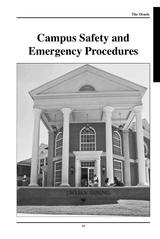# **Campus Safety and Emergency Procedures**

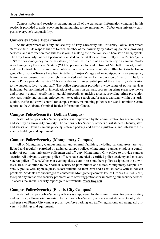Campus safety and security is paramount on all of the campuses. Information contained in this section is provided to assist everyone in maintaining a safe environment. Safety on a university campus is everyone's responsibility.

## **University Police Department**

As the department of safety and security of Troy University, the University Police Department strives to fulfill its responsibilities to each member of the university by enforcing policies, providing services, and information that will assist you in making the time you spend here safe and enjoyable. The Troy University Police Department is located on the 1st floor of Hamil Hall, ext. 3215, 3277, 670- 1999 for non-emergency police assistance, or dial 911 in case of an emergency on campus. Wide-Area Emergency Broadcast System (WEBS) phones are located in front of Mitchell, Stewart, Smith, and Shackelford Halls for assistance/notification in an emergency situation. Blue light strobe Emergency/Information Towers have been installed at Trojan Village and are equipped with an emergency button; when pressed the strobe light is activated and flashes for the duration of the call. The University Police provides service 24 hours a day and is an essential part of the university's dedication to the students, faculty, and staff. The police department provides a wide range of police services including, but not limited to, investigations of crimes on campus, processing crime scenes, evidence and property control, testifying in judicial proceedings, making arrests, providing crime prevention services, traffic and parking enforcement, executing search and/or arrest warrants within our jurisdiction, traffic and crowd control for campus events, maintaining police records and submitting crime reports to the Alabama Criminal Justice Information Center.

## **Campus Police/Security (Dothan Campus)**

A staff of campus police/security officers is empowered by the administration for general safety and security on University property. The campus police/security officers assist students, faculty, staff, and guests on Dothan campus property, enforce parking and traffic regulations, and safeguard University buildings and equipment.

## **Campus Police/Security (Montgomery Campus)**

All of Montgomery Campus internal and external facilities, including parking areas, are well lighted and regularly patrolled by assigned campus police. Montgomery campus employs a combination of part-time university policemen and off-duty Montgomery City police to provide campus security. All university campus police officers have attended a certified police academy and most are veteran police officers. Whenever evening classes are in session, there police assigned to the downtown area. In addition to their normal security responsibilities and duties, Montgomery campus university police will, upon request, escort students to their cars and assist students with minor car problems. Students are encouraged to contact the Montgomery campus Police Office (334-241-9716) to report any unresolved security problems or to offer suggestions for improving our security service. To access the annual security report go to our website: www.troy.edu.

## **Campus Police/Security (Phenix City Campus)**

A staff of campus police/security officers is empowered by the administration for general safety and security on University property. The campus police/security officers assist students, faculty, staff, and guests on Phenix City campus property, enforce parking and traffic regulations, and safeguard University buildings and equipment.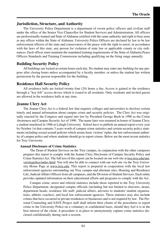## **Jurisdiction, Structure, and Authority**

The University Police Department is a department of sworn police officers and civilian staff under the office of the Senior Vice Chancellor for Student Services and Administration. All officers are professionally trained and State of Alabama certified with the same authority and right to bear arms as any officer within the State of Alabama. University Police Officers are declared by law to be law enforcement officers of the state and conservators of the peace with the right to arrest, in accordance with the laws of this state, any person for violation of state law or applicable county or city ordinances. Each officer must maintain the mandated training requirements of the State of Alabama Peace Officers Standards and Training Commission including qualifying on the firing range annually.

## **Building Security Policy**

All buildings are locked at certain hours each day. No student may enter any building for any purpose after closing hours unless accompanied by a faculty member, or unless the student has written permission by the person responsible for the building.

## **Residence Hall Security Policy**

All residence halls are locked twenty-four (24) hours a day. Access is gained to the residence through a "key fob" access device which is issued to all residents. Only residents and invited guests are allowed in the residence halls at any time.

## **Jeanne Clery Act**

The Jeanne Clery Act is a federal law that requires colleges and universities to disclose certain timely and annual information about campus crime and security policies. The Clery Act was originally enacted by the Congress and signed into law by President George Bush in 1990 as the Crime Awareness and Campus Security Act of 1990. The name later was renamed in honor of Jeanne Clery, a student murdered in 1986 at Lehigh University. School have to publish an annual report every year by October 1st that contains 3 years worth of campus crime statistics and certain security policy statements including sexual assault policies which assure basic victims' rights, the law enforcement authority of campus police and where students should go to report crimes. Below are the most recent statistics for Troy University.

#### **Annual Disclosure of Crime Statistics**

The Dean of Student Services on the Troy campus, in conjunction with the other campuses prepares this report to comply with the Jeanne Clery Disclosure of Campus Security Policy and Crime Statistics Act. The full text of this report can be located on our web site at troy.troy.edu/universitypolice/index.html. You will also be able to connect with our web site via the Troy University Home Page at www.troy.edu. This report is prepared in cooperation with the local law enforcement agencies surrounding our Troy campus and alternate sites, Housing and Residence Life, Judicial Affairs Officers from all campuses, and the Division of Student Services. Each entity provides updated information on their educational efforts and programs to comply with the Act.

Campus crime, arrest and referral statistics include those reported to the Troy University Police Department, designated campus officials (including but not limited to directors, deans, department heads, residence life staff, judicial affairs, advisors to students/ student organizations, athletic coaches), and local law enforcement agencies. These statistics may also include crimes that have occurred in private residences or businesses and is not required by law. The Personal Counseling and SAVE Project staff shall inform their clients of the procedures to report crime to the University Police on a voluntary or confidential basis, should they feel it is in the best interest of the client. A procedure is in place to anonymously capture crime statistics disclosed confidentially during such a session.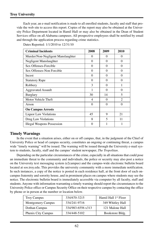## **Troy University**

Each year, an e-mail notification is made to all enrolled students, faculty and staff that provide the web site to access this report. Copies of the report may also be obtained at the University Police Department located in Hamil Hall or may also be obtained in the Dean of Student Services office on all Alabama campuses. All prospective employees shall be notified by email and through the application process regarding crime statistics.

| <b>Criminal Incidents</b>         | 2008     | 2009     | 2010           |
|-----------------------------------|----------|----------|----------------|
| Murder/Non-Negligent Manslaughter | 0        | $\theta$ | 0              |
| Negligent Manslaughter            | 0        | $\Omega$ | $\Omega$       |
| Sex Offenses-Forcible             | $\Omega$ | $\Omega$ | $\Omega$       |
| Sex Offenses-Non Forcible         | $\theta$ | $\theta$ | $\Omega$       |
| <b>Incest</b>                     | $\Omega$ | $\Omega$ | $\Omega$       |
| <b>Statutory Rape</b>             | $\Omega$ | $\theta$ | $\Omega$       |
| Robbery                           | 3        | $\Omega$ |                |
| <b>Aggravated Assault</b>         |          | $\Omega$ | $\Omega$       |
| <b>Burglary</b>                   | 30       | 14       | 5              |
| Motor Vehicle Theft               | 4        | 0        | $\mathfrak{D}$ |
| Arson                             | $\theta$ | $\Omega$ | $\Omega$       |
| <b>On Campus Arrests</b>          |          |          |                |
| <b>Liquor Law Violations</b>      | 45       | 9        | 21             |
| Drug Law Violations               | 8        | 5        | 11             |
| Illegal Weapons Possession        | $\theta$ | 1        |                |

Dates Reported: 1/1/2010 to 12/31/10

#### **Timely Warnings**

In the event that a situation arises, either on or off campus, that, in the judgment of the Chief of University Police or head of campus security, constitutes an ongoing or continuing threat, a campus wide "timely warning" will be issued. The warning will be issued through the University e-mail system to students, faculty, staff and the campus' student newspaper, *The Tropolitan*.

Depending on the particular circumstances of the crime, especially in all situations that could pose an immediate threat to the community and individuals, the police or security may also post a notice on the University text messaging system (e2campus) and the campus-wide electronic bulletin board located at sos.troy.edu. This provides the university community with a more immediate notification. In such instances, a copy of the notice is posted in each residence hall, at the front door of each oncampus fraternity and sorority house, and in prominent places on campus where students may see the notice. The electronic bulletin board is immediately accessible via computer by all faculty, staff and students. Anyone with information warranting a timely warning should report the circumstances to the University Police office or Campus Security Office on their respective campus by contacting the office by phone or in person at the number or location below.

| <b>Troy Campus</b>       | 334/670-3215      | Hamil Hall 1 <sup>st</sup> Floor |
|--------------------------|-------------------|----------------------------------|
| <b>Montgomery Campus</b> | 334/241-9716      | 349 Whitley Hall                 |
| Dothan Campus            | 334/983-6556 x313 | 121 Malone Hall                  |
| Phenix City Campus       | 334/448-5102      | Bookstore Bldg.                  |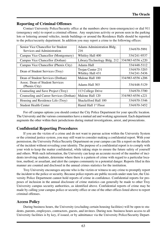## **Reporting of Criminal Offenses**

Contact University Police/Security office at the numbers above (non-emergencies) or dial 911 (emergency only) to report a criminal offense. Any suspicious activity or person seen in the parking lots or loitering around vehicles, inside buildings or around the Residence Halls should be reported to the police/security department. In addition you may report a crime to the following offices:

| Senior Vice Chancellor for Student<br>Services and Administration | Adams Administration Bldg.<br>216     | 334/670-5991                 |
|-------------------------------------------------------------------|---------------------------------------|------------------------------|
| Campus Vice Chancellor (Montgomery)                               | Whitley Hall 400                      | 334/241-9537                 |
| Campus Vice Chancellor (Dothan)                                   | Library/Technology Bldg. 212          | 334/983-6556 x220            |
| Campus Vice Chancellor (Phenix City)                              | Adams Hall                            | 334/448-5112                 |
| Dean of Student Services (Troy)                                   | Trojan Center 231<br>Whitley Hall 431 | 334/670-3203<br>334/241-5436 |
| Dean of Student Services (Dothan)                                 | Malone Hall 100                       | 334/983-6556 x206            |
| Assoc. Dean of Student Services<br>(Phenix City)                  | Adams Hall 303                        | 334/448-5129                 |
| Counseling and Save Project (Troy)                                | 113 College Drive                     | 334/670-3700                 |
| Counseling and Career Services (Dothan)                           | Malone Hall 120                       | 334/983-6556 x221            |
| Housing and Residence Life (Troy)                                 | Shackelford Hall 100                  | 334/670-3346                 |
| <b>Student Health Center</b>                                      | Hamil Hall 1 <sup>st</sup> Floor      | 334/670-3452                 |

For off campus options you should contact the City Police Department for your specific location. The University and the various communities have a mutual aid and working agreement. Each department augments the other within their jurisdictions during mutual investigations, arrest, and prosecutions.

## **Confidential Reporting Procedures**

If you are the victim of a crime and do not want to pursue action within the University System or the criminal justice system, you may still want to consider making a confidential report. With your permission, the University Police/Security Department on your campus can file a report on the details of the incident without revealing your identity. The purpose of a confidential report is to comply with your wish to keep the matter confidential, while taking steps to ensure the future safety of yourself and others. With such information, the University can keep an accurate record of the number of incidents involving students, determine where there is a pattern of crime with regard to a particular location, method, or assailant, and alert the campus community to a potential danger. Reports filed in this manner are counted and disclosed in the annual crimes statistics for the institution.

Troy University encourages anyone who is the victim or witness to any crime to promptly report the incident to the police or security. Because police reports are public records under state law, the University Police Department cannot hold reports of crime in confidence. Confidential reports for proposes of inclusion in the annual disclosure of crime statistics can generally be made to other Troy University campus security authorities, as identified above. Confidential reports of crime may be made by calling your campus police or security office or one of the other offices listed above to report criminal offenses.

## **Access Policy**

During business hours, the University (excluding certain housing facilities) will be open to students, parents, employees, contractors, guests, and invitees. During non- business hours access to all University facilities is by key, if issued, or by admittance via the University Police/Security Depart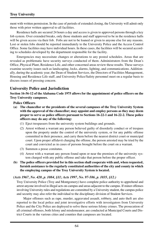ment with written permission. In the case of periods of extended closing, the University will admit only those with prior written approval to all facilities.

Residence halls are secured 24 hours a day and access is given to approved persons through a key fob system. Over extended breaks, only those students and staff approved to be in the residence halls will be given access via their fob. Fobs are not to be loaned or given to anyone else for any reasons. Lost or stolen fobs should be reported immediately to the University Police and the Access Control Office. Some facilities may have individual hours. In these cases, the facilities will be secured according to schedules developed by the department responsible for the facility.

Emergencies may necessitate changes or alterations to any posted schedules. Areas that are revealed as problematic have security surveys conducted of them. Administrators from the Dean's Office, Physical Plant, Residence Life, and other concerned areas review these results. These surveys examine security issues such as landscaping, locks, alarms, lighting, and communications. Additionally, during the academic year, the Dean of Student Services, the Directors of Facilities Management, Housing and Residence Life staff, and University Police/Safety personnel meet on a regular basis to discuss issues of pressing concern.

## **University Police and Jurisdiction**

**Section 16-56-12 of the Alabama Code 1975 allows for the appointment of police officers on the Troy University campuses.**

### **Police Officers**

- **(a) The chancellor or the presidents of the several campuses of the Troy University System with the approval of the chancellor; may appoint and employ persons as they may deem proper to serve as police officers pursuant to Sections 16-22-1 and 16-22-2. These police officers may do any of the following:**
	- (1) Eject trespassers from the university system buildings and grounds.
	- (2) Arrest without a warrant any person believed guilty of disorderly conduct or of trespass upon the property under the control of the university system, or for any public offense committed in their presence, and carry them before the nearest district court or municipal court. Upon proper affidavit charging the offense, the person arrested may be tried by the court and convicted as in cases of persons brought before the court on a warrant.
	- (3) Summon a posse comitatus.
	- (4) Arrest with a warrant any person found upon or near the premises of the university system charged with any public offense and take that person before the proper officer.
- **(b) The police officers provided for in this section shall cooperate with and, when requested, furnish assistance to the regularly constituted authorities of the city and county in which the employing campus of the Troy University System is located.**

## *(Acts 1967, No. 420, p. 1084, §11; Acts 1997, No. 97-586, p. 1035, §12.)*

Troy University Police (Troy and Montgomery) have complete police authority to apprehend and arrest anyone involved in illegal acts on-campus and areas adjacent to the campus. If minor offenses involving University rules and regulations are committed by a University student, the campus police and security may also refer the individual to the disciplinary division of Student Services.

Major offenses such as rape, murder, aggravated assault, robbery, and auto theft are also reported to the local police and joint investigative efforts with investigators from University Police and the City Police are deployed to solve these serious felony crimes. The prosecution of all criminal offenses, both felony and misdemeanor, are conducted at Municipal Courts and District Courts in the various cities and counties that campuses are located.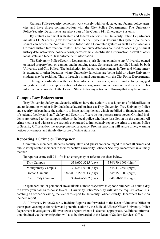Campus Police/security personnel work closely with local, state, and federal police agencies and have direct communication with the City Police Departments. The University Police/Security Departments are also a part of the County 911 Emergency Systems.

By mutual agreement with state and federal agencies, the University Police Departments maintain LETS access (Law Enforcement Tactical Systems). Through this system police personnel can access the National Crime Information Computer system as well as the Alabama Criminal Justice Information Center. These computer databases are used for accessing criminal history data, nationwide police records, driver/vehicle identification information, as well as other local, state and federal law enforcement information.

The University Police/Security Department's jurisdiction extends to any University owned or leased property both on campus and in outlying areas. Some areas are patrolled jointly by both University and City Police. The jurisdiction for the police departments in Troy and Montgomery is extended to other locations where University functions are being held or where University students may be residing. This is through a mutual agreement with the City Police Departments.

Through coordination with local law enforcement agencies, any criminal activity engaged in by students at off-campus locations of student organizations, is monitored and recorded. This information is provided to the Dean of Students for any action or follow-up that may be required.

## **Campus Law Enforcement**

Troy University Safety and Security officers have the authority to ask persons for identification and to determine whether individuals have lawful business at Troy University. Troy University Police and security officers have the authority to issue parking tickets, which are billed to financial accounts of students, faculty, and staff. Safety and Security officers do not possess arrest power. Criminal incidents are referred to the campus police or the local police who have jurisdiction on the campus. All crime victims and witnesses are strongly encouraged to immediately report the crime to campus Police or Security Office and/or the appropriate police agency. Prompt reporting will assure timely warning notices on-campus and timely disclosure of crime statistics.

## **Reporting a Crime or Emergency**

Community members, students, faculty, staff, and guests are encouraged to report all crimes and public safety related incidents to their respective University Police or Security Department in a timely manner.

| <b>Troy Campus</b>       | 334/670-3215 (day)      | 334/670-1999 (night) |
|--------------------------|-------------------------|----------------------|
| <b>Montgomery Campus</b> | 334/241-5920 (day)      | 334/241-2651 (night) |
| Dothan Campus            | 334/983-6556 x313 (day) | 334/615-3000 (night) |
| Phenix City Campus       | 334/448-5102 (day)      | 334/298-0611 (night) |

To report a crime call 911 if it is an emergency or refer to the chart below.

Dispatchers and/or personnel are available at these respective telephone numbers 24 hours a day to answer your call. In response to a call, University Police/Security will take the required action, dispatching an officer or asking the victim to report to University Police/Security Department to file an incident report.

All University Police/Security Incident Reports are forwarded to the Dean of Students Office on the respective campus for review and potential action by the Judicial Affairs Officer. University Police Department investigators will investigate a report when it is deemed appropriate. Additional information obtained via the investigation will also be forwarded to the Dean of Student Services Office.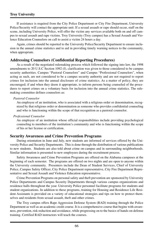## **Troy University**

If assistance is required from the City Police Department or City Fire Department, University Police/Security will contact the appropriate unit. If a sexual assault or rape should occur, staff on the scene, including University Police, will offer the victim any services available both on and off campus to sexual assault and rape victims. Troy University (Troy campus) has a Sexual Assault and Violence Education Counselors on call to assist a victim 24 hours a day.

Again, crimes should be reported to the University Police/Security Department to ensure inclusion in the annual crime statistics and to aid in providing timely warning notices to the community, when appropriate.

## **Addressing Counselors (Confidential Reporting Procedures)**

As a result of the negotiated rulemaking process which followed the signing into law, the 1998 amendments to 20 U.S.C Section 1092 (f), clarification was given to those considered to be campus security authorities. Campus "Pastoral Counselors" and Campus "Professional Counselors", when acting as such, are not considered to be a campus security authority and are not required to report crimes for inclusion into the annual disclosure of crime statistics. As a matter of policy, they are encouraged; if and when they deem it appropriate, to inform persons being counseled of the procedures to report crimes on a voluntary basis for inclusion into the annual crime statistics. The rulemaking committee defines counselors as:

#### *Pastoral Counselor*

An employee of an institution, who is associated with a religious order or denomination, recognized by that religious order or denomination as someone who provides confidential counseling and who is functioning within the scope of that recognition as a pastoral counselor.

#### *Professional Counselor*

An employee of an institution whose official responsibilities include providing psychological counseling to members of the institution's community and who is functioning within the scope of his or her license or certification.

## **Security Awareness and Crime Prevention Programs**

During orientation in June and July, new students are informed of services offered by the University Police and Security Departments. This is done through the distribution of various publications to new students. Students are also told about crime on-campus and in surrounding neighborhoods. Similar information is presented to new employees during the recruitment process.

Safety Awareness and Crime Prevention Programs are offered on the Alabama campuses at the beginning of each semester. The programs are offered on two nights and are open to anyone within the University community. Presenters include the Dean of Student Services, Chief of University Police, Campus Safety Officer, City Police Department representative, City Fire Department Representative and Sexual Assault and Violence Education representative.

Crime Prevention Programs on personal safety and theft prevention are sponsored by University Police Departments and Campus Security Departments through various campus organizations and residence halls throughout the year. University Police personnel facilitate programs for students and student organizations. In addition to these programs, training for Housing and Residence Life Resident Assistants is provided on a variety of educational strategies and tips on how to protect themselves and residents from sexual assault, theft and other crimes.

The Troy campus offers Rape Aggression Defense System (RAD) training through the Police Department as well as an academic credit course. It is a comprehensive course that begins with awareness, prevention, risk reduction and avoidance, while progressing on to the basics of hands-on defense training. Certified RAD instructors will teach the courses.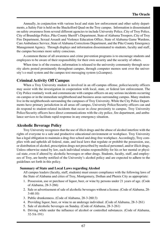Annually, in conjunction with various local and state law enforcement and other safety departments, a Safety Fair is held on the Shackelford Quad on the Troy campus. Information is disseminated on safety awareness from several different agencies to include University Police, City of Troy Police, City of Brundidge Police, Pike County Sheriff's Department, State of Alabama Troopers, City of Troy Fire Department, Sexual Assault and Violence Education Office, State of Alabama Game Wardens, Care Ambulance Service, State of Alabama Corrections Department, and the Pike County Emergency Management Agency. Through displays and information disseminated to students, faculty and staff, the campus becomes more safety conscious.

A common theme of all awareness and crime prevention programs is to encourage students and employees to be aware of their responsibility for their own security and the security of others.

When time is of the essence, information is released to the university community through security alerts posted prominently throughout campus, through computer memos sent over the university's e-mail system and the campus text messaging system (e2campus).

### **Criminal Activity Off Campus**

When a Troy University student is involved in an off-campus offense, police/security officers may assist with the investigation in cooperation with local, state, or federal law enforcement. The City Police routinely work and communicate with campus officers on any serious incidents occurring on-campus or in the immediate neighborhood and business areas surrounding campus. Many students live in the neighborhoods surrounding the campuses of Troy University. While the City Police Departments have primary jurisdiction in all areas off campus, University Police/Security officers can and do respond to student-related incidents that occur in close proximity to campus. Troy University Police/Security officers have direct communications with the city police, fire department, and ambulance services to facilitate rapid response in any emergency situation.

## **Alcoholic Beverage Policy**

Troy University recognizes that the use of illicit drugs and the abuse of alcohol interfere with the rights of everyone to a safe and productive educational environment or workplace. Troy University has a legal obligation to maintain a drug-free school and drug-free workplace. Accordingly, Troy complies with and upholds all federal, state, and local laws that regulate or prohibit the possession, use, or distribution of alcohol, prescription drugs not prescribed by medical personnel, and/or illicit drugs. Unless otherwise stated by law, each individual retains responsibility for his or her mental or physical state, even if altered by alcoholic beverages or other drugs. Students, faculty, staff, and employees of Troy, are hereby notified of the University's alcohol policy and are expected to adhere to the guidelines set forth in this policy.

#### **Summary of State and Local Laws regarding Alcohol**

All campus leaders (faculty, staff, students) must ensure compliance with the following laws of the State of Alabama and cities of Troy, Montgomery, Dothan and Phenix City as appropriate:

- 1. Possession, use or purchase of liquor, beer, or wine by persons under 21 years of age. (Code of Alabama, 28-3-266)
- 2. Sale or advertisement of sale of alcoholic beverages without a license. (Code of Alabama, 28- 3-60:10)
- 3. Public drunkenness. (Code of Alabama, 28-3-260:3)
- 4. Providing liquor, beer, or wine to an underage individual. (Code of Alabama, 28-3-261)
- 5. Sale of alcoholic beverages on Sunday. (Code of Alabama, 28-3-261)
- 6. Driving while under the influence of alcohol or controlled substances. (Code of Alabama, 32-5A-191)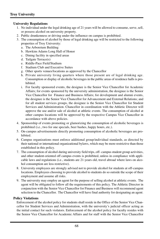## **University Regulations**

- 1. No individual under the legal drinking age of 21 years will be allowed to consume, serve, sell, or possess alcohol on university property.
- 2. Public drunkenness or driving under the influence on campus is prohibited.
- 3. The consumption of alcohol by those of legal drinking age will be restricted to the following properties of Troy University:
	- a. The Arboretum Building
	- b. Hawkins Adams Long Hall of Honor
	- c. Dining facility in specified areas
	- d. Tailgate Terrace(s)
	- e. Riddle-Pace Field/Stadium
	- f. Stadium Club and Executive Suites
	- g. Other sports venues/locations as approved by the Chancellor
	- h. Private university living quarters where those present are of legal drinking age. Consumption or display of alcoholic beverages in the public areas of residence halls is prohibited.
	- i. For faculty sponsored events, the designee is the Senior Vice Chancellor for Academic Affairs; for events sponsored by the university administration, the designee is the Senior Vice Chancellor for Finance and Business Affairs; for development and alumni events, the designee is the Senior Vice Chancellor for Advancement and External Relations; and for all student services groups, the designee is the Senior Vice Chancellor for Student Services and Administration. Chancellor in coordination with the Athletic Director will approve the use and/or sale of alcohol at athletic events. The consumption of alcohol at other campus locations will be approved by the respective Campus Vice Chancellor in accordance with above policies.
- 4. Sponsorship of events promoting or glamorizing the consumption of alcoholic beverages is prohibited (i.e., two for one specials, beer bashes, happy hours, etc.).
- 5. On-campus advertisements directly promoting consumption of alcoholic beverages are prohibited.
- 6. Campus organizations must enforce additional group/individual standards, as directed by their national or international organizational bylaws, which may be more restrictive than those established in this policy.
- 7. The consumption of alcohol during university field trips, off- campus student group activities, and other student-oriented off campus events is prohibited, unless in compliance with applicable laws and regulations (i.e., students are 21-years old, travel abroad where laws on alcohol consumption are less restrictive).
- 8. University employees are strongly advised not to provide alcohol for students at off-campus locations. Employees choosing to provide alcohol to students do so outside the scope of their employment and assume all risks.
- 9. The university may employ an agent for the purpose of selling alcohol at athletic events. The agent will be obligated to follow all the requirements of this policy. The Athletic Director in conjunction with the Senior Vice Chancellor for Finance and Business will recommend agent selection to the Chancellor. The Chancellor will have final authority for designating an agent.

## **Policy Violations**

Enforcement of the alcohol policy for students shall reside in the Office of the Senior Vice Chancellor for Student Services and Administration, with the university's judicial officer acting as the initial contact for such violators. Enforcement of the alcohol policy for faculty resides with the Senior Vice Chancellor for Academic Affairs and for staff with the Senior Vice Chancellor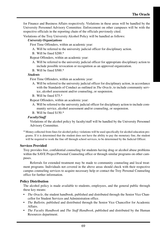for Finance and Business Affairs respectively. Violations in these areas will be handled by the University Personnel Advisory Committee. Enforcement on other campuses will be with the respective officials in the reporting chain of the officials previously cited.

Violations of the Troy University Alcohol Policy will be handled as follows:

#### *University Organizations*

First Time Offenders, within an academic year:

- A. Will be referred to the university judicial officer for disciplinary action.
- B. Will be fined \$200.\*

Repeat Offenders, within an academic year:

- A. Will be referred to the university judicial officer for appropriate disciplinary action to include possible revocation or recognition as an approved organization.
- B. Will be fined \$500.\*

#### *Students*

First Time Offenders, within an academic year:

- A. Will be referred to the university judicial officer for disciplinary action, in accordance with the Standards of Conduct as outlined in *The Oracle*, to include community service, alcohol assessment and/or counseling, or suspension.
- B. Will be fined \$75.\*

Repeat Offenders, within an academic year:

- A. Will be referred to the university judicial officer for disciplinary action to include community service, alcohol assessment and/or counseling, or suspension.
- B. Will be fined \$150.\*

#### *Faculty/Staff*

Violations of the alcohol policy by faculty/staff will be handled by the University Personnel Advisory Committee.

\* Money collected from fines for alcohol policy violations will be used specifically for alcohol education programs. If it is determined that the student does not have the ability to pay the monetary fine, the student will be required to work the fine off through school services, to be determined by the Judicial Officer.

#### **Services Provided**

Troy provides free, confidential counseling for students having drug or alcohol abuse problems within the SAVE Project/Personal Counseling office or through similar programs on other campuses.

Referrals for extended treatment may be made to community counseling and local treatment programs. Individuals not covered in the above areas should check with their respective campus counseling services to acquire necessary help or contact the Troy Personal Counseling office for further information.

#### **Policy Distribution**

The alcohol policy is made available to students, employees, and the general public through these key means:

- **•** *The Oracle*, the student handbook, published and distributed through the Senior Vice Chancellor for Student Services and Administration office.
- **•** *The Bulletin,* published and distributed through the Senior Vice Chancellor for Academic Affairs.
- **•** *The Faculty Handbook* and *The Staff Handbook*, published and distributed by the Human Resources department.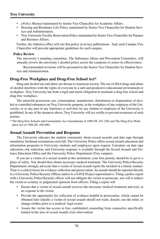## **Troy University**

- **•** *ePolicy Manual* maintained by Senior Vice Chancellor for Academic Affairs.
- **•** Housing and Residence Life Policy maintained by Senior Vice Chancellor for Student Services and Administration.
- **•** Troy University Facility Reservation Policy maintained by Senior Vice Chancellor for Finance and Business Affairs.

Further, the Athletics office will cite this policy in its key publications. And, each Campus Vice Chancellor will provide appropriate guidelines for each campus.

#### **Policy Review**

The university's standing committee, The Substance Abuse and Prevention Committee, will annually review the university's alcohol policy across the campuses to assess its effectiveness.

Recommended revisions will be presented to the Senior Vice Chancellor for Student Services and Administration.

## **Drug-Free Workplace and Drug-Free School Act\***

Drug and alcohol use and abuse are threats to American society. The use of illicit drugs and abuse of alcohol interferes with the rights of everyone to a safe and productive educational environment or workplace. Troy University has both a legal and moral obligation to maintain a drug-free school and drug-free workplace.

The unlawful possession, use, consumption, manufacture, distribution or dispensation of alcohol or controlled substances on Troy University property, in the workplace of any employee of the University, or as any part of any functions or activities by any student or employee of the University is prohibited. In any of the instances above, Troy University will act swiftly to prevent recurrence of such actions.

\* The Drug-Free Schools and Communities Act Amendments of 1989 (PL 101-226) and The Drug-Free Workplace Act of 1988 (PL 100-690).

## **Sexual Assault Prevention and Response**

The University educates the student community about sexual assaults and date rape through mandatory freshman orientations each fall. The University Police offers sexual assault education and information programs to University students and employees upon request. Literature on date rape education, risk reduction, and University response is available through the Sexual Assault and Violence Education Office and the University Police Department (Troy campus).

If you are a victim of a sexual assault at this institution, your first priority should be to get to a place of safety. You should then obtain necessary medical treatment. The University Police/Security Departments strongly advocate that a victim of sexual assault report the incident in a timely manner. Time is a critical factor for evidence collection and preservation. An assault should be reported directly to a University Police/Security Officer and/or to a SAVE Project representative. Filing a police report with a University Police/Security officer will not obligate the victim to prosecute, nor will it subject the victim to scrutiny or judgmental opinions from officers. Filing a report will

- Ensure that a victim of sexual assault receives the necessary medical treatment and tests, at no expense to the victim
- Provide the opportunity for collection of evidence helpful in prosecution, which cannot be obtained later (ideally a victim of sexual assault should not wash, douche, use the toilet, or change clothes prior to a medical/ legal exam)
- Assure the victim has access to free confidential counseling from counselors specifically trained in the area of sexual assault crisis intervention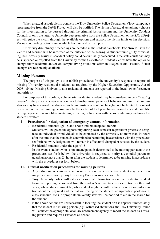When a sexual assault victim contacts the Troy University Police Department (Troy campus), a representative from the SAVE Project will also be notified. The victim of a sexual assault may choose for the investigation to be pursued through the criminal justice system and the University Conduct Council, or only the latter. A University representative from the Police Department or the SAVE Project will guide the victim through the available options and support the victim in his or her decision. Various counseling options are available both on and off campus.

University disciplinary proceedings are detailed in the student handbook*, The Oracle.* Both the victim and accused will be informed of the outcome of the hearing. A student found guilty of violating the University sexual misconduct policy could be criminally prosecuted in the state courts and may be suspended or expelled from the University for the first offense. Student victims have the option to change their academic and/or on-campus living situations after an alleged sexual assault, if such changes are reasonably available.

# **Missing Persons**

The purpose of this policy is to establish procedures for the university's response to reports of missing University residential students, as required by the Higher Education Opportunity Act of 2008. (Note: Missing University non-residential students are reported to the local law enforcement authorities.)

For purposes of this policy, a University residential student may be considered to be a *"missing person"* if the person's absence is contrary to his/her usual pattern of behavior and unusual circumstances may have caused the absence. Such circumstances could include, but not be limited to, a report or suspicion that the missing person may be the victim of foul play, has expressed suicidal thoughts, is drug dependent, is in a life-threatening situation, or has been with persons who may endanger the student's welfare.

#### **I. Procedures for designation of emergency contact information**

- a. Residential students age 18 and above and emancipated minors Students will be given the opportunity during each semester registration process to designate an individual or individuals to be contacted by the university no more than 24 hours after the time that the student is determined to be missing in accordance with the procedures set forth below. A designation will remain in effect until changed or revoked by the student.
- b. Residential students under the age of 18 In the event a student who is not emancipated is determined to be missing pursuant to the procedures set forth below, the university is required to notify a custodial parent or guardian no more than 24 hours after the student is determined to be missing in accordance with the procedures set forth below.

#### **II. Official notification procedures for missing persons**

- a. Any individual on campus who has information that a residential student may be a missing person must notify Troy University Police as soon as possible.
- b. Troy University Police will gather all essential information about the residential student from the reporting person and from the student's acquaintances (description, clothes last worn, where student might be, who student might be with, vehicle description, information about the physical and mental well being of the student, an up-to-date photograph, class schedule, etc.). Appropriate university staff will be notified to aid in the search for the student.
- c. If the above actions are unsuccessful in locating the student or it is apparent immediately that the student is a missing person (e.g., witnessed abduction), the Troy University Police will contact the appropriate local law enforcement agency to report the student as a missing person and request assistance as needed.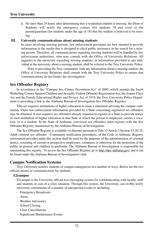d. No later than 24 hours after determining that a residential student is missing, the Dean of Students will notify the emergency contact (for students 18 and over) or the parent/guardian (for students under the age of 18) that the student is believed to be missing.

#### **III. University communications about missing students**

In cases involving missing persons, law enforcement personnel are best situated to provide information to the media that is designed to elicit public assistance in the search for a missing person. Therefore, all communications regarding missing students will be handled by law enforcement authorities, who may consult with the Office of University Relations. All inquiries to the university regarding missing students, or information provided to any individual at the university about a missing student, shall be referred to the Troy University Police.

Prior to providing the Troy community with any information about a missing student, the Office of University Relations shall consult with the Troy University Police to ensure that communications do not hinder the investigation.

#### **Sex Offender Registry**

In accordance to the "Campus Sex Crimes Prevention Act" of 2000, which amends the Jacob Wetterling Crimes Against Children and Sexually Violent Offender Registration Act, the Jeanne Clery Act and the Family Educational Rights and Privacy Act of 1974, the Troy University Police Department is providing a link to the Alabama Bureau of Investigation Sex Offender Registry.

This act requires institutions of higher education to issue a statement advising the campus community where law enforcement information provided by a State concerning registered sex offenders may be obtained. It also requires sex offenders already required to register in a State to provide notice of each institution of higher education in that State at which the person is employed, carries a vocation, or is a student. In the State of Alabama, convicted sex offenders must register with the Sex Offender Registry maintained by the Alabama Bureau of Investigation.

The Sex Offender Registry is available via Internet pursuant to Title 15 Article 2 Section 15-20-25, Adult criminal sex offender - Community notification procedures, of the Code of Alabama. Registry information provided under this section shall be used for the purposes of the administration of criminal justice, screening of current or prospective employees, volunteers or otherwise for the protection of the public in general and children in particular. The Alabama Bureau of Investigation is responsible for maintaining this registry. To access the Sex Offender Registry go to http://dps. alabama.gov/ and it can be found under the Alabama Bureau of Investigation's link.

#### **Campus Notification Systems**

Troy University notifies students of campus emergencies in a number of ways. Below are the two official means of communication for students.

#### **E2campus**

E2campus is the University official text messaging system for communicating with faculty, staff and students in case of a crisis situation. Through this system, the University can swiftly notify university constituents of a number of unexpected events to including:

- Emergency Broadcasts
- Alerts
- Weather Advisories
- School Closing
- Class Cancellations
- Significant Maintenance Events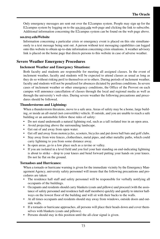Only emergency messages are sent out over the E2campus system. People may sign up for the E2campus system by logging on to the sos.troy.edu web page and clicking the link to subscribe. Additional information concerning the E2campus system can be found on the web page above.

#### **sos.troy.eduWebsite**

Information concerning a particular crisis or emergency event is placed on this site simultaneously to a text message being sent out. A person without text messaging capabilities can logged onto this website to obtain up-to-date information concerning crisis situations. A weather advisory link is placed on the home page that directs persons to this website in case of adverse weather.

## **Severe Weather Emergency Procedures**

#### **Inclement Weather and Emergency Situations:**

Both faculty and students are responsible for meeting all assigned classes. In the event of inclement weather, faculty and students will be expected to attend classes as usual as long as they do so without risking peril to themselves or to others. During periods of inclement weather, faculty and students will not be penalized for absences dictated by perilous conditions. In severe cases of inclement weather or other emergency conditions, the Office of the Provost on each campus will announce cancellation of classes through the local and regional media as well as through the university's web sites. During severe weather the following precautions and procedures should be followed.

#### **Thunderstorms and Lightning:**

When a thunderstorm threatens, move to a safe area. Areas of safety may be a home, large building, or inside an all-metal (not convertible) vehicle. If outside, and you are unable to reach a safe building or an automobile follow these rules of safety:

- Do not stand underneath a natural lightning rod, such as a tall isolated tree in an open area.
- Avoid projecting above the surrounding landscape.
- Get out of and away from open water.
- Get off and away from motorcycles, scooters, bicycles and put down ball bats and golf clubs.
- Stay away from wire fences, clotheslines, metal pipes, and other metallic paths, which could carry lightning to you from some distance away.
- In open areas, go to a low place such as a ravine or valley.
- If you are isolated in a level field and you feel your hair standing on end-indicating lightning is about to strike – drop to your knees and bend forward putting your hands on your knees. Do not lie flat on the ground.

#### **Tornadoes and Hurricanes:**

When a tornado or hurricane warning is given for the immediate vicinity by the Emergency Management Agency, university safety personnel will insure that the following precautions and procedures are taken:

- The residence hall staff and safety personnel will be responsible for verbally notifying all occupants of the buildings.
- Occupants and residents should carry blankets (coats and pillows) and proceed (with the assistance of safety personnel and residence hall staff members) quickly and quietly to interior hallways on the lowest floor of the building and will sit with their backs to the walls.
- At all times occupants and residents should stay away from windows, outside doors and outside walls.
- If a tornado or hurricane approaches, all persons will place their heads down and cover themselves with blankets (coats and pillows).
- Persons should stay in this position until the all-clear signal is given.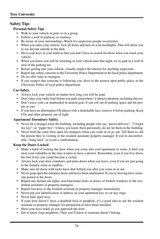# **Safety Tips**

## **Personal Safety Tips**

- Walk to your vehicle in pairs or in a group.
- Follow a well lit pathway or roadway.
- Be aware of your surroundings. Watch for suspicious people or activities.
- When you enter your vehicle, lock all doors and turn on your headlights. This will allow you to see anyone outside in the dark.
- Have your keys in your hand so that you don't have to search for them when you reach your vehicle.
- When you know you will be returning to your vehicle later that night, try to park in a well lit area of the parking lot.
- Before getting into your vehicle, visually inspect the interior for anything suspicious.
- Report any safety concerns to the University Police Department or the local police department.
- Do no offer rides to strangers.
- If you suspect that someone is following you, drive to the nearest open public place, to the University Police or local police department.

## **Car Safety**

- Always lock your vehicle no matter how long you will be gone.
- Don't play your radio loud before you park somewhere- it attracts attention, including thieves.
- Don't leave your car unattended in neutral gear. It can roll out of parking space and hit people or cars
- If you have an aftermarket CD player with a detachable face, remove it before parking. Keep CDs and other property out of sight

#### **Apartment/ Dormitory Safety**

- Never let a stranger enter the building, including people who say "parcel delivery", "I forgot my key", or "paper boy". Unless you know them personally, do not let them in the building.
- Never hold the outer door open for strangers when you come in or go out. Tell them to call the person they're visiting or the resident assistant/ property manager. If you're uncomfortable, "hang back" to avoid a confrontation.

## **Keep the Doors Locked**

- Make a habit of locking the door when you come into your apartment or room. A thief can steal your valuables in the time it takes to have a shower. Remember, even if you live above the first level, you could become a victim.
- Always lock your door, windows, and patio doors when you leave, even if you are just going to the laundry room or mailbox.
- Make sure all doors with locks have shut behind you after you come in or out.
- Never prop open the entrance doors and leave them unattended. If you're moving have someone posted at the doors.
- Report any burned out lights, non-functional locks or doors, or broken windows to the residential assistants or property managers.
- Report lost keys to the resident assistant or property manager immediately
- Never put you identification or address on your apartment key or car key rings.
- Never hide spare keys
- If your door doesn't' have a deadbolt lock or peephole, it's a good idea to ask the resident assistant or property manager for permission to have them installed.
- Have your keys ready as you approach the door.
- Get to know your neighbors. Then you'll know if someone doesn't belong.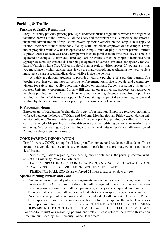# **Parking & Traffic**

## **Parking & Traffic Regulations**

Troy University provides parking privileges under established regulations which are designed to facilitate the work of the university. For the safety and convenience of all concerned, the enforcement and administration of regulations governing motor vehicles on the campus shall apply to visitors, members of the student body, faculty, staff, and others employed on the campus. Every motor-propelled vehicle which is operated on campus must display a current permit. Permits expire August 1 of each year and a new permit must be purchased the first weekday a vehicle is operated on campus. Visitor and Handicap Parking (vehicle must be properly identified with appropriate handicap credentials belonging to operator of vehicle) are checked regularly for violators. Vehicles with a Troy University decal cannot park in visitor spaces. If you are a visitor, you must have a visitor parking pass. If you are handicapped, under Alabama law your vehicle must have a state-issued handicap decal visible inside the vehicle.

A traffic regulations brochure is provided with the purchase of a parking permit. The brochure provides current rates for permits, enforcement hours, fine schedule, and general provisions for safety and legally operating vehicles on campus. Students residing at Fraternity Houses, University Apartments, Sorority Hill and any other university property are required to purchase parking permits. Also, students enrolled in evening classes are required to purchase parking permits. All drivers are responsible for obtaining a copy of the current regulations and abiding by them at all times when operating or parking a vehicle on campus.

#### **Enforcement Hours**

Enforcement of regulations begins the first day of registration. Employee reserved parking is enforced between the hours of 7:00am and 5:00pm., Monday through Friday except during university holidays. General traffic regulations (handicap parking, parking on yellow curb, over curb, on grass, double parking, blocking driveways or streets, driving on lawns, recreation areas or playing fields, speeding, etc.) and parking spaces in the vicinity of residence halls are enforced 24 hours a day, seven days a week.

#### **ZONE PARKING INFORMATION**

Troy University ZONE parking for all faculty/staff, commuter and residence hall students. Those operating a vehicle on the campus are expected to park in the appropriate zone based on the decal issued.

Specific regulations regarding zone parking may be obtained in the parking brochure available at the University Police Departments.

LACK OF SPACE IN A CERTAIN AREA, RAIN, AND INCLEMENT WEATHER ARE NOT VALID EXCUSES FOR VIOLATION OF THESE REGULATIONS.

RESIDENCE HALL ZONES are enforced 24 hours a day, seven days a week.

#### **Special Parking Permits and Zone**

- Persons requiring special parking arrangements may obtain a special parking permit from University Police Office. Proof of disability will be required. Special permits will be given for short periods of time due to illness, pregnancy, surgery or other special circumstances.
- These special permits will allow these individuals to park in specified spaces on campus.
- Once the special permit is no longer needed, the individual will return it to University Police.
- Timed spaces are those spaces on campus with a time limit displayed on the curb. These spaces are for persons to transact University business. STUDENTS AND FACULTY/STAFF MEM-BERS ARE NOT TO PARK IN THESE TIMED SPACES TO EXCEED THE TIME LIMIT.

For specific regulations regarding parking and traffic, please refer to the Traffic Regulation Brochure published by the University Police Department.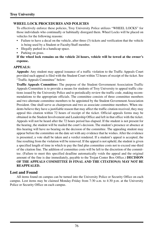## **WHEEL LOCK PROCEDURES AND POLICIES**

To effectively enforce these policies, Troy University Police utilizes "WHEEL LOCKS" for those individuals who continually or habitually disregard them. Wheel Locks will be placed on vehicles for the following reasons:

- Failure to have a decal on the vehicle, after three (3) tickets and verification that the vehicle is being used by a Student or Faculty/Staff member.
- Illegally parked in a handicap space.
- Parking on grass.

#### **If the wheel lock remains on the vehicle 24 hours, vehicle will be towed at the owner's expense.**

#### **APPEALS:**

**Appeals:** Any student may appeal issuance of a traffic violation to the Traffic Appeals Court provided such appeal is filed with the Student Court within 72 hours of receipt of the ticket. See "Traffic Appeals Committee" below:

**Traffic Appeals Committee:** The purpose of the Student Government Association Traffic Appeals Committee is to provide a means for students of Troy University to appeal traffic citations issued by the University Police and to periodically review the traffic code, making recommendations to the appropriate officials. The committee consists of three committee members and two alternate committee members to be appointed by the Student Government Association President. One shall serve as chairperson and two as associate committee members. When students believe they have a justifiable reason that may affect the traffic citation received, they may appeal this citation within 72 hours of receipt of the ticket. Official appeals forms may be obtained in the Student Involvement and Leadership Office and left in that office with the ticket. Appeals will not be heard after the 72 hours period has elapsed. If the student is not present for the hearing, the student will be mailed the court's decision. The student's presence or absence at this hearing will have no bearing on the decision of the committee. The appealing student may appear before the committee on the date set with any evidence that he wishes. After the evidence is presented, a vote shall be taken and a verdict rendered. If a student's appeal is accepted, the fine resulting from the violation will be removed. If the appeal is not upheld, the student is given a specified length of time in which to pay the find plus committee costs not to exceed one-third of the citation fine. The addition of committee costs will be left to the discretion of the committee. (Failure to meet this specified deadline automatically voids the appeal and the original amount of the fine is due immediately, payable to the Trojan Center Box Office.) **DECISION OF THE APPEALS COMMITTEE IS FINAL AND THE CITATION(S) MAY NOT BE REAPPEALED.**

## **Lost and Found**

All items found on campus can be turned into the University Police or Security Office on each campus. Lost items may be claimed Monday-Friday from 7:30 a.m. to 4:30 p.m. at the University Police or Security Office on each campus.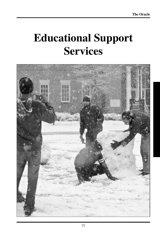# **Educational Support Services**

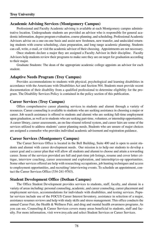# **Academic Advising Services (Montgomery Campus)**

Professional and Faculty Academic advising is available at each Montgomery campus administrative location. Undergraduate students are provided an advisor who is responsible for general academic information, degree program evaluation, course planning, and scheduling. Professional Academic Advisors advise on a one-on-one basis and assist new freshmen, new transfer, and undecided returning students with course scheduling, class preparation, and long range academic planning. Students can call, write, e-mail, or visit the academic advisor of their choosing. Appointments are not necessary.

Once students declare a major they are assigned a Faculty Advisor in their discipline. Faculty Advisors help students review their programs to make sure they are on target for graduation according to their major.

Graduate Students: The dean of the appropriate academic college appoints an advisor for each student.

# **Adaptive Needs Program (Troy Campus)**

Provides accommodations to students with physical, psychological and learning disabilities in accordance with the Americans with Disabilities Act and Section 504. Students must provide recent documentation of their disability from a qualified professional to determine eligibility for the program. The Disability Services Policy is contained in the policy section of this publication.

# **Career Services (Troy Campus)**

Offers comprehensive career planning services to students and alumni through a variety of resources. Career counseling is available to students who are seeking assistance in choosing a major or career. Job search assistance is offered to students and alumni who are seeking full-time employment upon graduation, as well as to students who are seeking part-time, volunteer, or internship opportunities. A career library, career assessments, an on-line résumé referral system, and career fairs are some of the services utilized to address students' career planning needs. Students who are unsure of major choices are assigned a counselor who provides individual academic advisement and registration guidance.

# **Career Services (Montgomery Campus)**

The Career Services Office is located in the Bell Building, Suite 400 and is open to assist students and alumni with career development needs. Our mission is to help our students to develop a career goal and a career plan that will allow all students and alumni to choose and attain a rewarding career. Some of the services provided are full and part-time job listings, resume and cover letter critique, interview coaching, career assessment and exploration, and internship/co-op opportunities. Some other services offered are help with researching occupations, job hunting techniques and access to employment opportunities, and recruiting/ interviewing events. To schedule an appointment, contact the Career Services Office (334-241-9763).

# **Student Development Office (Dothan Campus)**

The Office Student Development provides services to students, staff, faculty, and alumni in a variety of areas including: personal counseling, academic, and career counseling, career placement and employment services, accommodations for individuals with disabilities, and testing services. Popular services include use of the FOCUS Career Interest Inventory, assistance in selection of a major, assistance resumes reviews and help with study skills and stress management. This office conducts the annual Career Fair, the Health & Wellness Fair, and drug and mental health awareness programs. As you can see, Counseling & Career Services covers many areas beneficial to students, staff and faculty. For more information, visit www.troy.edu and select Student Services or Career Services.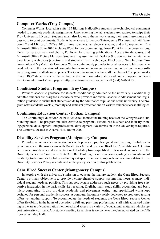# **Computer Works (Troy Campus)**

Computer Works, located in Suite 135 Eldridge Hall, offers students the technological equipment needed to complete academic assignments. Upon entering the lab, students are required to swipe their Troy University ID card. Students must also log onto the network using their email username and password to print documents. Students have access to Lenovo ThinkCentre PCs installed with Windows 7 and Microsoft Office 2010, three scanners, an electric stapler, and a hole-puncher. The Microsoft Office Suite 2010 includes Word for word-processing, PowerPoint for slide presentations, Excel for spreadsheets and charts, Publisher for creating publications, Access for databases, and Microsoft Office Picture Manager. Students may use Internet Explorer 9 to connect to the internet to view faculty web pages (spectrum), and student (Prism) web pages, Blackboard, Web Express, Trojan email, and MyMathLab. Computer Works continuously provides tutorial services to lab users who need help with the operation of computer hardware and scanners, as well as navigation through software programs installed on computers. The Coordinator and student staff members of Computer Works invite TROY students to visit the lab frequently. For more information and hours of operation please visit Computer Works' web page at http://spectrum.troy.edu/~cw or call (334) 670-3413.

# **Conditional Student Program (Troy Campus)**

Provides academic guidance for students conditionally admitted to the university. Conditionally admitted students are assigned a counselor who provides individual academic advisement and registration guidance to ensure that students abide by the admittance stipulations of the university. The program offers students weekly, monthly and semester presentations on various student success strategies.

# **Continuing Education Center (Dothan Campus)**

The Continuing Education Center is dedicated to meet the training needs of the Wiregrass and surrounding areas. The program includes certificate programs, customized business and industry training, personal development, and professional development. No admission to the University is required. The Center is located in Adams Hall, Room 200.

# **Disability Services Program (Montgomery Campus)**

Provides accommodations to students with physical, psychological and learning disabilities in accordance with the Americans with Disabilities Act and Section 504 of the Rehabilitation Act. Students must provide recent documentation of disability from a qualified professional and meet with the Disability Services Coordinator, Suite 325, Bell Building for information regarding documentation of disability, to determine eligibility and to request specific services, supports and accommodations. The Disability Services Policy is contained in the policy section of this publication.

## **Gene Elrod Success Center (Montgomery Campus)**

In keeping with the university's mission to educate the mature student, the Gene Elrod Success Center's primary objective is to provide a comprehensive support system that meets as many individual student needs as possible. This support system addresses such needs by providing free supportive instruction in the basic skills, i.e., reading, English, math, study skills, accounting and basic micro computing. It also provides academic and placement testing, and specialized workshops designed for personal academic success. A computer laboratory solely dedicated to proctored testing offers yet another support. To accommodate the needs of students, the Gene Elrod Success Center offers flexibility in the hours of operation, a full and part-time professional staff with advanced training in the areas of concentration mentioned, and access to a variety of educational materials which support university curricula. Any student needing its services is welcome to the Center, located on the fifth floor of Whitley Hall.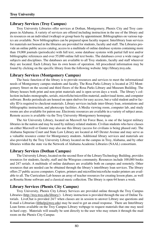# **Library Services (Troy Campus)**

Troy University Libraries offer services at Dothan, Montgomery, Phenix City and Troy campuses in Alabama. A variety of services are offered including instruction in the use of the library and its resources on an individual (walkup) or group basis by appointment. Bibliographies on various topics are available. New bibliographies can be prepared upon faculty request. Interlibrary loan services for materials not housed in the libraries are provided for students, faculty and staff. The Libraries provide an online public access catalog, access to a multitude of online database systems containing more than 19,000 journals (periodicals) with full text, some database systems with partial full text and/or bibliographic references and over 55,000 online full text books. The databases cover a wide range of subjects and disciplines. The databases are available to all Troy students, faculty and staff wherever they are located. Each Library has its own hours of operation. All procedural information may be found by clicking on the specific library from the following website: http://library.troy.edu.

# **Library Services (Montgomery Campus)**

The basic function of the library is to provide resources and services to meet the informational needs of Montgomery campus students and faculty. The Rosa Parks Library is located at 252 Montgomery Street on the second and third floors of the Rosa Parks Library and Museum Building. The library houses both print and non-print materials and is open seven days a week. The library's collection includes monographs, serials, microfiche/microfilm material, audiovisual items, and computer software. Books periodicals are housed on open shelves for easy access, but a valid student and/or faculty ID is required to checkout materials. Library services include inter-library loan, orientations and bibliographic instruction, and photocopy facilities. A Media viewing room, computer lab, and study rooms are also available for patron use. Electronic resources are available in a variety of subject areas. Remote access is available via the Troy University-Montgomery homepage.

The Air University Library, located on Maxwell Air Force Base, is one of the largest military libraries in the nation and may be used by military-related students. Civilian students who have classes on either Maxwell or Gunter may also use this library (access for civilians is being phased out). The Alabama Supreme Court and State Law Library are located at 445 Dexter Avenue and may serve as a valuable resource center for Montgomery students. Additional library services and materials are also provided by the Troy University Library located on the campus in Troy, Alabama, and by other libraries within the state via the Network of Alabama Academic Libraries (NAAL) consortium.

# **Library Services (Dothan Campus)**

The University Library, located on the second floor of the Library/Technology Building, provides resources for students, faculty, staff and the Wiregrass community. Resources include 100,000 books and 247 serials. A multitude of online databases are available both on campus and remotely. Other resources that are needed can be obtained through the library's interlibrary loan services. The library offers 27 public access computers. Copiers, printers and microfilm/microfiche reader printers are available to all. The Curriculum Lab houses an array of teacher resources for creating lesson plans, as well as Rosetta Stone software and a classical music collection. The library is open 64 hours a week.

# **Library Services (Phenix City Campus)**

Troy University, Phenix City Library Services are provided online through the Troy Campus Libraries (http://troy.troy.edu/library/). Library instruction is provided through the use of Online Tutorials. LiveChat is provided 24/7 when classes are in session to answer Library use questions and E-mail a Librarian (libhelp@troy.edu) may be used to get an email response. There are Interlibrary Loan forms available on the Troy Campus Library webpage to request materials that one may need in hard copy. Materials will usually be sent directly to the user who may return it through the mail room on the Phenix City Campus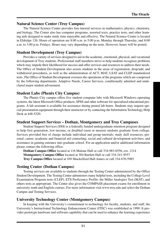## **Natural Science Center (Troy Campus)**

The Natural Science Center provides free tutorial services in mathematics, physics, chemistry, and biology. The Center also has computer programs, assorted texts, practice tests, and other learning aids designed to make study time enjoyable and effective. The Natural Science Center is located in Eldridge 126. Hours of operation are 8:00 a.m. to 5:00 p.m. Monday through Thursday, and 8:00 a.m. to 3:00 p.m. Fridays. Hours may vary depending on the term. However, hours will be posted.

# **Student Development (Troy Campus)**

Provides a variety of services designed to aid in the academic, emotional, physical, and vocational development of Troy students. Professional staff members strive to help students recognize problems which may impede their likelihood for success and offer services and resources to address their needs. The Office of Student Development also assists students in the areas of registration, drop/add, and withdrawal procedures, as well as the administration of ACT, MAT, LSAT and CLEP standardized tests. The Office of Student Development oversees the operations of the programs which are comprised by the following departments: Adaptive Needs, Career Services, conditionally admitted and undeclared major student advisement.

# **Student Labs (Phenix City Campus)**

The Phenix City campus offers five student-computer labs with Microsoft Windows operating systems, the latest Microsoft Office products, SPSS and other software for specialized educational programs. A lab assistant is available for assistance during posted lab hours. Students may request special presentation equipment through their instructor or by contacting the Information Technology Help Desk at 448-5220.

# **Student Support Services – Dothan, Montgomery and Troy Campuses**

Student Support Services (SSS) is a federally funded undergraduate retention program designed to help first generation, low-income, or disabled (seen or unseen) students graduate from college. Services provided free of charge include individual and group tutorials; study skill resources; personal, career, academic and financial aid counseling; social and cultural development activities; and assistance in gaining entrance into graduate school. For an application and/or additional information please contact the following office:

**Dothan Campus Office** located at 116 Malone Hall or call 334-983-6556, ext. 1214 **Montgomery Campus Office** located at 304 Bartlett Hall or call 334-241-9557 **Troy Campus Office** located at 109 Shackelford Hall Annex or call 334-670-5985

# **Testing Center (Dothan Campus)**

Testing services are available to students through the Testing Center administered by the Office Student Development. The Testing Center administers many helpful tests, including the College Level Examination Program tests (CLEP), ETS Proficiency Profile, the Miller Analogies Test (MAT), and others tests as appropriate. The Center also gives the COMPASS placement exams for enrollment in university math and English courses. For more information visit www.troy.edu and select the Dothan Campus and Testing Services.

# **University Technology Center (Montgomery Campus)**

In keeping with the University's commitment to technology for faculty, students, and staff, the University's Instructional Technology Enhancement Center (ITEC) was established in 1999. It provides prototype hardware and software capability that can be used to enhance the learning experience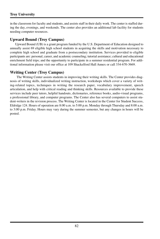# **Troy University**

in the classroom for faculty and students, and assists staff in their daily work. The center is staffed during the day, evenings, and weekends. The center also provides an additional lab facility for students needing computer resources.

# **Upward Bound (Troy Campus)**

Upward Bound (UB) is a grant program funded by the U.S. Department of Education designed to annually assist 69 eligible high school students in acquiring the skills and motivation necessary to complete high school and graduate from a postsecondary institution. Services provided to eligible participants are: personal, career, and academic counseling; tutorial assistance; cultural and educational enrichment field trips; and the opportunity to participate in a summer residential program. For additional information please visit our office at 109 Shackelford Hall Annex or call 334-670-3669.

# **Writing Center (Troy Campus)**

The Writing Center assists students in improving their writing skills. The Center provides diagnosis of writing skills, individualized writing instruction, workshops which cover a variety of writing-related topics, techniques in writing the research paper, vocabulary improvement, speech articulation, and help with critical reading and thinking skills. Resources available to provide these services include peer tutors, helpful handouts, dictionaries, reference books, audio-visual programs, a professional library, and computer programs. The Center also has several computers to assist student-writers in the revision process. The Writing Center is located in the Center for Student Success, Eldridge 124. Hours of operation are 8:00 a.m. to 5:00 p.m. Monday through Thursday and 8:00 a.m. to 3:00 p.m. Friday. Hours may vary during the summer semester, but any changes in hours will be posted.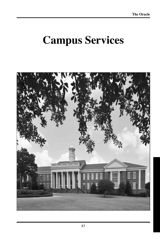# **Campus Services**

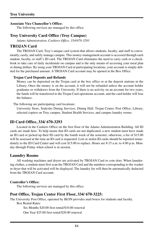#### **Associate Vice Chancellor's Office:**

The following services are managed by this office:

# **Troy University Card Office (Troy Campus)**

*Adams Administration, Cashiers Office, 334/670-3293*

## **TROJAN Card**

The TROJAN Card, Troy's unique card system that allows students, faculty, and staff to conveniently, easily, and safely manage campus. This money-management account is accessed through each student, faculty, or staff's ID card. The TROJAN Card eliminates the need to carry cash or a checkbook to take care of daily incidentals on campus and is the only means of accessing your meal plan or dining dollars. By using your TROJAN Card at participating locations, your account is simply debited for the purchased amount. A TROJAN Card account may be opened at the Box Office.

#### **Trojan Card Deposits and Refunds**

Money can be deposited on the Trojan card at the box office or at the deposit stations in the Library. Once the money is on the account, it will not be refunded unless the account holder graduates or withdraws from the University. If there is no activity on an account for two years, the funds will be transferred to the Trojan Card operations account, and the card holder will lose the balance.

The following are participating card locations:

University Store, Sodexho Dining Services, Dining Hall, Trojan Center, Post Office, Library, selected copiers on Troy campus, Student Health Services, and campus laundry rooms.

## **ID Card Office, 334/ 670-3293**

Located in the Cashiers Office on the first floor of the Adams Administration Building. All ID cards are made here. To help insure that ID cards are not duplicated, a new student must have made an ID card or picked up their ID card by the fourth week of the semester; otherwise, a fee of \$15.00 will be assessed at the time an ID card is requested. Lost or stolen ID cards should be reported immediately to the ID Card Center and will cost \$15.00 to replace. Hours are 8:15 a.m. to 4:00 p.m. Monday through Friday when school is in session.

## **Laundry Rooms**

All washing machines and dryers are activated by TROJAN Card or coin slots. When laundering clothes, a student must first scan the TROJAN Card and the numbers corresponding to the washer or dryer that will be activated will be displayed. The laundry fee will then be automatically deducted from the TROJAN Card account.

#### **Controller's Office:**

The following services are managed by this office:

## **Post Office, Trojan Center First Floor, 334/ 670-3225:**

The University Post Office, operated by IKON provides mail boxes for students and faculty. Box Rental Rates:

Six Months \$20.00 first rental/\$10.00 renewal

One Year \$25.00 first rental/\$20.00 renewal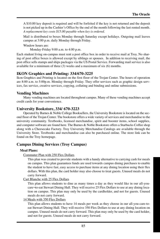A \$10.00 key deposit is required and will be forfeited if the key is not returned and the deposit is not picked up in the Cashier's Office by the end of the month following the last rented month*. A replacement key costs \$15.00 payable when key is ordered.*

Mail is distributed to boxes Monday through Saturday except holidays. Outgoing mail leaves campus at 3:00 p.m. daily Monday through Friday.

Window hours are:

Monday-Friday 9:00 a.m. to 4:00 p.m.

Each student living on-campus must rent a post office box in order to receive mail at Troy. No sharing of post office boxes is allowed except by siblings or spouses. In addition to receiving mail, the post office sells stamps and ships packages via the US Postal Service. Forwarding mail service is also available for a minimum of three (3) weeks and a maximum of six (6) months.

# **IKON Graphics and Printing: 334/670-3225**

Ikon Graphics and Printing is located on the first floor of the Trojan Center. The hours of operation are 8:00 a.m. to 5:00p.m. Monday through Friday. They offer services such as graphic design services, fax service, creative services, copying, collating and binding and online submissions.

# **Vending Machines**

Many vending machines are located throughout campus. Many of these vending machines accept credit cards for your convenience.

## **University Bookstore, 334/ 670-3223**

Operated by Barnes & Noble College Booksellers, the University Bookstore is located on the second floor of the Trojan Center. The bookstore offers a wide variety of services and merchandise to the university community. Textbooks, licensed merchandise, spirit and booster items, school supplies, and computer software are found here. The Barnes & Noble Bookstore offers a Starbucks Coffee shop along with a Cheesecake Factory. Troy University Merchandise Catalogs are available through the University Store. Textbooks and merchandise can also be purchased online. The store link can be found on the Troy homepage.

# **Campus Dining Services (Troy Campus)**

#### **Meal Plans:**

Commuter Plan with 250 Flex Dollars

This plan was created to provide students with a handy alternative to carrying cash for meals on campus. This plan guarantees funds are used towards campus dining purchases to enable the student to have fast, easy access to purchase items at any dining location using their flex dollars. With this plan, the card holder may also choose to treat guests. Unused meals do not carry forward.

Cart Blanche with 25 Flex Dollars

This plan allows students to dine as many times a day as they would like in our all-youcare¬to-eat Stewart Dining Hall. They will receive 25 Flex Dollars to use at any dining location on campus. This plan may only be used by the cardholder, and not for guests. Unused meals do not carry forward.

14 Meals with 350 Flex Dollars

This plan allows students to have 14 meals per week as they choose in our all-you-care-toeat Stewart Dining Hall. They will receive 350 Flex Dollars to use at any dining location on campus. Unused meals do not carry forward. This plan may only be used by the card holder, and not for guests. Unused meals do not carry forward.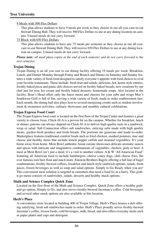## **Troy University**

#### 9 Meals with 500 Flex Dollars

This plan allows students to have 9 meals per week as they choose in our all-you-care-to-eat Stewart Dining Hall. They will receive 500 Flex Dollars to use at any dining location on campus. Unused meals do not carry forward.

#### 75 Block with 650 Flex Dollars

This plan allows students to have any 75 meals per semester as they choose in our all-youcare-to-eat Stewart Dining Hall. They will receive 650 Flex Dollars to use at any dining location on campus. Unused meals do not carry forward.

*Please note: all meal plans expire at the end of each semester and do not carry forward to the next semester.*

#### **Trojan Dining**

Trojan Dining is an all you care to eat dining facility offering 19 meals per week: Breakfast, Lunch, and Dinner Monday through Friday and Brunch and Dinner on Saturday and Sunday features a wide variety of fresh food designed to satisfy everyone's appetite with food choices to rival your favorite restaurants. These include: fresh fruit and salads; delicious, hot, home-style entrées; freshly baked pizza and pasta; deli choices served on freshly baked breads; new creations by our chef just for you; Ice cream and freshly baked desserts; homemade soups. Also located in the facility, Boar's Head offers only the finest meats and cheeses for your subs and wraps Moe's Southwest Grill is full of fun, serving a wide variety of fresh, made to order southwestern fare. Each month, the dining hall also plays host to several energizing events such as student involvement & awareness activities, culinary showcases and monthly cultural celebrations.

#### **Trojan Express Food Court**

The Trojan Express food court is located on the first floor of the Trojan Center and features a great variety to choose from. Chick-fil-A is a proven hit on the campus. Whether for breakfast, lunch or dinner, patrons can always depend on Chick-fil-A to deliver high quality taste in a sandwich, wrap or salad. Sub Connection offers sub sandwiches, enticing subs made with high quality meats, garden-fresh produce and fresh breads. The portions are generous and made to-order. Marketplace features traditional comfort foods such as fried chicken, mashed potatoes, mac and cheese and healthy items that include lemon pepper catfish and steamed vegetables. It's your home away from home. Mein Bowl authentic Asian cuisine showcases delicate aromatic sauces and spices with intricate and imaginative combinations of vegetables, chicken, pork or beef. A meal at Mein Bowl isn't just a meal; it's a visit to another culture. A & W 'All American Food" featuring all American food to include hamburgers, cheese coney dogs, chili cheese fries, the ever famous root beer float and much more. Einstein Brothers Bagels offering a full line of bagel combinations, freshly-brewed coffees, breakfast and lunch-style sandwich options, salads, fresh juices, frozen beverages as well as soup and salad options. Simply to Go Ready when you are! This convenient meal solution is targeted at customers that need a food fix in a hurry. This grabn-go menu consists of sandwiches, salads, desserts and healthy snack options.

#### **Math and Science Complex Quick Zone**

Located on the first floor of the Math and Science Complex, Quick Zone offers a healthy graband-go option, Simply to Go, and also serves freshly-brewed Jazzman's coffee. Cold beverages and several other snack options are also available at this location.

#### **Herb's Place**

A convenience store located in building 400 of Trojan Village. Herb's Place houses a deli offering satisfying, fresh sub sandwiches made to order. Herb's Place proudly serves freshly-brewed Jazzman's coffee, frozen foods, cold beverages, milk, bread, and also offers everyday items such as paper plates and cups and detergent.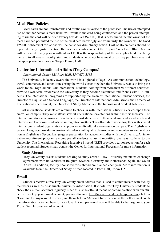# **Meal Plan Policies**

Meal cards are non-transferable and for the exclusive use of the purchaser. The use or attempted use of another person's meal ticket will result in the card being confiscated and the person attempting to use the card will be fined twenty five dollars (\$25.00). If it is determined that the owner of the meal card had permitted the use of the meal card knowingly and voluntarily, the owner will be fined \$25.00. Subsequent violations will be cause for disciplinary action. Lost or stolen cards should be reported to any register location. Replacement cards can be at the Trojan Center Box Office. Access will be denied to any person without an I.D. It is the responsibility of the meal plan holder to bring the card to all meals. Faculty, staff and students who do not have meal cards may purchase meals at the appropriate door price in Trojan Dining Hall.

# **Center for International Affairs (Troy Campus)**

## *International Center 128 Pace Hall, 334/ 670-3335*

The University is keenly aware the world is a "global village". As communication technology, travel, commerce, and other issues bring the world closer together, the University wants to bring the world to the Troy Campus. Our international students, coming from more than 50 different countries, provide a wonderful resource to the University as they become classmates and friends with U.S. students. The international programs are supported by the Dean of International Student Services, the Director of English as a Second Language, the Director of International Admissions, the Director of International Recruitment, the Director of Study Abroad and the International Student Advisors.

All international students are required to check-in with International Student Services upon their arrival on campus. They must attend several international orientations within the first semester. The international student advisors are available to assist students with their academic and social needs and interests and to counsel students on immigration matters. The office staff works together with several international student organizations to promote multicultural awareness on campus. The English as a Second Language provides international students with quality classroom and computer-assisted instruction in English as a Second Language as preparation for academic studies with the University. An innovative recruitment program encourages all students to assist recruiting overseas students to the University. The International Recruiting Incentive Stipend [IRIS] provides a tuition reduction for each student recruited. Students may contact the Center for International Programs for more information.

#### **Study Abroad**

Troy University assists students seeking to study abroad. Troy University maintains exchange agreements with universities in Belgium, Sweden, Germany, the Netherlands, Spain and South Korea. In addition, faculty-sponsored trips abroad are planned each year. More information is available from the Director of Study Abroad located in Pace Hall, Room 115.

# **Email**

Students receive a free Troy University email address that is used to communicate with faculty members as well as disseminate university information. It is vital for Troy University students to check their e-mail accounts regularly, since this is the official means of communication with our students. To set up your e-mail account, you need to go to http://www.troy.edu/webexpress.htm, click on "Continue to Trojan Web Express", and then click on "Account Information" at the bottom right. With the information obtained here for your User ID and password, you will be able to then sign onto your Trojan Web Express email account.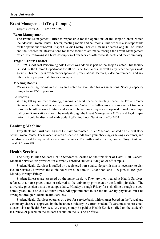# **Event Management (Troy Campus)**

*Trojan Center 227, 334/ 670-3207*

#### **Event Management**

The Event Management Office is responsible for the operations of the Trojan Center, which includes the Trojan Center Theater, meeting rooms and ballrooms. This office is also responsible for the operations of Sorrell Chapel, Claudia Crosby Theater, Hawkins Adams Long Hall of Honor, and the Arboretum. Reservations for these facilities are made through the Event Management office. The following is a brief description of our services offered to students and the community:

#### **Trojan Center Theater**

In 1989, a 290-seat Performing Arts Center was added as part of the Trojan Center. This facility is used by the Drama Department for all of its performances, as well as by other campus wide groups. This facility is available for speakers, presentations, lectures, video conferences, and any other activity appropriate for its atmosphere.

#### **Meeting Rooms**

Various meeting rooms in the Trojan Center are available for organizations. Seating capacity ranges from 12-55 persons.

#### **Ballrooms**

With 6,000 square feet of dining, dancing, concert space or meeting space, the Trojan Center Ballrooms are the most versatile rooms in the Center. The ballrooms are composed of two sections, each with its own lighting and sound. The sections may also be opened to make one large ballroom. Reservations should be made through the Event Management Office and food preparations should be discussed with Sodexho/Dining Food Services at 670-3454.

## **Banking Machine**

Troy Bank and Trust and Higher One have Automated Teller Machines located on the first floor of the Trojan Center. These machines can dispense funds from your checking or savings accounts, and can also be used to inquire about account balances. For further information, contact Troy Bank and Trust at 566-4000.

## **Health Services**

The Mary E. Rich Student Health Services is located on the first floor of Hamil Hall. General Medical Services are provided for currently enrolled students living on or off campus.

Student Health Services is staffed by a registered nurse daily. No permission is necessary to visit Health Services, however, the clinic hours are 8:00 a.m. to 12:00 noon, and 1:00 p.m. to 4:00 p.m. Monday through Friday.

Student illnesses are assessed by the nurse on duty. They are then treated at Health Services, referred to a nurse practitioner or referred to the university physician or the family physician. The university physician visits the campus daily, Monday through Friday for sick clinic through the academic year. He is on call at other times. All appointments to see the university physician must be arranged through Student Health Services.

Student Health Services operates on a fee-for-service basis with charges based on the "usual and customary charges" approved by the insurance industry. A current student ID card must be presented at each visit to Health Services. Any charges may be paid at Health Services, filed on the student's insurance, or placed on the student account in the Business Office.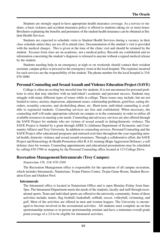Students are strongly urged to have appropriate health insurance coverage. As a service to students, a basic sickness and accident insurance policy is offered to students taking six or more hours. Brochures explaining the benefits and premiums of the student health insurance can be obtained at Student Health Services.

Students are expected to schedule visits to Student Health Services during a vacancy in their class schedule unless they are too ill to attend class. Documentation of the student's visit is provided with the medical charges. This is given at the time of the clinic visit and should be retained by the student. Excuses from class are an academic, not a medical policy. Records are confidential and no information concerning the student's diagnosis is released to anyone without a signed medical release by the student.

Students needing help in an emergency at nigh or on weekends should contact their resident assistant, campus police or proceed to the emergency room at the local hospital. The expenses incurred for such services are the responsibility of the student. The phone number for the local hospital is 334/ 670-5000.

## **Personal Counseling and Sexual Assault and Violence Education Project (SAVE)**

College is often an exciting but stressful time for students. It is not uncommon for personal problems to arise that may interfere with an individual's academic and personal success. Students may struggle with many different types of issues while in college. These issues may include, but are not limited to stress, anxiety, depression, adjustment issues, relationship problems, grief/loss, eating disorders, sexuality concerns, and alcohol/drug abuse, etc. Short-term, individual counseling is available to registered students. Counseling services are free and confidential. When necessary, the counseling staff will make appropriate referrals on campus or in the community in order to utilize all available resources in meeting your needs. Counseling and advocacy services are also offered through the SAVE Project for students who are victims of sexual assault or dating/domestic violence. The SAVE Project is funded by a grant through ADECA (Alabama Department of Economic and Community Affairs) and Troy University. In addition to counseling services, Personal Counseling and the SAVE Project offer educational programs and outreach activities throughout the year regarding mental health, domestic violence and sexual assault awareness. Through a collaborative effort, the SAVE Project and Kinesiology & Health Promotion offer R.A.D. training (Rape Aggression Defense), a self defense class for women. Counseling appointments and educational presentations may be scheduled by calling 670-3700 or stopping by the Personal Counseling office located at 113 College Drive.

# **Recreation Management/Intramurals (Troy Campus)**

#### *Natatorium 159, 334/ 670-3569*

The Recreation Management office is responsible for the operations of all campus recreation, which includes Intramurals, Natatorium, Trojan Fitness Center, Trojan Game Room, Student Recreation Gym and Outdoor Pool.

#### **Intramurals**

The Intramural office is located in Natatorium Office and is open Monday-Friday from 8am-5pm. The Intramural Department meets the needs of the students, faculty and staff through recreational sports. Team and individual sports are offered to the university community. Some of these activities include; tennis, flag football, basketball, softball, soccer, volleyball, swimming, and golf. Most of the activities are offered in men and women leagues. The University is encouraged to become involved in the recreational activities. All students must complete an on-line sportsmanship seminar or in person sportsmanship seminar and have a minimum overall grade point average of a 2.0 to be eligible for intramural activities.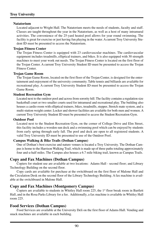## **Troy University**

#### **Natatorium**

Located adjacent to Wright Hall. The Natatorium meets the needs of students, faculty and staff. Classes are taught throughout the year in the Natatorium, as well as a host of many intramural activities. The convenience of the 25-yard heated pool allows for year round swimming. The facility is great for exercise or just having fun playing in the water. A current Troy University Student ID must be presented to access the Natatorium.

#### **Trojan Fitness Center**

The Trojan Fitness Center is equipped with 23 cardiovascular machines. The cardiovascular equipment includes treadmills, elliptical trainers, and bikes. It is also equipped with 30 strength machines to meet your work out needs. The Trojan Fitness Center is located on the first floor of the Trojan Center. A current Troy University Student ID must be presented to access the Trojan Fitness Center.

#### **Trojan Game Room**

The Trojan Game Room, located on the first floor of the Trojan Center, is designed for the entertainment and enjoyment of the university community. Table tennis and billiards are available for recreational play. A current Troy University Student ID must be presented to access the Trojan Game Room.

#### **Student Recreation Gym**

Located next to the outdoor pool and across from sorority hill. The facility contains a regulation size basketball court or two smaller courts used for intramural and recreational play. The building also houses a cardio room with elliptical trainers, bikes, treadmills, stepper, Stretch mate system, and a multi-station weight center. Locker and shower facilities are available for both men and women. A current Troy University Student ID must be presented to access the Student Recreation Gym.

#### **Outdoor Pool**

Located next to the Student Recreation Gym, on the corner of College Drive and Elm Street, this facility includes a wooden sun deck and a swimming pool which can be enjoyed by students from early spring through early fall. The pool and deck are open to all registered students. A valid Troy University ID must be presented to use of the Outdoor Pool.

#### **Campus Walking & Bike Trails (Dothan Campus)**

One of Dothan's best exercise and nature venues is located a Troy University. The Dothan Campus is home to the Harrison Walking Trail, which is made up of three paths totaling approximately four and-a-half miles. The Campus also houses a 6.7 mile biking trail, known as Campus Trails.

#### **Copy and Fax Machines (Dothan Campus)**

Copiers for student use are available at two locations: Adams Hall - second floor; and Library Technology Building on the second floor.

Copy cards are available for purchase at the switchboard on the first floor of Malone Hall and the Circulation Desk on the second floor of the Library Technology Building. A fax machine is available at the switchboard in Malone Hall.

#### **Copy and Fax Machines (Montgomery Campus)**

Copiers are available to students in Whitley Hall room  $225$ , the 1st floor break room in Bartlett Hall, and in the Rosa Parks Library for a fee. Additionally, a fax machine is available in Whitley Hall room 225.

#### **Food Services (Dothan Campus)**

Food Services are available at the University Deli on the first floor of Adams Hall. Vending and snack machines are available in each building.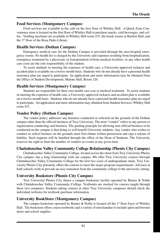# **Food Services (Montgomery Campus)**

Food services are available in the café on the first floor of Whitley Hall. A Quick Zone Convenience store is located on the first floor of Whitley Hall to purchase snacks, cold beverages, and coffee. Vending machines are available in Whitley Hall room 225, the break rooms in Bartlett Hall, and the 3rd floor of the Rosa Parks Library.

# **Health Services (Dothan Campus)**

Emergency medical care for the Dothan Campus is provided through the area hospital emergency rooms. No health fee is charged by the University and expenses resulting from hospitalization, emergency treatment by a physician, or transportation to/from medical facilities, or any other health care costs are the sole responsibility of the student.

To assist students in meeting the expenses of health care, a University-approved sickness and accident plan is available on a twelve-month basis. Students who do not already have a personal health insurance plan are urged to participate. An application and more information may be obtained from the Office of Student Development, Malone Hall, Room 120.

# **Health Services (Montgomery Campus)**

Students are responsible for their own health care cost or medical treatment. To assist students in meeting the expenses of health care, a University-approved sickness and accident plan is available on a twelve-month basis. Students who do not already have a personal health insurance plan are urged to participate. An application and more information may obtained from Student Services, Whitley Hall room 431.

# **Vendor Policy (Dothan Campus)**

The vendor policy addresses any business conducted or solicited on the grounds of the Dothan campus other than the official business of Troy University. The term "vendor" refers to any person or organization conducting said business. The guiding principle for allowing non-official business to be conducted on the campus is that doing so will benefit University students. Any vendor who wishes to conduct or solicit business on the grounds must first obtain written permission and sign a release of liability. Such requests will be handled through the office of the Dean of Students. The University reserves the right to limit the number of vendors or events at any given time.

# **Chattahoochee Valley Community College Relationship (Phenix City Campus)**

Chattahoochee Valley Community College, located across the street from Troy University Phenix City campus, has a long relationship with our campus. We offer Troy University courses through Chattahoochee Valley Community College for the first two years of undergraduate study. Troy University Phenix City primarily offers the courses to meet the major program requirements. Advisers at both schools work to provide an easy transition from the community college to the university setting.

# **University Bookstore (Phenix City Campus)**

Troy University Phenix City shares a campus bookstore facility operated by Barnes & Noble with Chattahoochee Valley Community College. Textbooks are stocked for courses taught through these two campuses. Students taking courses at other Troy University campuses should check the individual websites for textbook purchase information.

# **University BookStore (Montgomery Campus)**

The campus bookstore operated by Barnes  $\&$  Noble is located off the 1<sup>st</sup> floor foyer of Whitley Hall. The bookstore offers course textbooks and a variety of merchandise to include spirit and booster items and school supplies.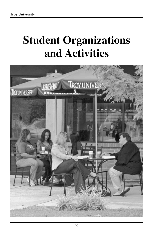# **Student Organizations and Activities**

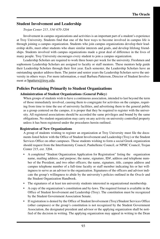# **Student Involvement and Leadership**

*Trojan Center 215, 334/ 670-3204*

Involvement in campus organizations and activities is an important part of a student's experience at Troy University. Students find that one of the best ways to become involved in campus life is through joining a campus organization. Students who join campus organizations develop their leadership skills, meet other students who share similar interests and goals, and develop lifelong friendships. Students involved with campus organizations made a great deal of difference in the lives of many people. Troy University encourages every student to join a campus organization.

Leadership Scholars are required to work three hours per week for the university. Freshmen and sophomore Leadership Scholars are assigned to faculty or staff mentors. These mentors help guide their Leadership Scholars through their first year. Each semester, the Leadership Scholars have an outstanding speaker address them. The junior and senior years the Leadership Scholars serve the university in others ways. For more information, e-mail Barbara Patterson, Director of Student Involvement at bpatters@troy.edu.

# **Policies Pertaining Primarily to Student Organizations**

#### **Administration of Student Organizations (General Policy)**

When groups of students wish to have a continuous association, intended to last beyond the term of those immediately involved, causing them to congregate for activities on the campus, requiring from time to time the use of university facilities, and advertising them to the general public as a group centered on the campus, it is proper that they be required to register with the university. All registered associations should be accorded the same privileges and bound by the same obligations. No student organization may carry on any activity on university controlled property unless it has been registered under the procedures herein outlined.

#### **Registration of New Organizations**

A group of students wishing to register an organization at Troy University must file the documents listed below with the Office of Student Involvement and Leadership (Troy) or the Student Services Office on other campuses. Those students wishing to form a social Greek organization should request from the Interfraternity Council, Panhellenic Council, or NPHC Council, Trojan Center 215, ext. 3204.

- A completed "Student Organization Application for Registration" listing the organization name, mailing address, and purpose; the name, signature, ID#, address and telephone number of the President, and two other officers; the name, signature, title, campus address and campus telephone number of a full-time faculty or staff member indicating his or her willingness to serve as an advisor to the organization. Signatures of the officers and advisor indicate the group's willingness to abide by the university's policies outlined in the *Oracle* and the Student Organization Handbook.
- The signatures of at least ten university students interested in organizational membership.
- A copy of the organization's constitution and by-laws. The required format is available in the Office of Student Involvement and Leadership (Troy). The constitution must be recognized by the Student Government Association Senate.
- If registration is denied by the Office of Student Involvement (Troy)/Student Services Office (other campuses) or the group's constitution is not recognized by the Student Government Association, the designated president and advisor or the applying organization shall be notified of the decision in writing. The applying organization may appeal in writing to the Dean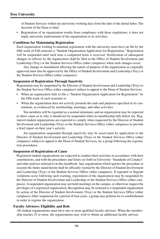of Student Services within ten university working days from the date of the denial letter. The decision of the Dean is final.

• Registration of an organization results from compliance with these regulations; it does not imply university endorsement of the organization or its activities.

#### **Conditions for Maintaining Registration**

Each organization wishing to maintain registration with the university must have on file by the fifth week of Fall semester a "Student Organization Application for Registration." Registration will be suspended until such time a completed form is received. Notification of subsequent changes in officers by the organization shall be filed in the Office of Student Involvement and Leadership (Troy) or the Student Services Office (other campuses) when such changes occur.

Any change or amendment affecting the nature of purpose of the organization as originally approved must also be approved by the Office of Student Involvement and Leadership (Troy) or the Student Services Office (other campuses).

## **Suspension of Registration Through Inactivity**

Registration may be suspended by the Director of Student Involvement and Leadership (Troy) or the Student Services Office (other campuses) subject to appeal to the Dean of Student Services:

- When an organization fails to file a "Student Organization Application for Registration" by the fifth week of each semester or
- When the organization does not actively promote the ends and purposes specified in its constitution, as evidenced by membership, meetings, and other activities.

Ten members will be regarded as a normal minimum, and an organization may be expected to show cause as to why it should not be suspended when its membership falls below ten. Registered student organizations are expected to comply when requested by the Director of Student Involvement and Leadership (Troy) or the Student Services Office (other campuses) to provide a brief report on their year's activity.

An organization suspended through inactivity may be reactivated by application to the Director of Student Involvement and Leadership (Troy) or the Student Services Office (other campuses) subject to appeal to the Dean of Student Services, by a group following the registration procedures.

#### **Suspension of Registration of Cause**

Registered student organizations are expected to conduct their activities in accordance with their constitutions, and with the procedures and limits set forth in University "Standards of Conduct" and other policies referred to in this handbook. Any organization which ignores the procedure or exceeds the limits stated herein shall be officially warned by the Director of Student Involvement and Leadership (Troy) or the Student Services Office (other campuses). If repeated or flagrant violations occur following such warning, registration of the organization may be suspended by the Director of Student Involvement and Leadership or the Student Services Office (other campuses). A suspended organization may not hold meetings on the campus, or otherwise request the privileges of a registered organization. Recognition may be restored to a suspended organization by action of the Director of Student Involvement (Troy) or the Student Services Office (other campuses).After suspension for a period of four years, a group may petition for re-establishment in order to register the organization.

#### **Faculty Advisors: Eligibility and Role**

All student organizations must have one or more qualified faculty advisors. When the membership reaches 25 or more, the organizations may wish to obtain an additional faculty advisor.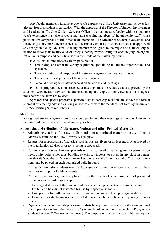Any faculty member with at least one year's experience at Troy University may serve as faculty advisor to a student organization. With the approval of the Director of Student Involvement and Leadership (Troy) or Student Services Office (other campuses), faculty with less than one year's experience may also serve, as may non-teaching members of the university staff whose positions are comparable to full-time faculty members. The Director of Student Involvement and Leadership (Troy) or Student Services Office (other campuses) must be advised and approve of any change in faculty advisors. A faculty member who agrees to the request of a student organization to serve as its faculty advisor accepts thereby responsibility for encouraging the organization in its purpose and activities, within the limits of the university policy.

Faculty and alumni advisors are responsible for:

- This policy and other university regulations pertaining to student organizations and speakers.
- The constitution and purposes of the student organization they are advising.
- The activities and projects of their organizations.
- Personal or designated attendance at all functions and meetings.

Policy or program decisions reached at meetings must be reviewed and approved by the advisors. Organization advisors should be called upon to express their views and make suggestions before decisions are reached.

Speakers and special programs sponsored by student organizations must have the formal approval of a faculty advisor, as being in accordance with the standards set forth by the university (See Visiting Speaker Policy.)

#### **Meetings**

Recognized student organizations are encouraged to hold their meetings on campus, University facilities will be made available whenever possible.

#### **Advertising, Distribution of Literature, Notices and other Printed Materials**

- Advertising consists of the use or distribution of any printed matter or the use of public address systems on the Troy University campuses.
- Request for reproduction of materials such as posters, flyers or notices must be approved by the organization advisor prior to its being reproduced.
- Posters, signs, notices, banners, placards or other forms of advertising are not permitted on trees, utility poles, sidewalks, building exteriors, windows, or put up in any place in a manner that defaces the surface used or makes the removal of the material difficult. Only one item may be placed on each authorized bulletin board.

With permission students may display signs and banners at residence halls and athletic facilities in support of athletic events.

- Posters, signs, notices, banners, placards, or other forms of advertising are not permitted inside university buildings except:
	- In designated areas of the Trojan Center or other campus location's designated areas.
	- On bulletin boards not restricted for use by respective schools.
	- First priority for bulletin board space is given to recognized campus organizations.
	- Commercial establishments are restricted to reserved bulletin boards for posting of materials.
- Organizations or individuals proposing to distribute printed materials on the campus must obtain permission from the Director of Student Involvement and Leadership (Troy) or the Student Services Office (other campuses). The purpose of this permission, with the require-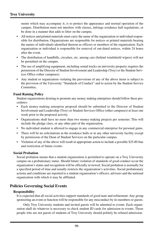ments which may accompany it, is to protect the appearance and normal operation of the campus. Distribution must not interfere with classes, infringe residence hall regulations, or be done in a manner that adds to litter on the campus.

- All notices and printed materials must carry the name of the organization or individual responsible for distribution. Organizations are responsible for notices or printed materials bearing the names of individuals identified thereon as officers or members of the organization. Each organization or individual is responsible for removal of out-dated notices, within 24 hours after the event.
- The distribution of handbills, circulars, etc. among cars (behind windshield wipers) will not be permitted on the campus.
- The use of amplifying equipment, including sound tracks on university property requires the permission of the Director of Student Involvement and Leadership (Troy) or the Student Services Office (other campuses).
- Any student or organization violating the provisions of any of the above items is subject to the provision of the University "Standards of Conduct" and to action by the Student Service Committee.

## **Fund Raising Policy**

Student organizations desiring to promote any money making enterprises should follow these procedures:

- Each money-making enterprise proposal should be submitted to the Director of Student Involvement and Leadership (Troy) or Student Services Office (other campuses) at least one week prior to the proposed activity.
- Organizations shall have no more than two money-making projects per semester. This will include the pledge class, or any other part of the organization.
- No individual student is allowed to engage in any commercial enterprise for personal gains.
- There will be no solicitations in the residence halls or in any other university facility except by permission of the Dean of Student Services on the particular campus.
- Violation of any of the above will result in appropriate action to include a possible \$25.00 fine and restriction of future events.

#### **Social Probation**

Social probation means that a student organization is permitted to operate on a Troy University campus on a probationary status. Should future violation of standards of good conduct occur the organization's status and recognition will be officially reviewed. Social probation is normally for a specified period of time and usually restricts the organization's activities. Social probationary actions and conditions are reported to a student organization's officers, advisors and the national organization with which it may be affiliated.

# **Policies Governing Social Events**

#### **Responsibility**

It is expected that all social activities support standards of good taste and refinement. Any group sponsoring an event or function will be responsible for any misconduct by its members or guests.

Only Troy University students and invited guests will be admitted to events. Each organization shall do whatever is necessary to check student ID cards for admission to events. Those people who are not guests of students of Troy University should politely be refused admission.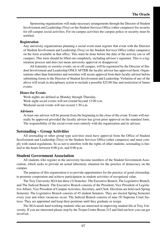Sponsoring organizations will make necessary arrangements through the Director of Student Involvement and Leadership (Troy) or the Student Services Office (other campuses) for security for off-campus social activities. For on-campus activities the campus police or security must be notified.

#### **Registration**

Any university organizations planning a social event must register that event with the Director of Student Involvement and Leadership (Troy) or the Student Services Office (other campuses) on the form available in that office. This must be done before the date of the activity (on or off campus). This form should be filled out completely, including advisor's signature. This is a registration process and does not mean university approval or disapproval.

All fraternity or sorority events, on or off campus, will be registered by the Director of Student Involvement and Leadership ONLY AFTER the faculty advisor has approved them. Organizations other than fraternities and sororities will secure approval from their faculty advisor before submitting forms to the Director of Student Involvement and Leadership. Violation of any of the above will result in disciplinary action to include a possible \$25.00 fine and restriction of future events.

## **Hours for Events**

Week nights are defined as Monday through Thursday. Week night social events will not extend beyond 12:00 a.m. Weekend social events will not exceed 1:30 a.m.

## **Advisors**

At least one advisor will be present from the beginning to the close of the event. Events will normally be approved provided the faculty advisor has given prior approval on the standard form. The responsibility of the social event rests entirely with the organization and its advisor.

# **Serenading – Group Activities**

All serenading or other group type activities must have approval from the Office of Student Involvement and Leadership (Troy) or the Student Services Office (other campuses) and must comply with stated regulations. So as not to interfere with the rights of other students, serenading is limited to the hours between 6:00 p.m. and 8:00 p.m.

# **Student Government Association**

All students who register in the university become members of the Student Government Association, which seeks to provide an actual laboratory situation for the practice of democracy on the campus.

The purpose of this organization is to provide opportunities for the practice of good citizenship, to promote cooperation and achieve participation in student activities of recognized value.

The Troy University SGA has three (3) branches: The Executive Branch, The Legislative Branch, and The Judicial Branch. The Executive Branch consists of the President, Vice President of Legislative Affairs, Vice President of Campus Activities, Secretary, and Clerk. Elections are held each Spring Semester. The Legislative Branch consists of 45 student Senators. They are elected Spring Semester every year and when vacancies occur. The Judicial Branch consists of nine (9) Supreme Court Justices. They are appointed and keep their positions until they graduate or resign.

The SGA needs hard working students who are interested in improving student life at Troy University. If you are interested please stop by the Trojan Center Room 215 and find out how you can get involved.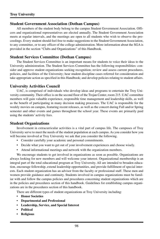## **Student Government Association (Dothan Campus)**

All members of the student body belong to the campus Student Government Association. Officers and organizational representatives are elected annually. The Student Government Association meets at regular intervals, and the meetings are open to all students who wish to observe the proceedings. Every student should feel free to make suggestions to the Student Government Association, to any committee, or to any officer of the college administration. More information about the SGA is provided in the section "Clubs and Organizations" of this Handbook.

# **Student Services Committee (Dothan Campus)**

The Student Services Committee is an important means for students to voice their ideas to the University administration. The Student Services Committee has the following responsibilities: consider and approve student organizations seeking recognition; review and assess current procedures, policies, and facilities of the University; hear student discipline cases referred for consideration and take appropriate action as specified in this Handbook; and develop policies relating to student affairs.

## **University Activities Council**

UAC, is comprised of individuals who develop ideas and programs to entertain the Troy University community. Their office is on the second floor of the Trojan Center, room 215. UAC committee members will gain valuable experience, responsible time management and leadership skills, as well as the benefit of participating in many decision making processes. The UAC is responsible for the weekly movies on campus, featuring recent releases, as well as the concert during Fall and/or Spring semester and other events and games throughout the school year. These events are primarily paid using the students' activity fees.

## **Student Organizations**

Involvement in extracurricular activities is a vital part of campus life. The campuses of Troy University serve to meet the needs of the student population at each campus. As you consider how you will become involved at Troy University we ask that you consider the following.

- Consider carefully your academic and personal commitments.
- Decide what you want to get out of your involvement experiences and choose wisely.
- Attend informational meetings and network with the organization members.

We encourage students to get involved in organizations as soon as possible. Organizations are always looking for new members and will welcome your interest. Organizational membership is an integral part of the total educational program at Troy University. All are intended to broaden education, encourage fellowship, extend leadership opportunities, and provide fulfillment of special interests. Each student organization has an advisor from the faculty or professional staff. These men and women provide guidance and continuity. Students involved in campus organizations must be familiar with and follow the campus policies and procedures concerning student organizations which are in the policies and procedures section of this handbook. Guidelines for establishing campus organizations are in the procedures section of this handbook.

There are different types of student organizations at Troy University including:

- **Honor Societies**
- **Departmental and Professional**
- **Leadership, Service, and Special Interest**
- **Political**
- **Religious**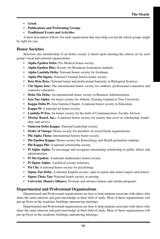- **Greek**
- **Publications and Performing Groups**
- **Traditional Events and Activities**

A short description follows for each organization that may help you decide which groups might be right for you.

# **Honor Societies**

Selection into membership of an honor society is based upon meeting the criteria set by each group's local and national organizations.

- **Alpha Epsilon Delta:** Pre-Medical honor society.
- **Alpha Epsilon Rho:** Society for Broadcast Journalism students.
- **Alpha Lambda Delta:** National honor society for freshmen.
- **Alpha Phi Sigma:** National Criminal Justice honor society.
- **Beta Beta Beta:** National honor and professional fraternity in Biological Sciences.
- **Chi Sigma Iota:** The international honor society for students, professional counselors and counselor educators.
- **Delta Mu Delta:** An international honor society in Business Administration.
- **Iota Tau Alpha:** An honor society for Athletic Training founded at Troy University.
- **Kappa Delta Pi:** Zeta Gamma Chapter. A national honor society in Education.
- **Kappa Pi:** A national art honor society.
- **Lambda Pi Eta:** An honor society for the field of Communication. Faculty Advisor:
- **Mortar Board, Inc.:** A national honor society for seniors that excel in scholarship, leadership, and service.
- **Omicron Delta Kappa:** National leadership society.
- **Order of Omega:** Honor society for members of social Greek organizations.
- **Phi Alpha Theta:** International history honor society.
- **Phi Epsilon Kappa:** Honor society for Kinesiology and Health promotion students.
- **Phi Kappa Phi:** A national scholarship society.
- **Pi Alpha Alpha:** To encourage and recognize outstanding scholarship in public affairs and administration.
- **Pi Mu Epsilon:** A national mathematics honor society.
- **Pi Sigma Alpha:** A political science honorary.
- **Psi Chi:** A national honor society for psychology.
- **Sigma Tau Delta:** A national English society; open to junior and senior majors and minors.
- **Sigma Theta Tau:** National honor society in nursing.
- **University Honors Alliance:** Promote and advance honors and similar programs.

# **Departmental and Professional Organizations**

Departmental and Professional organizations are here to help students associate with others who share the same interests and gain knowledge in their field of study. Most of these organizations will put up flyers in the academic buildings announcing meetings.

Departmental and Professional organizations are here to help students associate with others who share the same interests and gain knowledge in their field of study. Most of these organizations will put up flyers in the academic buildings announcing meetings.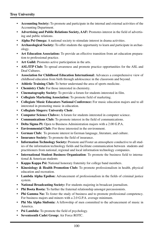- **Accounting Society:** To promote and participate in the internal and external activities of the Accounting Department.
- **Advertising and Public Relations Society, AAF:** Promotes interest in the field of advertising and public relations.
- **Alpha Psi Omega:** A national society to stimulate interest in drama activities.
- **Archaeological Society:** To offer students the opportunity to learn and participate in archaeology.
- **Art Education Association:** To provide an effective transition from art education preparation to professional practice.
- **Art Guild:** Promotes active participation in the arts.
- **ASL/ITP Club:** To spread awareness and promote practice opportunities for the ASL and Deaf Cultures.
- **Association for Childhood Education International:** Advances a comprehensive view of childhood education from birth through adolescence in the classroom and beyond.
- **Athletic Training Club:** To better understand the area of sports medicine.
- **Chemistry Club:** For those interested in chemistry.
- **Cinematography Society:** To provide a forum for students interested in film.
- **Collegiate Marketing Association:** To promote field of marketing.
- **Collegiate Music Educators National Conference:** For music education majors and to all interested in promoting music in education.
- **Collegiate Singers: University Choir**.
- **Computer Science Club++:** A forum for students interested in computer science.
- **Communications Club:** To promote interest in the field of communications.
- **Delta Sigma Pi:** Open to Business Administration majors with a 2.00 G.P.A.
- **Environmental Club:** For those interested in the environment.
- **German Club:** To promote interest in German language, literature, and culture.
- **Insurance Society:** To promote the field of insurance.
- **Information Technology Society:** Promote and Foster an atmosphere conductive to all studies of the information technology fields and facilitate communication between students and practitioners from national, regional and local information technology companies.
- **International Student Business Organization**: To promote the business field to international & American students
- **Kappa Kappa Psi:** National honorary fraternity for college band members.
- **Kinesiology & Health Promotion Club:** To promote professionalism in health, physical education and recreation.
- Lambda Alpha Epsilon: Advancement of professionalism in the fields of criminal justice system.
- **National Broadcasting Society:** For students majoring in broadcast journalism.
- **Phi Boota Roota:** To further the fraternal relationship amongst percussionists.
- Phi Gamma Nu: To foster the study of business and to promote professional competency. For business majors and minors with a 2.0 G.P.A. average minimum.
- **Phi Mu Alpha Sinfonia:** A fellowship of men committed to the advancement of music in America.
- **Psi Lambda:** To promote the field of psychology.
- **Seventeenth Cadet Group:** Air Force ROTC.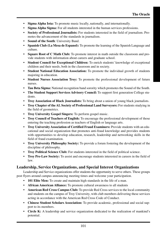- **Sigma Alpha Iota:** To promote music locally, nationally, and internationally.
- **Sigma Alpha Sigma:** For all students interested in the human services professions.
- **Society of Professional Journalists:** For students interested in the field of journalism. Promotes the advancement of the standards in journalism.
- **Sound of the South**: University Band.
- **Spanish Club (La Mesa de Espanol):** To promote the learning of the Spanish Language and culture.
- **Square Root of C Math Club:** To promote interest in math outside the classroom and provide students with information about careers and graduate school.
- **Student Council for Exceptional Children:** To enrich students' knowledge of exceptional children and their needs, both in the classroom and in society.
- **Student National Education Association:** To promote the individual growth of students majoring in education.
- **Student Nurses Association Troy:** To promote the professional development of future nurses.
- **Tau Beta Sigma:** National recognition band sorority which promotes the Sound of the South.
- **The Student Support Services Advisory Council:** To support first generation College students.
- **Troy Association of Black Journalists:** To bring about a union of young black journalists.
- **Troy Chapter of the AL Society of Professional Land Surveyors:** For students studying in the field of geometrics.
- **Troy University Gospel Singers:** To perform gospel music.
- **Troy Council of Teachers of English:** To encourage the professional development of those entering the teaching profession as teachers of English or language arts.
- **Troy University Association of Certified Fraud Examiners:** Provide students with an educational and social organization that promotes anti-fraud knowledge and provides students with opportunities to develop education, research, leadership and networking skills in the field of fraud examination.
- **Troy University Philosophy Society:** To provide a forum fostering the development of the discipline of philosophy.
- **Troy Political Science Club:** For students interested in the field of political science.
- **Troy Pre-Law Society:** To assist and encourage students interested in careers in the field of law.

## **Leadership, Service Organizations, and Special Interest Organizations**

Leadership and Service organizations offer students the opportunity to serve others. These groups post flyers around campus announcing meeting times and welcome your participation.

- **101 Elite Men:** To create and maintain high standards in the life of a man.
- **African American Alliance:** To promote cultural awareness to all students
- **American Red Cross Campus Club:** To provide Red Cross services to the local community and students on the campus of Troy University, with club members delivering these services acting in accordance with the American Red Cross Code of Conduct.
- **Chinese Student Scholars Association:** To provide academic, professional and social support to its members.
- **Circle K:** A leadership and service organization dedicated to the realization of mankind's potential.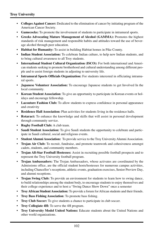- **Colleges Against Cancer:** Dedicated to the elimination of cancer by initiating program of the American Cancer Society.
- **Gamecocks:** To promote the involvement of students to participate in intramural sports.
- **Greeks Advocating Mature Management of Alcohol (GAMMA):** Promotes the highest standards of risk management and responsible habits and attitudes toward the use of beverage alcohol through peer education.
- **Habitat for Humanity:** To assist in building Habitat homes in Pike County.
- **Indian Student Association:** To celebrate Indian culture, to help new Indian students, and to bring cultural awareness to all Troy students.
- **International Student Cultural Organization (ISCO):** For both international and American students seeking to promote brotherhood and cultural understanding among different people and to assist foreign students in adjusting to university life.
- **Intramural Sports Officials Organization:** For students interested in officiating intramural sports.
- **Japanese Volunteer Association:** To encourage Japanese students to get Involved In the local community.
- **Korean Student Association**: To give an opportunity to participate in Korean events or holidays and encourage fellowship.
- **Lacouture Fashion Club:** To allow students to express confidence in personal appearance and creativity
- **Residence Hall Association:** Plan activities for students living in the residence halls.
- **Rotaract:** To enhance the knowledge and skills that will assist in personal development through community service.
- **Rugby Football Club:** A club team.
- **Saudi Student Association:** To give Saudi students the opportunity to celebrate and participate in Saudi cultural, social and religious events.
- **Student Alumni Association:** To provide service to the Troy University Alumni Association.
- **Trojan Air Club:** To recruit, fundraise, and promote teamwork and cohesiveness amongst cadets, students, and community members.
- **Trojan All-Star Football Hostesses:** Assist in recruiting possible football prospects and to represent the Troy University football program.
- **Trojan Ambassadors:** The Trojan Ambassadors, whose activates are coordinated by the Admissions office, are the official student hosts/hostesses for numerous campus activities, including Chancellor's receptions, athletic events, graduation exercises, Senior Preview Day, and alumni receptions.
- **Trojan Swing Club:** To provide an environment for students to learn how to swing dance, to build relationships among the student body, to encourage students to enjoy themselves and their college experience and to host a "Swing Dance Show Down" once a semester
- **Troy African Student Association:** To provide a forum for African students and their friends.
- **Troy Bass Fishing Association**: To promote bass fishing.
- **Troy Club Soccer:** To give students a chance to participate in club soccer.
- **Troy Collegiate 4H:** To serve the 4H program.
- **Troy University Model United Nations:** Educate students about the United Nations and other world organizations.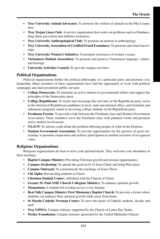- **Troy University Animal Advocates:** To promote the welfare of animals in the Pike County area.
- **Troy Trojan Lions Club:** A service organization that works on problems such as blindness, drug abuse prevention and diabetes awareness.
- **Troy University Anthropological Club:** To promote an interest in anthropology.
- **Troy University Association of Certified Fraud Examiners:** To promote anti-fraud knowledge.
- **Troy University Women's Initiative:** To promote awareness of women's issues.
- **Vietnamese Student Association:** To promote and preserve Vietnamese language, culture, and heritage.
- **University Activities Council:** To provide campus activities.

# **Political Organizations**

Political organizations further the political philosophy of a particular party and promote civic leadership. Many members of these organizations have had the opportunity to work with political campaigns and meet prominent public servants.

- **College Democrats:** To stimulate an active interest in governmental affairs and support the principles of the Democratic party.
- **College Republicans:** To foster and encourage the activities of the Republican party, assist in the election of Republican candidates to local, state and national office, and formulate and administer programs aimed at involving college students in the Republican party.
- **Freshman Forum:** To provide a link between the Freshman class and Student Government Association. These members serve the Freshman class with planned events and promote active student involvement.
- **NAACP:** To inform youth about the problem affecting people of color in the Disporia.
- **Student Government Association:** To provide opportunities for the practice of good citizenship, to promote cooperation and achieve participation in student activities of recognized value.

# **Religious Organizations**

Religious organizations are here to serve your spiritual needs. They welcome your attendance at their meetings.

- **Baptist Campus Ministry:** Providing Christian growth and mission opportunities.
- **Campus Awakening:** To spread the good news of Jesus Christ and bring Him glory.
- **Campus Outreach:** To communicate the teachings of Jesus Christ.
- **Chi Alpha:** Reconciling students to Christ.
- **Christian Student Center:** Affiliated with the Church of Christ.
- **Greater St. Paul AME Church Collegiate Ministry:** To enhance spiritual growth.
- **Momentum:** A student led worship service every Sunday.
- **Real Talk Campus Ministry First Missionary Baptist Church:** To provide a forum where students can embrace their spiritual growth while away from home.
- **St Martin Catholic Newman Center:** To serve the needs of Catholic students, faculty and staff.
- **Troy LDSSA:** Campus ministry supported by the Church of Latter Day Saints.
- **Wesley Foundation:** Campus ministry sponsored by the United Methodist Church.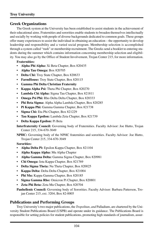# **Greek Organizations**

The Greek system at the University has been established to assist students in the achievement of their educational aims. Fraternities and sororities enable students to broaden themselves intellectually and socially by working with people of diverse backgrounds dedicated to common goals. These groups offer many experiences to assist the individual in obtaining an education – the opportunity to develop leadership and responsibility and a varied social program. Membership selection is accomplished through a system called "rush" or membership recruitment. The Greeks send a booklet to entering students during the summer which contains information concerning membership selection and eligibility. You may also go by the Office of Student Involvement, Trojan Center 215, for more information.

## **Fraternities:**

- **Alpha Phi Alpha:** Xi Beta Chapter, Box 820435
- **Alpha Tau Omega:** Box 820705
- **Delta Chi:** Troy State Chapter, Box 820633
- **FarmHouse:** Troy State Chapter, Box 820115
- **Gamma Phi Delta Christian Fraternity**
- **Kappa Alpha Psi:** Theta Phi Chapter, Box 820270
- **Lambda Chi Alpha:** Sigma Tau Chapter, Box 821811
- **Omega Psi Phi:** Rho Delta Delta Chapter, Box 820333
- **Phi Beta Sigma:** Alpha Alpha Lambda Chapter, Box 820285
- **Pi Kappa Phi:** Gamma Gamma Chapter, Box 821738
- **Sigma Chi:** Eta Phi Chapter, Box 821229
- **Tau Kappa Epsilon:** Lambda Zeta Chapter, Box 821739
- **Delta Kappa Epsilon:** Pi Beta

**Interfraternity Council:** Governing body of Fraternities. Faculty Advisor: Joe Hutto, Trojan Center 215, 334-670-3049

**NPHC:** Governing body of the NPHC fraternities and sororities. Faculty Advisor: Joe Hutto, Trojan Center 215, 334-670-3049

#### **Sororities:**

- **Alpha Delta Pi:** Epsilon Kappa Chapter, Box 821104
- **Alpha Kappa Alpha:** Mu Alpha Chapter
- **Alpha Gamma Delta:** Gamma Sigma Chapter, Box 820981
- **Chi Omega:** Iota Kappa Chapter, Box 821769
- **Delta Sigma Theta:** Nu Theta Chapter, Box 820025
- **Kappa Delta:** Delta Delta Chapter, Box 821004
- **Phi Mu:** Kappa Gamma Chapter, Box 820185
- **Sigma Gamma Rho:** Omicron Pi Chapter, Box 820801
- **Zeta Phi Beta:** Zeta Mu Chapter, Box 820704
- **Panhellenic Council:** Governing body of Sororities. Faculty Advisor: Barbara Patterson, Trojan Center 215, ext. 3204, Box 82-0005

# **Publications and Performing Groups**

Troy University's two major publications, the *Tropolitan, and* Palladium, are chartered by the University Student Publications Board (USPB) and operate under its guidance. The Publications Board is responsible for setting policies for student publications, promoting high standards of journalism, assur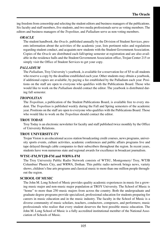ing freedom from censorship and selecting the student editors and business managers of the publications. Six faculty and staff members, five students, and two media professionals serve as voting members. The editors and business managers of the *Tropolitan,* and *Palladium* serve as non-voting members.

#### *ORACLE*

The student handbook, the *Oracle,* published annually by the Division of Student Services, presents information about the activities of the academic year, lists pertinent rules and regulations regarding student conduct, and acquaints new students with the Student Government Association. Copies of the *Oracle* are distributed each fall/spring semester at registration and are also available in the residence halls and the Student Government Association office, Trojan Center 215 or simply visit the Office of Student Services to get your copy.

## *PALLADIUM*

The *Palladium*, Troy University's yearbook, is available for a reservation fee of \$5 to all students who reserve a copy by the deadline established each year. Other students may obtain a yearbook, if additional copies are available, by paying a fee established by the Palladium each year. Positions on the staff are open to everyone who qualifies with the Publications Board. Those who would like to work on the *Palladium* should contact the editor. The yearbook is distributed during fall semester.

## *TROPOLITAN*

The *Tropolitan*, a publication of the Student Publications Board, is available free to every student. The *Tropolitan* is published weekly during the Fall and Spring semesters of the academic year. Positions on the staff are open to everyone who qualifies with the Publications Board. Those who would like to work on the *Tropolitan* should contact the editor.

#### **TROY TODAY**

Troy Today is an electronic newsletter for faculty and staff published twice monthly by the Office of University Relations.

#### **TROY UNIVERSITY-TV**

Trojan Vision is an educational access station broadcasting credit courses, news programs, university sports events, culture activities, academic conferences and public affairs programs live and tape delayed through cable companies to their subscribers throughout the region. In recent years, students have won numerous state and regional awards for excellence in broadcast journalism.

#### **WTSU-FM,WTJB-FM and WRWA-FM**

The Troy University Public Radio Network consists of WTSU, Montgomery/ Troy, WTJB Columbus/ Phenix City, and WRWA, Dothan. This public radio network brings news, variety shows, children's fine arts programs and classical music to more than one million people throughout the region.

#### **SCHOOL OF MUSIC**

The John M. Long School of Music provides quality academic experiences in music for a growing music major and non-music major population at TROY University. The School of Music is "home" to more than 250 music majors from across the country. Both the undergraduate and graduate degree programs provide specialized, professional education for students preparing for careers in music education and in the music industry. The faculty in the School of Music is a diverse community of music scholars, teachers, conductors, composers, and performers; music professionals who realize that every student deserves the best possible music education. The John M. Long School of Music is a fully accredited institutional member of the National Association of Schools of Music.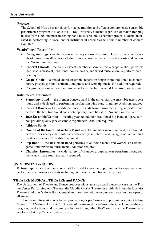#### *Overview*

The School of Music has a rich performance tradition and offers a comprehensive ensemble performance program available to all Troy University students regardless of major. Ranging in size from a 300 member marching band to several small chamber groups, students interested in performing in vocal and/or instrumental ensembles will find a number of choices available.

#### **Vocal/Choral Ensembles**

- **Collegiate Singers**  the largest university chorus, the ensemble performs a wide variety of music from all genres including choral master works with guest soloists and orchestra. No audition required.
- **Concert Chorale**—the premier vocal chamber ensemble, this a cappella choir performs the finest in classical, traditional, contemporary, and world music choral repertoire. Audition required.
- **Gospel Choir**  a mixed choral ensemble, repertoire ranges from traditional to contemporary gospel, spiritual, anthems, and praise and worship music. No audition required.
- **Frequency** —a select vocal ensemble performs the best in vocal Jazz. Audition required.

#### **Instrumental Ensembles**

- **Symphony Band** the premier concert band in the university, the ensemble meets year round and is dedicated to performing the finest in wind band literature. Audition required.
- **Concert Bands**  two additional concert bands form during the spring semester; both perform the best traditional and contemporary band literature. No audition required.
- **Jazz Ensemble/Combos**—meeting year-round, both traditional big band and jazz combos provide quality jazz ensemble experiences. Audition required.
- **Athletic Bands**
- **"Sound of the South" Marching Band**  a 300 member marching band, the "Sound" performs for nearly a half million people each year. Interest and background in marching band is necessary. No audition required.
- **Pep Band**  the Basketball Band performs at all home men's and women's basketball games and travels to tournaments. Audition required.
- **Chamber Ensembles**—a wide variety of chamber groups rehearse/perform throughout the year. Private study normally required.

#### **UNIVERSITY DANCERS**

To foster appreciation of dance as an art form and to provide opportunities for experience and performance at university events including both football and basketball games.

#### **THEATRE MUSICAL THEATRE and DANCE**

The Department of Theatre and Dance produces plays, musicals, and dance concerts in the Trojan Center Performing Arts Theatre, the Claudia Crosby Theatre in Smith Hall, and the Upstairs Theatre Studio in Malone Hall. General auditions are held in August each year and are open to all students.

For more information on classes, production, or performance opportunities contact Adena Moree at 132 Malone Hall. ext. 6142 or email theatreanddance@troy. edu. Check out the theatre program, productions, and upcoming activities through the TROY website or the Theatre website located at http://www.troytheatre.org.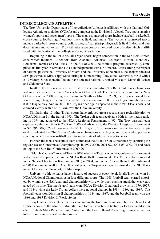#### **INTERCOLLEGIATE ATHLETICS**

The Troy University Department of Intercollegiate Athletics is affiliated with the National Collegiate Athletic Association (NCAA) and competes at the Division I-A level. Troy sponsors nine women's sports and seven men's sports. The men's sponsored sports include baseball, basketball, cross country, football, golf, outdoor track & field, and tennis. The women's sponsored sports include basketball, cross country, golf, soccer, softball (fast-pitch), track & field (indoor and outdoor), tennis and volleyball. Troy Athletics also sponsors the co-ed sport of rodeo which is affiliated with the National Intercollegiate Rodeo Association.

Beginning in the fall of 2005, all Trojan sports began competition in the Sun Belt Conference which includes 12 schools from Alabama, Arkansas, Colorado, Florida, Kentucky, Louisiana, Tennessee and Texas. In the fall of 2001, the football program successfully completed its first year in Division I-A as an independent with a 7-4 record. After earning the respect of national powers the University of Miami and the University of Nebraska, the Trojans shocked SEC powerhouse Mississippi State during its homecoming. Troy exited Starkville, MSU with a 21-9 victory. Since then, the Trojans have defeated nationally ranked Missouri, Marshall (twice) and Oklahoma State.

In 2006, the Trojans earned their first of five consecutive Sun Belt Conference champions and were winners of the R+L Carriers New Orleans Bowl. The team also appeared in the New Orleans bowl in 2008, losing in overtime to Southern Miss. In 2009, the Trojans earned their fourth straight league title and became the first team in Sun Belt history to go through a season 8-0 in league play. And in 2010, the Trojans once again appeared in the New Orleans bowl and claimed victory with a 48-21 win over the Ohio University.

Similarly, the 15 other Trojan sports have enjoyed great success since reclassification to NCAA Division I in the fall of 1993. The Trojan golf team received a 10th-in-the-nation ranking in 1994 and advanced to the NCAA Regional Tournament in '95. The Troy baseball team captured conferment titles in 2005 and 2006 and advanced to the Division I Regional Tournament in '95, '96, '06, '07and most recently 2011. Troy's softball team won the conference championship, defeated the Ohio Valley Conference champions in a play-in, and advanced to post-season play in '96, the first softball team from the state of Alabama ever to do so.

Further, the men's basketball team dominated the Atlantic Sun Conference by capturing the regular season Conference Championships in 1999-2000, 2001-02, 2002-03, 2003-04 and back on top in the Sun Belt Conference in 2009-2010.

"March Madness" invaded Troy in 2003 when the Trojans won the Conference Tournament and advanced to participate in the NCAA Basketball Tournament. The Trojans also competed in the National Invitation Tournament (NIT) in 2004, and in the College Basketball Invitational (CBI) Tournament in 2009. Also, this past year, the Trojans once again returned to the NIT Tournament to face the University of Mississippi.

University athletic teams have a history of success at every level. In all, Troy has won 11 NCAA National Championships in four different sports. The 1968 football team earned notoriety by winning the NAIA national championship with a wide-open passing attack that was years ahead of its time. The men's golf team won NCAA Division II national crowns in 1976, 1977, and 1984, while the Lady Trojan golfers were national champs in 1984, 1986, and 1989. The football team won Division II championships in 1984 and 1987, and the baseball team won the 1986 and 1987 Division II World Series.

Troy University's athletic facilities are among the finest in the nation. The Tine Davis Field House is home to the administrative staff and football coaches. It features a 150 seat auditorium (the Elizabeth Mills Rane learning Center) and the Ben F. Beard Recruiting Lounge as well as locker rooms and several meeting rooms.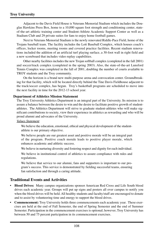Adjacent to the Davis Field House is Veterans Memorial Stadium which includes the Douglas Hawkins Press Box, home to a 10,000 square foot strength and conditioning center, stateof-the-art athletic training center and Student-Athlete Academic Support Center as well as a Stadium Club and 29 private suites for fans to enjoy home football games.

Next to Veterans Memorial Stadium is the newly renovated Riddle-Pace Field, home of the Trojans baseball team. The facility includes the Lott Baseball Complex, which houses coach's offices, locker rooms, meeting rooms and covered practice facilities. Recent stadium renovations included the addition of an artificial turf playing surface, a 30-foot wall in right field and a new scoreboard that includes video replay capabilities.

Other nearby facilities includes the new Trojan softball complex (completed in the fall 2001) and soccer/track complex (completed in the spring 2003). Also, the state-of-the-art Lunsford Tennis Complex was completed in the fall of 2001, doubling the number of courts available to TROY students and the Troy community.

On the horizon is a brand new multi-purpose arena and convocation center. Groundbreaking for that facility, which will be located directly behind the Tine Davis Fieldhouse adjacent to the track/soccer complex, has begun. Troy's basketball programs are scheduled to move into the next facility in time for the 2012-13 school year.

#### **Department of Athletics Mission Statement**

The Troy University Athletics Department is an integral part of the University. Its mission is to assure a balance between the desire to win and the desire to facilitate positive growth of studentathletes. The Athletics Department will strive to graduate student-athletes who will make significant contributions to society, view their experience in athletics as rewarding and who will be proud alumni and advocates of the University.

#### *Values Statement*

We believe the education, emotional, ethical and physical development of the studentathlete is our primary objective.

We believe people are our greatest asset and positive morale will be an integral part of the program. Positive coach morale leads to positive player morale, which enhances academic and athletic success.

We believe in nurturing diversity and fostering respect and dignity for each individual.

We believe in institutional control of athletics to assure compliance with rules and regulations.

We believe that service to our alumni, fans and supporters is important to our program's success. This service is demonstrated by fielding successful teams, ensuring fan satisfaction and through a caring attitude.

# **Traditional Events and Activities**

- **Blood Drives:** Many campus organizations sponsor American Red Cross and Life South blood drives each academic year. Groups will put up signs and posters all over campus to notify you when the blood drives will be held. All healthy students and faculty/staff are encouraged to donate and to assist by volunteering time and energy to support the blood drives.
- **Commencement:** Troy University holds three commencements each academic year. These exercises are held at the end of Fall Semester, the end of Spring Semester and the end of Summer Semester. Participation in the commencement exercises is optional; however, Troy University has between 50 and 75 percent participation in its commencement exercises.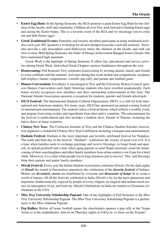- **Easter Egg Hunt:** In the Spring Semester, the SGA sponsors a giant Easter Egg Hunt for the children of the faculty, staff and community. Children all over Troy look forward to hunting Easter eggs and seeing the Easter bunny. This is a favorite event of the SGA and we encourage you to come out and hide Easter eggs!
- **Greek Traditional Events:** Fraternity and sorority members participate in many traditional activities each year. IFC sponsors a workshop for all new pledges/associates each fall semester. Sororities provide a safe atmosphere each Halloween where the children of the faculty and staff can trick or treat. Held Spring Semester, the Order of Omega Achievement Banquet honors Greeks who have maintained high standards.

Greek Week is the highlight of Spring Semester. It offers fun, educational and service activities during Greek Week. Individual Greek Chapters sponsor fundraisers throughout the year.

- **Homecoming:** Fall Semester Troy celebrates homecoming by inviting alumni, family and friends to come celebrate with the students. Activities during this week include skit competitions, residence hall displays, banner competitions, a terrific pep rally, and parade and football game.
- **Honors Convocation:** Excellence is encouraged at Troy and the University Honors Council sponsors Honors Convocation each April, honoring students who have excelled academically. Each honor society recognizes new members and their outstanding achievements at this time. The National Alumni Association sponsors a reception for students, parents and friends afterwards.
- **ISCO Festival:** The International Students Cultural Organization, ISCO, is a club for both international and American students. For many years, ISCO has sponsored an annual evening festival of international entertainment. The students select a festival theme, which reflects a worldly event, and prepare food using recipes and ingredients from their native countries. The entertainment for the festival is multicultural and also includes a fashion show, Parade of Nations, featuring the native dress of many countries.
- **Chinese New Year:** The Confucius Institute at Troy and the Chinese Student Scholars Association organizes a wonderful Chinese New Year Celebration including a banquet and entertainment.
- **Dashain Festival:** Dashain is the most important and lavishly celebrated festival for Nepalese. The tenth and final day of the festival, "Dashani", symbolizes the victory of good over evil. It is a time when families unite to exchange greetings and receive blessings, to forget feuds and quarrels, to spread goodwill and a time when aging parents in rural Nepal anxiously await the homecoming of their sons/daughters and other family members from urban centers even if just for a brief while. Moreover, it is a time when people travel long distances just to receive 'Tika' and blessings form their parents and senior family members.
- **Diwali Festival:** Every year the Indian Student Association celebrates Diwali. On the dark nights of *Diwali* the sound of firecrackers announces the celebration of the *favorite festival* of Indians. Homes are *decorated, sweets* are distributed by everyone and *thousands of lamps* lit to create a world of fantasy. Of all the festivals celebrated in India, Diwali is by far the most glamorous and important. Enthusiastically enjoyed by people of every religion, its magical and radiant touch creates an atmosphere of joy and festivity. Diwali Celebrations in India are similar to Christmas celebrations in the USA.
- **Miss Troy University Scholarship Pageant:** One of the highlights of Fall Semester is the Miss Troy University Scholarship Pageant. The Miss Troy University Scholarship Pageant is a preliminary to the Miss Alabama Pageant.
- **Pep Rallies:** Before all home football games the cheerleaders sponsor a pep rally at the Trojan Arena or at the amphitheater. Join us on Thursday nights at 6:00 p.m. to cheer on the Trojans!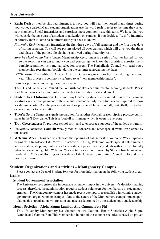## **Troy University**

- **Rush:** Rush or membership recruitment is a word you will hear mentioned many times during your college career. Many student organizations use the word rush to refer to the time they select new members. Social fraternities and sororities most commonly use this term. We hope that you will consider being a part of a student organization on campus. If you decide to "rush" a fraternity or sorority here is some basic information you need to know:
	- *Fraternity Rush:* Men rush fraternities the first three days of fall semester and the first three days of spring semester. You will see posters placed all over campus which will give you the times and places of the parties. No alcohol is allowed during fraternity rush.
	- *Sorority Membership Recruitment:* Membership Recruitment is a series of parties hosted for you so the sororities can get to know you and you can get to know the sororities. Sorority membership recruitment is a mutual selection process. The Panhellenic Council will send you a membership recruitment booklet during the summer announcing the dates.
	- *NPHC Rush:* The traditional African American Greek organizations host rush during the school year. This process is commonly referred to as "new membership intake".

Look for posters announcing these rush events.

The IFC and Panhellenic Council mail out rush booklets each summer to incoming students. Please read these booklets for more information about registration, cost and Greek life.

- **Student Ticket Information:** Full-time Troy University students receive admission to all campus sporting events upon payment of their annual student activity fee. Students are required to show a valid university ID at the proper gate or door prior to all home football, basketball, or baseball events in order to be admitted.
- **T-DAY:** Spring Semester signals preparation for another football season. Spring practice culminates in the T-Day game. This is a football scrimmage which is open to everyone.
- **Troy Cheerleaders:** To promote school spirit and to encourage support of the athletic program.
- **University Activities Council:** Weekly movies, concerts, and other special events are planned by this board.
- **Welcome Week:** Designed to celebrate the opening of fall semester, Welcome Week typically begins with Residence Life Move - In activities. During Welcome Week, special entertainment and recreation, shopping shuttles, and a new student picnic provide students with a festive, friendly introduction to college life. Welcome Week activities are coordinated by Student Involvement and Leadership, Office of Housing and Residence Life, University Activities Council, SGA and campus organizations.

# **Student Organizations and Activities – Montgomery Campus**

Please contact the Dean of Student Services for more information on the following student organizations:

#### **Student Government Association**

The University recognizes the importance of student input in the university's decision-making process; therefore, the administration requests student volunteers for membership in student government. The Montgomery campus has made recent attempts to reestablish a functioning student government organization on campus. Due to the nature of the Montgomery campus student population, this organization will function and meet as determined by the student body and leadership.

#### **Honor Societies—Alpha Sigma Lambda And Gamma Beta Phi**

Troy University Montgomery has chapters of two National Honor Societies: Alpha Sigma Lambda and Gamma Beta Phi. Membership in both of these honor societies is based on proven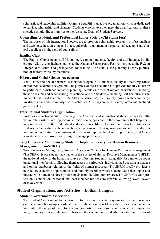scholastic and leadership abilities. Gamma Beta Phi is an active organization which is dedicated to service, scholarship, and character. Students who believe they meet the qualifications for these societies should direct inquiries to the Associate Dean of Student Services.

#### **Counseling Academic and Professional Honor Society (Chi Sigma Iota)**

The purposes of this international society are to promote scholarship, research, professionalism and excellence in counseling and to recognize high attainment in the pursuit of academic and clinical excellence in the field of counseling.

#### **English Club**

The English Club is open to all Montgomery campus students, faculty, and staff interested in literature. Club events include outings to the Alabama Shakespeare Festival, service to the F. Scott Fitzgerald Museum, and get-togethers for readings. The club is also planning a yearly publication of literary works by members.

#### **History and Social Sciences Association**

The History and Social Sciences Association is open to all students, faculty and staff, regardless of major or academic background. The purpose of the association is to provide for all who desire to participate, assistance in career planning, details on different majors, workshops, including those on resume and paper writing, educational and fun fieldtrips (including Fort Toulouse, Birmingham Civil Right Institute, U.S.S. Alabama Museum), free monthly movies with accompanying discussions and community service activities. Meetings are held monthly, often with featured guest speakers.

#### **International Students Organization**

Provides international culture exchange for American and international students through cultivating relationships and supporting activities on campus and in the community that help international students better understand and experience life in America and develops American students understanding of the international environment. This organization promotes social activities and opportunities for international students to improve their English proficiency and American students to improve their foreign language proficiency.

#### **Troy University Montgomery Student Chapter of Society For Human Resource Management (Tm-SHRM)**

Troy University Montgomery Student Chapter of Society for Human Resources Management (Tm-SHRM) is our student-led chapter of the Society of Human Resource Management (SHRM), the national voice for the human resource profession. Students may qualify for a major discount on national membership, allowing them access to periodicals, individualized question assistance and online databases relating to the fields of human resources. Tm-SHRM locally provides a newsletter, leadership opportunities, and monthly meetings where students can select topics and interact with human resource professionals from the Montgomery area. Tm-SHRM is your professional connection. National and local membership fees are separate, allowing several levels of involvement.

### **Student Organizations and Activities – Dothan Campus**

#### **Student Government Association**

The Student Government Association (SGA) is a multi-faceted organization which promotes excellence in scholarship; coordinates and establishes reasonable standards for all student activities within the scope of the SGA; encourages participation in social and education group activities; promotes an open relationship between the student body and administration in matters of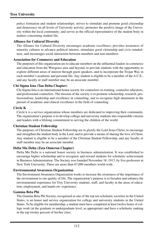policy formation and student relationships; strives to stimulate and promote good citizenship and democracy on all levels of University activity; promotes the positive image of the University within the local community; and serves as the official representative of the student body in matters concerning student life.

#### **Alliance for Cultural Diversity**

The Alliance for Cultural Diversity encourages academic excellence, provides awareness of minority cultures to advance political interest, stimulates good citizenship and civic-mindedness, and encourages social interaction between members and non-members.

#### **Association for Commerce and Education**

The purposes of this organization are to educate members on the influential leaders in commerce and education from the Wiregrass area and beyond, to provide students with the opportunity to explore different areas of interest through guest speakers, and to incorporate the Trojan Way in each member's academic and personal life. Any student is eligible to be a member of the A.C.E., and any faculty or staff member may be an associate member.

#### **Chi Sigma Iota (Tau Delta Chapter)**

Chi Sigma Iota is an international honor society for counselors-in-training, counselor educators, and professional counselors. The mission of the society is to promote scholarship, research, professionalism, leadership and excellence in counseling, and to recognize high attainment in the pursuit of academic and clinical excellence in the field of counseling.

#### **Circle K**

Circle k is a service organization whose members are dedicated to improving their community. The organization's purpose is to develop college and university students into responsible citizens and leaders with a lifelong commitment to serving the children of the world.

#### **Christian Student Fellowship**

The purposes of Christian Student Fellowship are to glorify the Lord Jesus Christ, to encourage and strengthen the student body in the Lord, and to provide a means of sharing the love of Christ. Any student is eligible to be a member of the Christian Student Fellowship, and any faculty or staff member may be an associate member.

#### **Delta Mu Delta (Zeta Omicron Chapter)**

Delta Mu Delta is a national honor society in business administration. It was established to encourage higher scholarship and to recognize and reward students for scholastic achievement in Business Administration. The Society was founded November 18, 1913, by five professors at New York University. There are more than 67,000 members world-wide.

#### **Environmental Awareness Organization**

The Environment Awareness Organization works to increase the awareness of the importance of the environment to our quality of life. The organization's purpose is to broaden and enhance the environmental experience for Troy University students, staff, and faculty in the areas of education, employment, and hands-on- experience.

#### **Gamma Beta Phi**

The Gamma Beta Phi Society, recognized as one of the top ten scholastic societies in the United States, is an honor and service organization for college and university students in the United States. To be eligible for membership, a student must have completed at least twelve hours of college work (at the graduate or undergraduate level, as appropriate) and have a scholastic ranking in the top twenty percent of his/her class.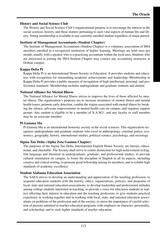#### **History and Social Science Club**

The History and Social Science Club's organizational purpose is to encourage the interest in the social sciences, history, and those matters pertaining to such vital aspects of human life and liberty. Voting membership is available to any currently enrolled student regardless of major pursed.

#### **Institute of Management Accountants (Student Chapter)**

The Institute of Management Accountants (Student Chapter) is a voluntary association of IMA members enrolled at a recognized institution of higher learning. Meetings are held once per month, usually with a speaker who is a practicing accountant within the local area. Students who are interested in joining the IMA Student Chapter may contact any accounting instructor at Dothan campus.

#### **Kappa Delta Pi**

Kappa Delta Pi is an International Honor Society in Education. It provides students and educators with recognition for outstanding academic achievements and leadership. Membership in Kappa Delta Pi provides a public measure of recognition of high intellectual, personal, and professional standards. Membership includes undergraduate and graduate students and alumni.

#### **National Alliance for Mental Illness**

The National Alliance for Mental Illness strives to improve the lives of those affected by mental illness. The organization's purposes are to increase awareness of mental illness and mental health issues, promote early detection, combat the stigma associated with mental illness by breaking the silence, advocate improvements in mental health care on campus, and organize support groups. Any student is eligible to be a member of N.A.M.I., and any faculty or staff member may be an associate member.

#### **Pi Gamma Mu**

Pi Gamma Mu is an international honorary society in the social sciences. This organization recognizes undergraduate and graduate students who excel in anthropology, criminal justice, economics, geography, history, international studies, political science, psychology, and sociology.

#### **Sigma Tau Delta (Alpha Zeta Gamma Chapter)**

The purposes of the Sigma Tau Delta, International English Honor Society, are literary, educational, and charitable. The Society shall strive to confer distinction for high achievement in English language and literature in undergraduate, graduate, and professional studies, to provide cultural stimulation on campus, to foster the discipline of English in all its aspects, including creative and critical writing, to promote good fellowship among its members, and to exhibit high standards of academic excellence.

#### **Student Alabama Education Association**

The SAEA strives to develop an understanding and appreciation of the teaching profession; to acquaint education students with the history, ethics, organizations, policies, and programs of local, state and national education associations; to develop leadership and professional attitudes among college students interested in teaching; to provide a voice for education students in matters affecting their interest in education and the teaching profession; to give students practical experience in working together and in working with local, state, and national education associations on problems of the profession and of the society; to stress the importance of careful selection of persons admitted to teacher education programs with emphasis on character, personality, and scholarship; and to seek higher standards of teacher education.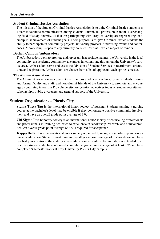#### **Troy University**

#### **Student Criminal Justice Association**

The mission of the Student Criminal Justice Association is to unite Criminal Justice students as a team to facilitate communication among students, alumni, and professionals in this ever changing field of study; thereby, all that are participating with Troy University are representing leadership in achievement of student goals. Their purpose is to give Criminal Justice students the ability to participate in community projects, university projects, fundraising events and conferences. Membership is open to any currently enrolled Criminal Justice majors or minors.

#### **Dothan Campus Ambassadors**

The Ambassadors work to promote and represent, in a positive manner, the University in the local community, the academic community, at campus functions, and throughout the University's service area. Ambassadors serve and assist the Division of Student Services in recruitment, orientation, and registration. Ambassadors are chosen from a list of applicants each spring semester.

#### **The Alumni Association**

The Alumni Association welcomes Dothan campus graduates, students, former students, present and former faculty and staff, and non-alumni friends of the University to promote and encourage a continuing interest in Troy University. Association objectives focus on student recruitment, scholarships, public awareness and general support of the University.

## **Student Organizations – Phenix City**

**Sigma Theta Tau** is the international honor society of nursing. Students pursing a nursing degree at the bachelor's level may be eligible if they demonstrate positive community involvement and have an overall grade point average of 3.0.

**Chi Sigma Iota** honorary society is an international honor society of counseling professionals and professionals-in-training dedicated to excellence in scholarship, research, and clinical practice. An overall grade point average of 3.5 is required for acceptance.

**Kappa Delta Pi** is an international honor society organized to recognize scholarship and excellence in education. Students must have an overall grade point average of 3.50 or above and have reached junior status in the undergraduate education curriculum. An invitation is extended to all graduate students who have obtained a cumulative grade point average of at least 3.75 and have completed 9 semester hours at Troy University Phenix City campus.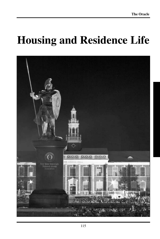# **Housing and Residence Life**

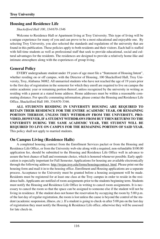# **Housing and Residence Life**

*Shackelford Hall 100, 334/670-3346*

Welcome to Residence Hall or Apartment living at Troy University. This type of living will be a unique experience for many of you and can prove to be a most educational and enjoyable one. By selecting Troy University, you also selected the standards and regulations of the university that are found in this publication. These policies apply to both residents and their visitors. Each hall is staffed with full-time students as well as professional staff that seek to provide educational, social and cultural advantages for the residents. The residences are designed to provide a relatively home-like and intimate atmosphere along with the experiences of group living.

# **General Policy**

EVERY undergraduate student under 19 years of age must file a "Statement of Housing Intent", whether residing on or off campus, with the Director of Housing, 100 Shackelford Hall, Troy University, Troy, Alabama 36082. All unmarried students who have not reached the age of 19 years prior to the first day of registration in the semester for which they enroll are required to live on campus the entire academic year or remaining portion thereof, unless recognized by the university in writing as residing with a parent at a stated home address. Home addresses must be within a reasonable commuting distance. For specific commuting information, please contact the Housing and Residence Life Office, Shackelford Hall 100, 334/670-3346.

**ALL STUDENTS RESIDING IN UNIVERSITY HOUSING ARE REQUIRED TO RETAIN THEIR RESIDENCE FOR THE ENTIRE ACADEMIC YEAR, OR REMAINING PORTION THEREOF, UNLESS THEY WITHDRAW FROM THE UNIVERSITY. PRO-VIDED, HOWEVER, IF A STUDENT WITHDRAWS FROM BUT THEN RETURNS TO THE UNIVERSITY DURING THE SAME ACADEMIC YEAR, THE STUDENT WILL BE REQUIRED TO LIVE ON CAMPUS FOR THE REMAINING PORTION OF SAID YEAR.** This policy shall not apply to married students.

# **On Campus Living (Residence Halls)**

A completed housing contract from the Enrollment Services packet or from the Housing and Residence Life Office, or from the University web-site along with a required, non-refundable \$100.00 application fee, should be submitted to the Housing and Residence Life Office well in advance to assure the best chance of hall and roommate choice, which is honored whenever possible. Early application is especially important for Fall Semester. Applications for housing are available electronically through the following address: http://trojan.troy.edu/forms/housingcontract. html. Please print out the housing form and mail it in to the housing office. Enrollment and Housing applications are a separate process. Acceptance to the University must be granted before a housing assignment will be made. Residents must be registered for at least one class at the Troy campus in order to reside in the residence halls. Applicants are notified of room assignments prior to the students beginning term. Students must notify the Housing and Residence Life Office in writing to cancel room assignments. It is necessary to cancel the room so that the space can be assigned to someone else if the student will not be living in residence. If the student does not honor the reservation by occupying the room by 5:00 p.m. of the last day of regular registration, the room is lost unless the cause is beyond the control of the student (academic suspension, illness, etc.). If a student is going to check-in after 5:00 pm on the last day of registration they must notify the Housing  $\&$  Residence Life office, otherwise they will be assessed for late check-in.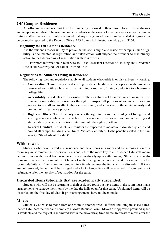### **Off-Campus Residence**

All off-campus students must keep the university informed of their current local street addresses and telephone numbers. The need to contact students in the event of emergencies or urgent administrative matters makes it absolutely essential that any change in address from that stated at registration be promptly reported to the Records Office, 135 Adams Administration Bldg., ext. 3164.

#### **Eligibility for Off-Campus Residence**

It is the student's responsibility to prove that he/she is eligible to reside off-campus. Such eligibility is documented at registration and falsification will subject the offender to disciplinary action to include voiding of registration with loss of fees.

For more information, e-mail Sara Jo Burks, Assistant Director of Housing and Residence Life at sburks@troy.edu or call at 334/670-3346.

#### **Regulations for Students Living In Residence**

The following rules and regulations apply to all students who reside in or visit university housing:

- **Cooperation:** Those living in and visiting residence facilities will cooperate with university personnel and with each other in maintaining a routine of living conducive to wholesome college life.
- **Accessibility:** Residents are responsible for the cleanliness of their own rooms or suites. The university unconditionally reserves the right to inspect all portions of rooms at times convenient to its staff and to affect other steps necessary and advisable for the safety, security and conduct of its residence programs.
- **Rights of Others:** The University reserves the right to revoke the privilege of living in and visiting residence whenever the actions of a resident or visitor are not conducive to good study habits or when such actions interfere with the rights of others.
- **General Conduct:** Residents and visitors are expected to maintain reasonable quiet in and around all campus buildings at all times. Violators are subject to the penalties stated in the university "Standards of Conduct".

#### **Withdrawals**

Students who have moved into residence and have items in a room and are in possession of a room key must remove their personal items and return the room key to a Residence Life staff member and sign a withdrawal from residence form immediately upon withdrawing. Students who withdraw must vacate the room within 24 hours of withdrawing and are not allowed to store items in the room indefinitely. If items are not removed in a timely manner the items will be discarded. If keys are not returned, the lock will be changed and a lock change fine will be assessed. Room rent is not refundable after the last day of registration for the term.

#### **Discarded Items (Students that are academically suspended)**

Students who will not be returning to their assigned room but have items in the room must make arrangements to remove their items by the day the halls open for that term. Unclaimed items will be discarded on the first day of class if prior arrangements have not been made.

#### **Moves**

Students who wish to move from one room to another or to a different building must see a Residence Life Staff member and complete a Move Request Form. Moves are approved provided space is available and the request is submitted within the move/swap time frame. Requests to move after the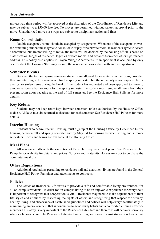## **Troy University**

move/swap time period will be approved at the discretion of the Coordinator of Residence Life and may be subject to a \$50.00 late fee. No moves are permitted without written approval prior to the move. Unauthorized moves or swaps are subject to disciplinary action and fines.

### **Room Consolidation**

Double occupancy rooms should be occupied by two persons. When one of the occupants moves, the remaining student must agree to consolidate or pay for a private room. If residents agree to accept a roommate, but are not willing to move, the move will be decided by the housing officials based on classification, length of residence, logistics of both rooms, and distance from each other's permanent address. This policy also applies to Trojan Village Apartments. If an apartment is occupied by only one resident the Housing Staff may require the resident to consolidate with another apartment.

#### **Semester Breaks**

Between the fall and spring semester students are allowed to leave items in the room, provided they are returning to this same room for the spring semester, but the university is not responsible for any lost or stolen items during the break. If the student has requested and been approved to move to another residence hall or room for the spring semester the student must remove all items from their present room upon vacating at the end of fall semester. See the Residence Hall Policies for more details.

### **Key Return**

Students may not keep room keys between semesters unless authorized by the Housing Office to do so. All keys must be returned at checkout for each semester. See Residence Hall Policies for more details.

#### **Interim Housing**

Students who desire Interim Housing must sign up at the Housing Office by December 1st for housing between fall and spring semester and by May 1st for housing between spring and summer semesters. Prices and forms are available at the Housing Office.

### **Meal Plans**

All residence halls with the exception of Pace Hall require a meal plan. See Residence Hall Pamphlet or web site for details and prices. Sorority and Fraternity Houses may opt to purchase the commuter meal plan.

### **Other Regulations**

Additional regulations pertaining to residence hall and apartment living are found in the General Residence Hall Policy Pamphlet and attachments to contracts.

### **Policies**

The Office of Residence Life strives to provide a safe and comfortable living environment for all on-campus residents. In order for on-campus living to be an enjoyable experience for everyone it is important to recognize that cooperation is vital. Residents may need to make adjustments to their life-styles and attitudes by respecting the rights of others and recognizing that respect for privacy, healthy living, and observance of established guidelines and polices will help everyone ultimately in maintaining an environment that is conducive to good study habits and a comfortable living environment for all. Safety is very important to the Residence Life Staff and therefore will be taken seriously when violations occur. The Residence Life Staff are willing and eager to assist students as they adjust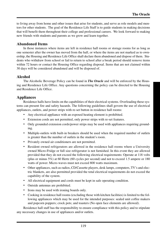to living away from home and other issues that arise for students, and serve as role models and mentors for other students. The goal of the Residence Life Staff is to guide students in making decisions that will benefit them throughout their college and professional careers. We look forward to making new friends with students and parents as we grow and learn together.

## **Abandoned Items**

In those instances where items are left in residence hall rooms or storage rooms for as long as one semester after the owner has moved from the hall, or where the items are not marked as to ownership, the Housing and Residence Life Office shall declare them abandoned and dispose of them. Students who withdraw from school or fail to return to school after a break period should remove items within 72 hours or contact the Housing Office regarding disposal. Items that are not claimed within 30 days will be considered abandoned and will be disposed of.

# **Alcohol**

The Alcoholic Beverage Policy can be found in *The Oracle* and will be enforced by the Housing and Residence Life Office. Any questions concerning the policy can be directed to the Housing and Residence Life Office.

# **Appliances**

Residence halls have limits on the capabilities of their electrical systems. Overloading these systems can present fire and safety hazards. The following guidelines shall govern the use of electrical appliances, outlets, and power strips with re-set button in residence hall rooms:

- Any electrical appliance with an exposed heating element is prohibited.
- Extension cords are not permitted, only power strips with re-set features.
- Only grounded extension cords/power strips may be used with appliances requiring grounding.
- Multiple-outlets with built-in breakers should be used when the required number of outlets is greater than the number of outlets in the student's room.
- Privately owned air conditioners are not permitted.
- Resident owned refrigerators are allowed in the residence hall rooms where a University owned Micro-Fridge or full size refrigerator is not furnished. In this event they are allowed provided that they do not exceed the following electrical requirements: Operate at 118 volts (plus or minus 5%) at 60 Hertz (60 cycles per second) and not to exceed 1.5 ampere or 180 watts of power. Micro-waves must not exceed 800 watts maximum.
- Other appliances, such as radios, CD/Cassette players, desk lamps, computers, TV's and electric blankets, are also permitted provided the total electrical requirements do not exceed the capability of the system.
- All electrical equipment and cords must be kept in safe operating condition.
- Outside antennas are prohibited.
- Irons may be used with ironing boards only.
- Cooking in residence hall rooms (excluding those with kitchen facilities) is limited to the following appliances which may be used for the intended purposes: sealed unit coffee makers and popcorn poppers; crock pots; and toasters (No open face elements are allowed).

Residence hall staff has the responsibility to ensure compliance with this policy and to stipulate any necessary changes in use of appliances and/or outlets.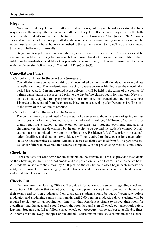# **Bicycles**

Non-motorized bicycles are permitted in student rooms, but may not be ridden or stored in hallways, stairwells, or any other areas in the hall itself. Bicycles left unattended anywhere in the halls other than the student's rooms should be turned over to the University Police (670-1999). Motorcycles and similar vehicles are not permitted in the residence halls. Small riding scooters should not be ridden inside residence halls, but may be pushed to the resident's room to store. They are not allowed to be left in hallways or stairwells.

Bicycle/motorcycle racks are available adjacent to each residence hall. Residents should be encouraged to take their bicycles home with them during breaks to prevent the possibility of theft. Additionally, residents should take other precautions against theft, such as registering their bicycles with the University Police through Operation I.D. (670-1999).

# **Cancellation Policy**

### **Cancellation Prior to the Start of a Semester:**

Cancellations must be made in writing and postmarked by the cancellation deadline to avoid late cancellation fines. The academic year housing contract becomes binding after the cancellation period has passed. Persons enrolled at the university will be held to the terms of the contract if written cancellation is not received prior to the day before classes begin for that term. New students who have applied for spring semester must submit written cancellation before December 1 in order to be released from the contract. New students canceling after December 1 will be held to the terms of the contract if enrolled.

### **Cancellation After the Start of the Semester:**

The contract may be terminated after the start of a semester without forfeiture of spring semester charges only for the following reasons: withdrawal, marriage, fulfillment of academic programs requiring a student to move out of the area (e.g., student teaching), graduate, or circumstances that are determined by the university to be beyond the student's control. Notification must be submitted in writing to the Housing & Residence Life Office prior to the cancellation deadline, and documentary evidence will be required to show cause for cancellation. Housing does not release students who have decreased their class load from full-to part-time status, or for failure to have read this contract completely, or for pre-existing medical conditions.

# **Check-In**

Check-in dates for each semester are available on the website and are also provided to students on their housing assignment, school emails and are posted on Bulletin Boards in the residence halls. All students must claim their room by 5:00 p.m. on the day before classes begin each semester or notify the Housing Office in writing by email or fax of a need to check in late in order to hold the room and avoid late check in fees.

# **Check-Out**

Each semester the Housing Office will provide information to the students regarding check-out instructions. All students that are not graduating should plan to vacate their room within 2 hours after their exams end for non-graduates. Non-graduating students should be out by Wednesday before graduation and graduating seniors may remain until 2:00 p.m. on graduation day. Students will be required to sign up for an appointment time with their Resident Assistant to inspect their room for cleanliness and damages and should return the room key and sign all check out paperwork before leaving. Students that fail to follow correct check-out procedure will be subject to applicable fines. All rooms must be swept, mopped or vacuumed. Bathrooms in suite-style rooms must be cleaned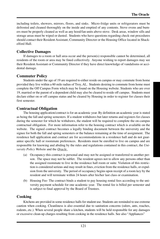including toilets, showers, mirrors, floors, and sinks. Micro-fridge units or refrigerators must be defrosted and cleaned thoroughly on the inside and emptied of any contents. Stove ovens and burners must be properly cleaned as well as any hood/fan units above stove. Desk areas, window sills and storage areas must be wiped or dusted. Students who have questions regarding check-out procedures should contact their Resident Assistant, Community Director or the Housing Office located in Shackelford Hall.

# **Collective Damages**

If damages to a room or hall area occur and the person(s) responsible cannot be determined, all residents of the room or area may be fined collectively. Anyone wishing to report damages may see their Resident Assistant or Community Director if they have direct knowledge of vandalisms or accidental damage.

# **Commuter Policy**

Students under the age of 19 are required to either reside on campus or may commute from home provided they live within a 60 mile radius of Troy, AL. Students desiring to commute from home must complete the Off Campus Form which may be found on the Housing website. Students who are over 19, married or the parent of a dependent child may also be cleared to reside off campus. Students must declare either on or off campus status and be cleared by Housing in order to register for classes their first semester.

# **Contractual Obligation**

The housing application/contract is for an academic year. By definition an academic year is stated as being the fall and spring semesters. If a student withdraws but later returns and registers for classes during the semester for which he withdraws, the student will be required to complete the on-campus contractual obligation. For more information refer to the housing contract which is available on the website. The signed contract becomes a legally binding document between the university and the signee for both the fall and spring semesters or the balance remaining at the time of assignment. The residence hall application and contract are for accommodations in a residence hall and do not guarantee specific hall or roommate preferences. Residents must be enrolled to live on campus and are responsible for knowing and abiding by the rules and regulations contained in this contract, the *University Policy Website* and the *Oracle.*

- (a) Occupancy-this contract is personal and may not be assigned or transferred to another person. The space may not be sublet. The resident agrees not to allow any persons other than the assigned roommate to live in the residence hall room or suite. Violation of this restriction is considered serious and may result in fines, eviction from the residence halls, or expulsion from the university. The period of occupancy begins upon receipt of a room key by the resident and will terminate within 24 hours after his/her last class or examination.
- (b) Housing Fee- The contract binds a student to pay housing rental fees according to the university payment schedule for one academic year. The rental fee is billed per semester and is subject to final approval by the Board of Trustees.

# **Cooking**

Kitchens are provided in some residence halls for student use. Students are reminded to use extreme caution when cooking. Cleanliness is also essential due to sanitation concerns (odors, ants, roaches, rodents, etc.). When several people share a kitchen, students will be held responsible for any damages or excessive clean-up charges resulting from cooking in the residence halls. See also "Appliances"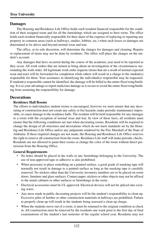# **Damages**

The Housing and Residence Life Office holds each resident financial responsible for the condition of their assigned room and for all the furnishings which are assigned to their room. The office holds each resident financially responsible for their share of the expense of replacing or repairing any property in common areas (such as hallways, studies, lobbies, etc.) when such losses or damages are determined to be above and beyond normal wear and tear.

The office, at its sole discretion, will determine the charges for damages and cleaning. Repairs or replacement of items may not be done by residents. The office will place the charges on the student's account.

Any damages that have occurred during the course of the academic year need to be reported as they occur. All work orders that are turned in bring about an investigation of the circumstances surrounding the work order. All legitimate work order requests (items that are a result of normal expected wear and tear) will be forwarded for completion while others will result in a charge to the student(s) responsible for them. Your assistance in identifying the individual(s) responsible may be requested. If student(s) responsible cannot be identified, the damage will be billed to the entire floor/wing/building. It is to your advantage to report malicious damage as it occurs to avoid the entire floor/wing/building from assuming the responsibility for damage.

# **Decorations**

#### **Residence Hall Rooms**

The efforts to individualize student rooms is encouraged, however we must ensure that any decorating or construction does not create any safety or fire hazards, make periodic maintenance impossible, or cause damage to the residence halls. The resident will be held responsible for any damages to a room with the exception of normal wear and tear. In view of these facts, all residents must ensure that the following conditions are met when decorating rooms. Residents will be required to change the design of all structures and decorations which do not meet standards set by the Housing and Residence Life Office and/or any judgments rendered by the Fire Marshall of the State of Alabama. If these required changes are not made, the Housing and Residence Life Office reserves the right to remove all construction from the room. Residence Life staff will make periodic checks. Residents are not allowed to paint their rooms or change the color of the room without direct permission from the Housing Office.

#### **General Requirements**

- No holes should be placed in the walls or any furnishings belonging to the University. The use of non-approved tape or adhesive is also prohibited.
- When necessary to place something on a painted surface, a good grade of masking tape will normally not result in damage to a painted surface as long as the masking tape is carefully removed. No stickers other than the University inventory numbers are to be placed on room doors, furniture and glass surfaces. Contact paper, stickers or other objects may not be affixed to the metal cabinets or other surfaces or furnishings in the room.
- Electrical accessories must be UL approved. Electrical devices will not be spliced into existing wires.
- Any mess made in public decorating projects will be the student's responsibility to clean up. Excessive piles of lumber or other construction materials in hallways are prohibited. Failure to properly clean up will result in the students being assessed a clean up charge.
- When the students move out of a room, it must be returned to the original condition at check in. All construction must be removed by the residents one week prior to the first day of final examinations of the student's last semester of the regular school year. Residents may not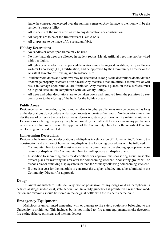leave the construction erected over the summer semester. Any damage to the room will be the resident's responsibility.

- All residents of the room must agree to any decorations or construction.
- All carpets are to be of the fire retardant Class A or B.
- All drapes are to be made of fire retardant fabric.

#### **Holiday Decorations**

- No candles or other open flame may be used.
- No live (natural) trees are allowed in student rooms. Metal, artificial trees may not be wired with tree lights.
- All lights or other electrically operated decorations must be in good condition, carry an Underwriter's Laboratory (UL) Certification, and be approved by the Community Director or the Assistant Director of Housing and Residence Life.
- ·Student room doors and windows may be decorated as long as the decorations do not deface or damage property or create a fire hazard. Any materials that are difficult to remove or will result in damage upon removal are forbidden. Any materials placed on these surfaces must be in good taste and in compliance with University Policy.
- All trees and other decorations are to be taken down and removed from the premises by students prior to the closing of the halls for the holiday break.

#### **Public Areas**

Residence hall entrance doors, doors and windows in other public areas may be decorated as long as the decorations do not deface or damage property or create a fire hazard. No decorations may hinder the use of or restrict access to hallways, doorways, stairs, corridors, or fire related equipment. Decorations violating this policy may be removed by the hall staff Decorations in any public area of a residence hall must receive the approval of the Community Director or the Assistant Director of Housing and Residence Life.

#### **Homecoming Decorations**

Residence halls may prepare decorations and displays in celebration of "Homecoming". Prior to the construction and erection of homecoming displays, the following procedures will be followed:

- Community Directors will assist residence hall committees in developing appropriate decorations or displays. The Community Director will approve all display plans.
- In addition to submitting plans for decorations for approval, the sponsoring group must also present plans for restoring the area after the homecoming weekend. Sponsoring groups will be responsible for removing displays not later than the Monday following homecoming weekend.
- If there is a cost for the materials to construct the display, a budget must be submitted to the Community Director for approval.

### **Drugs**

Unlawful manufacture, sale, delivery, use or possession of any drugs or drug paraphernalia defined as illegal under local, state, federal, or University guidelines is prohibited. Prescription medication and vitamins should be stored in the original bottle with the residents name on it.

### **Emergency Equipment**

Malicious or unwarranted tampering with or damage to fire safety equipment belonging to the University is prohibited. This includes but is not limited to: fire alarm equipment, smoke detectors, fire extinguishers, exit signs and locking devices.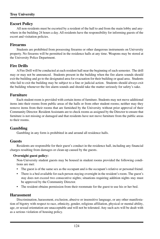### **Escort Policy**

All non-residents must be escorted by a resident of the hall to and from the main lobby and anywhere in the building 24 hours a day. All residents have the responsibility for informing guests of the escort and visitation policies.

#### **Firearms**

Students are prohibited from possessing firearms or other dangerous instruments on University property. No firearms will be permitted in the residence halls at any time. Weapons may be stored at the University Police Department.

### **Fire Drills**

A Fire Drill will be conducted at each resident hall near the beginning of each semester. The drill may or may not be announced. Students present in the building when the fire alarm sounds should exit the building and go to the designated area for evacuation for their building or quad area. Students who fail to exit the building may be subject to a fine or judicial action. Students should always exit the building whenever the fire alarm sounds and should take the matter seriously for safety's sake.

### **Furniture**

Each student room is provided with certain items of furniture. Students may not move additional items into their rooms from public areas of the halls or from other student rooms; neither may they remove items from their rooms that are furnished by the University without prior approval of their Community Director. Resident Assistants are to check rooms as assigned by the Director to ensure that furniture is not missing or damaged and that residents have not move furniture from the public areas to their rooms.

### **Gambling**

Gambling in any form is prohibited in and around all residence halls.

#### **Guests**

Residents are responsible for their guest's conduct in the residence hall, including any financial charges resulting from damages or clean-up caused by the guests.

#### **Overnight guest policy:**

Non-University student guests may be housed in student rooms provided the following conditions are met:

- The guest is of the same sex as the occupant and is the occupant's relative or personal friend.
- There is a bed available for each person staying overnight in the resident's room. The guest's stay does not exceed two consecutive nights; situations requiring addition nights stay must be approved by the Community Director.
- The resident obtains permission from their roommate for the guest to use his or her bed.

#### **Harassment**

Discrimination, harassment, exclusion, abusive or insensitive language, or any other manifestation of bigotry with respect to race, ethnicity, gender, religious affiliation, physical or mental ability, age, or sexual orientation are unacceptable and will not be tolerated. Any such acts will be dealt with as a serious violation of housing policy.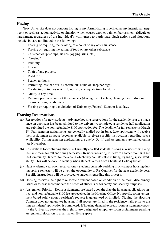# **Hazing**

Troy University does not condone hazing in any form. Hazing is defined as any intentional, negligent or reckless action, activity or situation which causes another pain, embarrassment, ridicule or harassment, regardless of the individual's willingness to participate. Such actions and situations include, but are not limited to the following:

- Forcing or requiring the drinking of alcohol or any other substance
- Forcing or requiring the eating of food or any other substance
- Calisthenics (push-ups, sit-ups, jogging, runs, etc.)
- "Treeing"
- Paddling
- Line-ups
- Theft of any property
- Road trips
- Scavenger hunts
- Permitting less than six (6) continuous hours of sleep per night
- Conducting activities which do not allow adequate time for study
- Nudity at any time
- Running person errands of the members (driving them to class, cleaning their individual rooms, serving meals, etc.)
- Forcing or requiring the violation of University, Federal, State, or local law.

# **Housing Reservations**

- (a) Reservations for new students Advance housing reservations for the academic year are made once an applicant has been admitted to the university, completed a residence hall application and submitted the non-refundable \$100 application fee. The deadline for fall semester is March 1<sup>st</sup>. Fall semester assignments are generally mailed out in June. Late applicants will receive their assignment as space becomes available or given specific instructions regarding space availability. Spring semester applications are due by Oct  $1<sup>st</sup>$  and assignments are mailed out in late November.
- (b) Reservations for continuing students Currently enrolled students residing in residence will keep the same room for fall and spring semesters. Residents desiring to move to another room will see the Community Director for the area in which they are interested in living regarding space availability. This will be done in January when students return from Christmas Holiday break.
- (c) Next academic year room reservations Students currently residing in on-campus housing during spring semester will be given the opportunity to Re-Contract for the next academic year. Specific instructions will be provided to students regarding this process.
- (d) Housing reserves the right to re-locate a student based on condition of the room, disciplinary issues or to best accommodate the needs of students or for safety and security purposes.
- (e) Assignment Priority Room assignments are based upon the date the housing application/contract and non-refundable \$100 fee are received in the Housing Office. No specific room assignment based solely upon a resident's request is guaranteed or implied. Signing the Housing Contract does not guarantee housing if all spaces are filled in the residence halls prior to the time a students' application is completed. If housing demand exceeds room-assignment capacity the University reserves the right to use designated temporary room assignments pending assignment/relocation to a permanent living space.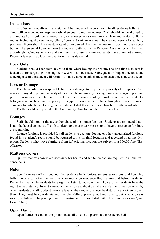### **Inspections**

A safety and cleanliness inspection will be conducted twice a month in all residence halls. Students will be expected to keep the trash taken out in a routine manner. Trash should not be allowed to accumulate but should be removed daily or as necessary to keep rooms clean and sanitary. Bathrooms, including showers, tubs, toilets, floors and sink areas should be cleaned weekly for sanitary purposes. Floors should be swept, mopped or vacuumed. A resident whose room does not pass inspection will be given 24 hours to clean the room as outlined by the Resident Assistant or will be fined accordingly. Candles, incense and any item that presents a fire and safety hazard are not allowed. Repeat offenders may face removal from the residence hall.

## **Lock Outs**

Students should keep their key with them when leaving their room. The first time a student is locked-out for forgetting or losing their key; will not be fined. Subsequent or frequent lockouts due to negligence of the student will result in a small charge to unlock the door each time a lockout occurs.

#### **Loss or Damage**

The University is not responsible for loss or damage to the personal property of occupants. Each resident is urged to provide security of their own belongings by locking rooms and carrying personal property insurance. Parents should check their homeowner's policy to make sure that their student's belongings are included in their policy. This type of insurance is available through a private insurance company for which the Housing and Residence Life Office provides a brochure to the residents.

Thefts should be reported to the Community Director and the University Police.

# **Lounges**

Staff should monitor the use and/or abuse of the lounge facilities. Students are reminded that it is not the housekeeping staff's job to clean up unnecessary messes or to have to rearrange furniture every morning.

Lounge furniture is provided for all students to use. Any lounge or other unauthorized furniture found in a student's room should be returned to its' original location and recorded on an incident report. Students who move furniture from its' original location are subject to a \$50.00 fine (first offense).

# **Mattress Covers**

Quilted mattress covers are necessary for health and sanitation and are required in all the residence halls.

### **Noise**

Sound carries easily throughout the residence halls. Voices, stereos, televisions, and bouncing balls in rooms can often be heard in other rooms on residence floors above and below residents. Remember that while residents have rights to listen to music of their choice, other residents have the right to sleep, study or listen to music of their choice without disturbance. Residents may be asked by other residents or staff to adjust the noise level in their room to reduce the disturbance of others around them. They must be considerate and flexible. Yelling, playing loud music, etc., out of windows is strictly prohibited. The playing of musical instruments is prohibited within the living area. (See Quiet Hour Policy)

# **Open Flame**

Open flames or candles are prohibited at all time in all places in the residence halls.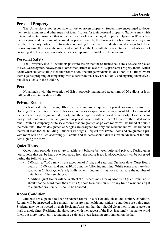#### **Personal Property**

The University is not responsible for lost or stolen property. Students are encouraged to document serial numbers and other means of identification for their personal property. Students may wish to take out rental insurance that will cover lost, stolen or damaged property. Operation ID is a free identification and recording of personal property offered by the University Police. Students may contact the University Police for information regarding this service. Students should always lock their rooms any time they leave the room and should keep the key with them at all times. Students are not encouraged to keep large amounts of cash or expensive valuables in their rooms.

### **Personal Safety**

The University does all within its power to assure that the residence halls are safe, secure places to live. We recognize, however, that sometimes crimes do occur. Most problems are petty thefts, which occur when students fail to lock their room door. Encourage residents to lock doors at all times. Warn them against propping or tampering with exterior doors. They are not only endangering themselves, but all residents in the building.

### **Pets**

No animals, with the exception of fish in properly maintained aquariums of 20 gallons or less, will be allowed in residence halls.

## **Private Rooms**

Each semester the Housing Office receives numerous requests for private or single rooms. The Housing Office will not be able to honor all requests as space is not always available. Documented medical needs will be given first priority and then requests will be based on seniority. Double occupancy traditional rooms that are granted as private rooms will be billed 30% above the stated room rent. Double Occupancy Suite style rooms that are granted as private rooms will be billed at double the room rate. Rooms designated as Singles are designed for only one resident and will be billed on the rental scale for that building. Students who sign a Request for Private Room and are granted a private room will be billed accordingly. Parents and students should discuss this in advance of the student signing the form.

# **Quiet Hours**

Quiet hours provide a structure to achieve a balance between quiet and privacy. During quiet hours, noise that can be heard one door away from the source is too loud. Quiet hours will be observed during the following times:

- 7:00 p.m. to 7:00 a.m. with the exception of Friday and Saturday. On those days, Quiet Hours begin at 12:00 a.m. and end at 10:00 a.m. the following morning. While some areas are designated as 24 hour Quiet/Study Halls, other living units may vote to increase the number of quiet hours if they so choose.
- Modified Quiet Hours will be in effect at all other times. During Modified Quiet Hours, noise should not be heard more than three (3) doors from the source. At any time a resident's right to a quieter environment should be honored.

# **Room Condition**

Students are expected to keep residence rooms in a reasonably clean and sanitary condition. Rooms will be inspected twice monthly to insure that health and sanitary conditions are being met. Students may be instructed by their Resident Assistant that they should clean their room or take out trash to avoid fines. Residents should comply with the request of the R.A. in a timely manner to avoid fines, but more importantly to maintain a safe and clean learning environment on the hall.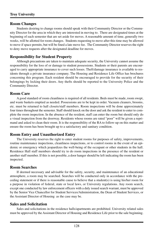#### **Room Changes**

Students desiring to change rooms should speak with their Community Director or the Community Director for the area in which they are interested in moving to. There are designated times at the beginning of each semester that are set aside for moves. A reasonable amount of time, generally two weeks, will be allotted for room changes. Students requesting to move after this time may be allowed to move if space permits, but will be fined a late move fee. The Community Director reserves the right to deny move requests after the designated deadline for moves.

# **Responsibility for Student Property**

Although precautions are taken to maintain adequate security, the University cannot assume the responsibility for the loss of or damage to student possessions. Students or their parents are encouraged to carry appropriate insurance to cover such losses. Theft/damage insurance is available to residents through a private insurance company. The Housing and Residence Life Office has brochures concerning this program. Each resident should be encouraged to provide for the security of their belongings by locking their doors. Any thefts should be reported to the University Police and the Community Director.

### **Room Care**

A good standard of room cleanliness is required of all residents. Beds must be made, room swept, and waste baskets emptied as needed. Possessions are to be kept in order. Vacuum cleaners, brooms, etc. must be returned to hall closets/staff members. Room inspections will be done approximately four times throughout the semester. Staff should knock on the door and ask the resident to enter to complete the room inspection. In the absence of the resident, staff can enter the room but should only do a visual inspection from the doorway. Residents whose rooms are rated "poor" will be given a reprimand and asked to clean their room. It is the responsibility of the RA to follow-up on this matter and ensure the room has been brought up to a satisfactory and sanitary condition.

### **Room Entry and Unauthorized Entry**

The University reserves the right to enter student rooms for purposes of safety, improvements, routine maintenance inspections, cleanliness inspections, or to control rooms in the event of an epidemic or emergency which jeopardizes the well-being of the occupant or other students in the hall. Residence Hall staff members should try to do room inspections in the presence of the resident or another staff member. If this is not possible, a door hanger should be left indicating the room has been inspected.

### **Room Searches**

If deemed necessary and advisable for the safety, security, and maintenance of an educational atmosphere, a room may be searched. Searches will be conducted only in accordance with the preceding statement or if there is reasonable cause to believe that a student(s) is using his/her room for a purpose in violation of federal, state or local laws, or University regulations. Any room search, except one conducted by law enforcement officers with a duly issued search warrant, must be approved by the Senior Vice Chancellor for Student Services/Administration, the Dean of Student Services, or the Assistant Director of Housing as the case may be.

### **Sales and Solicitation**

Sales and solicitations in the residence halls/apartments are prohibited. University related sales must be approved by the Assistant Director of Housing and Residence Life prior to the sale beginning.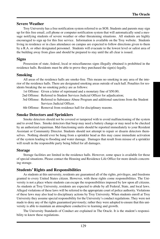### **Severe Weather**

Troy University has a free notification system referred to as SOS. Students and parents may sign up for this free email, cell phone or computer notification system that will automatically send a message notifying students of severe weather or other threatening situations. All students are highly encouraged to sign up for this free service. Information is available on the Troy website. Students living in residence or in class attendance on campus are expected to follow directions given to them by a R.A. or other designated personnel. Students will evacuate to the lowest level or safest area of the building away from glass and should be prepared to stay until the all clear is issued.

## **Signs**

Possession of state, federal, local or miscellaneous signs illegally obtained is prohibited in the residence halls. Residents must be able to prove they purchased the sign(s) legally.

## **Smoking**

All areas of the residence halls are smoke-free. This means no smoking in any area of the interior of the residence halls. There are designated smoking areas outside of each hall. Penalties for residents breaking the no smoking policy are as follows:

1st Offense: Given a letter of reprimand and a monetary fine of \$50.00;

2nd Offense: Referred to Student Services Judicial Officer for adjudication;

3rd Offense: Referred to Substance Abuse Program and additional sanctions from the Student Services Judicial Officer.

4th Offense: Removal from residence hall for disciplinary reasons.

### **Smoke Detectors and Sprinklers**

Smoke detectors should not be covered or tampered with to avoid malfunctioning of the system and to avoid fines. Smoke detectors that beep may need a battery change or may need to be checked by an authorized repairman. Mal-functioning units should be reported immediately to your Resident Assistant or Community Director. Students should not attempt to repair or disarm detectors themselves. Nothing should ever be hung from a sprinkler head as this may cause immediate activation of the system leading to flooding and water damage. Damages that result from misuse of a sprinkler will result in the responsible party being billed for all damages.

### **Storage**

Storage facilities are limited in the residence halls. However, some space is available for those of special situations. Please contact the Housing and Residence Life Office for more details concerning storage.

### **Students' Rights and Responsibilities**

As students at this university, residents are guaranteed all of the rights, privileges, and freedoms granted to every United States citizen. However, with these rights come responsibilities. The University is not a place where students can escape the responsibilities imposed by law upon all citizens. As students at Troy University, residents are expected to abide by all Federal, State, and local laws. Alleged violations of these laws will be referred to the appropriate court of police authority. Violations of these laws may also lead to disciplinary actions by Troy University. When students enroll at Troy University they assume special responsibility for the University's conduct regulations. They were not made to deny any of the rights guaranteed previously; rather they were adopted to ensure that this university is able to maintain an atmosphere conductive to learning and growth.

The University Standards of Conduct are explained in The Oracle. It is the student's responsibility to know these regulations.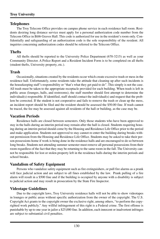## **Troy University**

## **Telephones**

The Troy Telecom Office provides on campus phone service in each residence hall room. Residents desiring long distance service must apply for a personal authorization code number from the Telecom Office in Bibb Graves Hall. This code is authorized for use in the resident's room only. Confidentially and safeguarding of an authorization code is the sole responsibility of the resident. All inquiries concerning authorization codes should be referred to the Telecom Office.

# **Thefts**

All thefts should be reported to the University Police Department (670-3215) as well as your Community Director. A Police Report and a Resident Incident Form is to be completed on all thefts (student thefts, University property, etc.).

# **Trash**

Occasionally, situations created by the residents occur which create excessive trash or mess in the residence hall. Unfortunately, some residents take the attitude that cleaning up after such incidents is the housekeeping staff's responsibility or "that's what they get paid to do". This simply is not the case. All trash must be taken to the appropriate receptacle provided for each building. When trash is left in public areas (lounges, halls, and restrooms), the staff member should first attempt to determine the individual(s) responsible. If identified, staff should contact the individual(s) and request that the problem be corrected. If the student is not cooperative and fails to remove the trash or clean up the mess, an incident report should be filed and the resident should be assessed the \$50.00 fine. If trash cannot be traced, the fee may be assessed against all residents of the hall or building, as the case may be.

# **Vacation Periods**

Residence halls are closed between semesters. Only those students who have been approved to stay in the halls during an interim period may remain after the hall is closed. Students requiring housing during an interim period should come by the Housing and Residence Life Office prior to the period and make application. Students not approved to stay cannot re-enter the building during breaks without permission from the Housing and Residence Life Office. Students may be asked to take their person possessions home if work is being done in the residence halls and are encouraged to do so between long breaks. Students not attending summer semester must remove all personal possessions from their room regardless of the fact that they may be returning to the same room in the fall. The University cannot be responsible for lost or stolen property left in the residence halls during the interim periods and school breaks.

# **Vandalism of Safety Equipment**

Persons who vandalize safety equipment such as fire extinguishers, or pull fire alarms as a prank will face judicial action and are subject to all fines established by the law. Prank pulling of a fire alarm will result in a \$500 fine and if the building is occupied by anyone with a disability is subject to judicial action and may result in prosecution by the State Fire Inspector.

# **Videotape Guidelines**

Due to the copyright laws, Troy University residence halls will not be able to show videotapes in lounges or public areas without specific authorization from the owner of the copyright. The U.S. Copyright Act grants to the copyright owner the exclusive right, among others, "to perform the copyrighted work publicly." Any willful infringement of this right is a Federal crime. The first offense is punishable by up to one year in jailor a \$25,000 fine. In addition, each innocent or inadvertent infringes are subject to substantial civil penalties.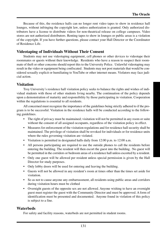Because of this, the residence halls can no longer rent video tapes to show in residence hall lounges, without infringing the copyright law, unless authorization is granted. Only authorized distributors have a license to distribute videos for non-theatrical release on college campuses. Video stores are not authorized distributors. Renting tapes to show in lounges or public areas is a violation of the copyright. If you have further questions, please contact your Hall Director or the Coordinator of Residence Life.

# **Videotaping of Individuals Without Their Consent**

Students may not use videotaping equipment, cell phones or other devices to videotape their roommates or quests without their knowledge. Residents who have a reason to suspect their roommate of theft or other concerns should report this to the University Police. Unlawful videotaping may result in the video or equipment being confiscated. Students may not post materials that would be considered sexually explicit or humiliating to YouTube or other internet means. Violators may face judicial action.

# **Visitation**

Troy University's residence hall visitation policy seeks to balance the rights and wishes of individual students with those of other students living nearby. The continuation of the policy depends upon a demonstration of maturity and responsibility by those participating in visitation. Cooperation within the regulations is essential to all residents.

All concerned must recognize the importance of the guidelines being strictly adhered to if the program is to be successful. Visitation in the residence halls will be conducted according to the following guidelines.

- The right of privacy must be maintained; visitation will not be permitted in any room or suite without the consent of all assigned occupants, regardless of the visitation policy in effect.
- Measures for enforcement of the visitation regulations and for residence hall security shall be maintained. The privilege of visitation shall be revoked for individuals or for residence units where the rules governing visitation are violated.
- Visitation is permitted in designated halls daily from 12:00 p.m. to 12:00 a.m.
- All persons participating are required to use the outside phones to call the residents before entering the building. The resident will then escort the guest into the building. ·No guest will be permitted in the corridors or bedroom areas of a residence hall unless escorted by a resident.
- Only one guest will be allowed per resident unless special permission is given by the Hall Director for study purposes.
- Only lobby doors will be used for entering and leaving the building.
- Guests will not be allowed in any resident's room at times other than the times set aside for visitation.
- So as not to cause anyone any embarrassment, all residents using public areas and corridors during visitation hours must be clothed
- Overnight guests of the opposite sex are not allowed. Anyone wishing to have an overnight guest must register the guest with the Community Director and must be approved. A form of identification must be presented and documented. Anyone found in violation of this policy is subject to a fine.

### **Waterbeds**

For safety and facility reasons, waterbeds are not permitted in student rooms.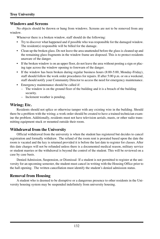## **Windows and Screens**

No objects should be thrown or hung from windows. Screens are not to be removed from any window.

Whenever there is a broken window, staff should do the following:

- Try to discover what happened and if possible who was responsible for the damaged window. The resident(s) responsible will be billed for the damage.
- Clean up the broken glass. Do not leave the area unattended before the glass is cleaned up and the remaining glass fragments in the window frame are disposed. This is to protect residents unaware of the danger.
- If the broken window is on an upper floor, do not leave the area without posting a sign or placing tape across the window opening to forewarn of the danger.
- If the window has been broken during regular business hours (8:00-5:00, Monday-Friday), staff should follow the work order procedures for repairs. If after 5:00 p.m. or on a weekend, staff should notify your Community Director to access the need for emergency maintenance.
- Emergency maintenance should be called if:
	- The window is on the ground floor of the building and it is a breach of the building security.
	- Inclement weather is pending.

# **Wiring; Etc.**

Residents should not splice or otherwise tamper with any existing wire in the building. Should there be a problem with the wiring; a work order should be created to have a trained technician examine the problem. Additionally, residents must not have television aerials, masts, or other radio transmitting equipment stuck or mounted outside their room.

# **Withdrawal from the University**

Official withdrawal from the university is when the student has registered but decides to cancel registration and formally withdraw. The refund of the room rent is prorated based upon the date the room is vacated and the key is returned provided it is before the last date to register for classes. After this date charges will not be refunded unless there is a documented medical reason, military service or student marries or the withdrawal is beyond the control of the student. This will be reviewed on a case by case basis.

Denied Admission, Suspension, or Dismissal- If a student is not permitted to register at the university for an upcoming semester, the student must cancel in writing with the Housing Office prior to the hall opening. The written cancellation must identify the student's denied admission status.

# **Removal from Housing**

A student who is deemed to be disruptive or a dangerous presence to other residents in the University housing system may be suspended indefinitely from university housing.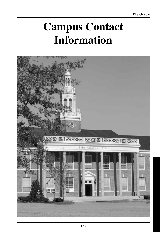# **Campus Contact Information**

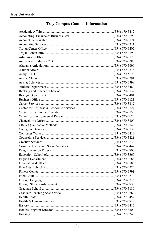# **Troy Campus Contact Information**

| Trojan Center Office |  |
|----------------------|--|
|                      |  |
|                      |  |
|                      |  |
|                      |  |
|                      |  |
|                      |  |
|                      |  |
|                      |  |
|                      |  |
|                      |  |
|                      |  |
|                      |  |
|                      |  |
|                      |  |
|                      |  |
|                      |  |
|                      |  |
|                      |  |
|                      |  |
|                      |  |
|                      |  |
|                      |  |
|                      |  |
|                      |  |
|                      |  |
|                      |  |
|                      |  |
|                      |  |
|                      |  |
|                      |  |
|                      |  |
|                      |  |
|                      |  |
|                      |  |
|                      |  |
|                      |  |
|                      |  |
|                      |  |
|                      |  |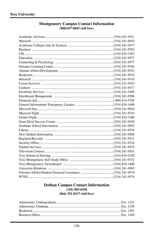#### **Montgomery Campus Contact Information**  $(888)357 - 8843$  (toll free)

#### **Dothan Campus Contact Information**  $(334)$  983-6556 (866) 291-0317 (toll free)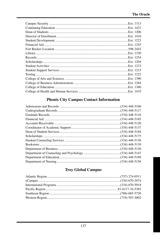| Ext. 1313. |
|------------|
|            |
|            |
|            |
| Ext. 1223  |
|            |
|            |
| Ext. 1320  |
|            |
|            |
| .Ext. 1233 |
|            |
|            |
|            |
|            |
| Ext. 1360  |
|            |

# **Phenix City Campus Contact Information**

# **Troy Global Campus**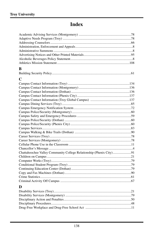# **Index**

| B                                                                   |
|---------------------------------------------------------------------|
|                                                                     |
| $\mathbf C$                                                         |
|                                                                     |
|                                                                     |
|                                                                     |
|                                                                     |
|                                                                     |
|                                                                     |
|                                                                     |
|                                                                     |
|                                                                     |
|                                                                     |
|                                                                     |
|                                                                     |
|                                                                     |
|                                                                     |
|                                                                     |
|                                                                     |
|                                                                     |
|                                                                     |
| Chattahoochee Valley Community College Relationship (Phenix City)91 |
|                                                                     |
|                                                                     |
|                                                                     |
|                                                                     |
|                                                                     |
|                                                                     |
|                                                                     |
| D                                                                   |
|                                                                     |
|                                                                     |
|                                                                     |
|                                                                     |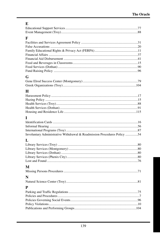# $E$

| $\mathbf F$                                                              |  |
|--------------------------------------------------------------------------|--|
|                                                                          |  |
|                                                                          |  |
|                                                                          |  |
|                                                                          |  |
|                                                                          |  |
|                                                                          |  |
|                                                                          |  |
|                                                                          |  |
| G                                                                        |  |
|                                                                          |  |
|                                                                          |  |
| H                                                                        |  |
|                                                                          |  |
|                                                                          |  |
|                                                                          |  |
|                                                                          |  |
|                                                                          |  |
| L                                                                        |  |
|                                                                          |  |
|                                                                          |  |
|                                                                          |  |
| Involuntary Administrative Withdrawal & Readmission Procedures Policy 54 |  |
| L                                                                        |  |
|                                                                          |  |
|                                                                          |  |
|                                                                          |  |
|                                                                          |  |
|                                                                          |  |
|                                                                          |  |
| M                                                                        |  |
|                                                                          |  |
| N                                                                        |  |
|                                                                          |  |
| P                                                                        |  |
|                                                                          |  |
|                                                                          |  |
|                                                                          |  |
|                                                                          |  |
|                                                                          |  |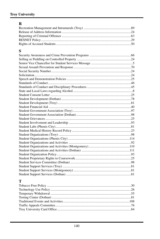# **Troy University**

# $\overline{\mathbf{R}}$

# $\mathbf S$

# $\mathbf T$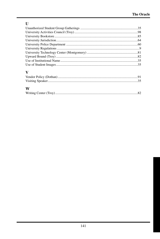# $\mathbf U$

# $\mathbf{V}$

# W

|--|--|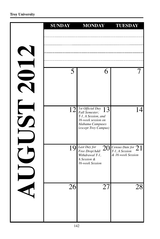|    | <b>SUNDAY</b> | <b>MONDAY</b>                                                                                                                     | <b>TUESDAY</b>                                              |
|----|---------------|-----------------------------------------------------------------------------------------------------------------------------------|-------------------------------------------------------------|
|    |               |                                                                                                                                   |                                                             |
|    | 5             | 6                                                                                                                                 |                                                             |
| tr | 12            | 1st Official Day<br> 3<br>Fall Semester;<br>T-1, A Session, and<br>16-week session on<br>Alabama Campuses<br>(except Troy Campus) | 14                                                          |
|    |               | $19$ Last Day for<br>20<br>Free Drop/Add/<br>Withdrawal T-1,<br>A Session &<br>16-week Session                                    | Census Date for $21$<br>T-1, A Session<br>& 16-week Session |
|    | 26            | 27                                                                                                                                | 28                                                          |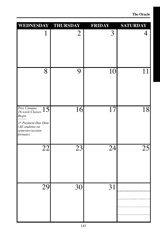| WEDNESDAY THURSDAY                                                                                                               |                 | <b>FRIDAY</b>   | <b>SATURDAY</b> |
|----------------------------------------------------------------------------------------------------------------------------------|-----------------|-----------------|-----------------|
| $\mathbf 1$                                                                                                                      | $\overline{2}$  | 3               | 4               |
| 8                                                                                                                                | 9               | 10              | 11              |
| <b>Troy Campus</b><br>15<br>16-week Classes<br>Begin<br>1st Payment Due Date<br>(All students on<br>semester/session<br>formats) | 16              | $\overline{17}$ | 18              |
| $\overline{22}$                                                                                                                  | $\overline{23}$ | $\overline{24}$ | 25              |
| $\overline{29}$                                                                                                                  | $30$            | 31              |                 |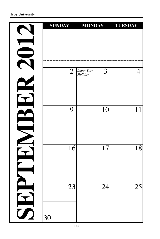| <b>SUNDAY</b>         | <b>MONDAY</b>             | <b>TUESDAY</b>  |
|-----------------------|---------------------------|-----------------|
|                       |                           |                 |
| $\overline{2}$        | Labor Day<br>3<br>Holiday | 4               |
| 9                     | 10                        | 11              |
| 16                    | 17                        | $\overline{18}$ |
| $\overline{23}$<br>30 | $\overline{24}$           | $\overline{25}$ |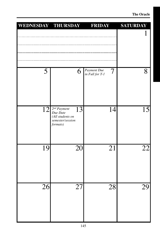| WEDNESDAY THURSDAY |                                                                                        | <b>FRIDAY</b>                       | <b>SATURDAY</b> |
|--------------------|----------------------------------------------------------------------------------------|-------------------------------------|-----------------|
|                    |                                                                                        |                                     |                 |
| 5                  | 6                                                                                      | Payment Due<br>7<br>in Full for T-1 | 8               |
| 12                 | $2^{nd}$ Payment<br>13<br>Due Date<br>(All students on<br>semester/session<br>formats) | 14                                  | 15              |
| 19                 | 20                                                                                     | 21                                  | 22              |
| $\overline{26}$    | 27                                                                                     | 28                                  | 29              |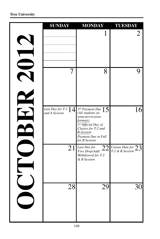|                          | <b>SUNDAY</b>                          | <b>MONDAY</b>                                                                                                                                                                           | <b>TUESDAY</b>                          |
|--------------------------|----------------------------------------|-----------------------------------------------------------------------------------------------------------------------------------------------------------------------------------------|-----------------------------------------|
| $\overline{\phantom{0}}$ |                                        | 1                                                                                                                                                                                       | 2                                       |
|                          | 7                                      | 8                                                                                                                                                                                       | 9                                       |
|                          | Last Day for T-1 $14$<br>and A Session | $3^{rd}$ Payment Due $15$<br>(All students on<br>semester/session<br>formats)<br>1st Official Day of<br>Classes for T-2 and<br><b>B-Session</b><br>Payment Due in Full<br>for B Session | 16                                      |
| $\overline{\phantom{a}}$ | 21                                     | Last Day for<br>22<br>Free Drop/Add/<br>Withdrawal for T-2<br>& B Session                                                                                                               | Census Date for $23$<br>T-2 & B Session |
|                          | 28                                     | 29                                                                                                                                                                                      | 30 <sup>l</sup>                         |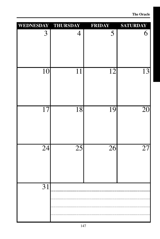**The Oracle**

| WEDNESDAY THURSDAY |                 | <b>FRIDAY</b>   | <b>SATURDAY</b> |
|--------------------|-----------------|-----------------|-----------------|
| 3                  | $\overline{4}$  | 5               | 6               |
| $\overline{10}$    | $\overline{11}$ | $\overline{12}$ | $\overline{13}$ |
| $\overline{17}$    | 18              | 19              | 20              |
| $\overline{24}$    | $\overline{25}$ | $\overline{26}$ | $\overline{27}$ |
| $\overline{31}$    |                 |                 |                 |
|                    |                 |                 |                 |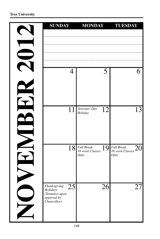|                         | <b>SUNDAY</b>                                                                                | <b>MONDAY</b>                                             | <b>TUESDAY</b>                                            |
|-------------------------|----------------------------------------------------------------------------------------------|-----------------------------------------------------------|-----------------------------------------------------------|
|                         |                                                                                              |                                                           |                                                           |
|                         | 4                                                                                            | 5                                                         | 6                                                         |
|                         | 11                                                                                           | Veterans' Day<br>12<br>Holiday                            | 13                                                        |
|                         | 18                                                                                           | <b>Fall Break</b><br>19<br>16 week Classes<br><b>Only</b> | <b>Fall Break</b><br>20<br>16 week Classes<br><b>Only</b> |
| $\overline{\mathbf{Z}}$ | $\overline{25}$<br>Thanksgiving<br>Holidays<br>(Tentative upon<br>approval by<br>Chancellor) | $\overline{26}$                                           | 27                                                        |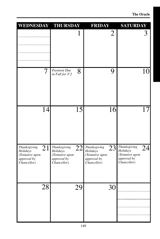| WEDNESDAY THURSDAY                                                              |                                                                                 | <b>FRIDAY</b>                                                                   | <b>SATURDAY</b>                                                                 |
|---------------------------------------------------------------------------------|---------------------------------------------------------------------------------|---------------------------------------------------------------------------------|---------------------------------------------------------------------------------|
|                                                                                 | $\mathbf 1$                                                                     | $\overline{2}$                                                                  | 3                                                                               |
| 7                                                                               | Payment Due<br>8<br>in Full for T-2                                             | 9                                                                               | 10                                                                              |
| 14                                                                              | 15                                                                              | 16                                                                              | 17                                                                              |
| Thanksgiving<br>21<br>Holidays<br>(Tentative upon<br>approval by<br>Chancellor) | 22<br>Thanksgiving<br>Holidays<br>(Tentative upon<br>approval by<br>Chancellor) | 23<br>Thanksgiving<br>Holidays<br>(Tentative upon<br>approval by<br>Chancellor) | Thanksgiving<br>24<br>Holidays<br>(Tentative upon<br>approval by<br>Chancellor) |
| 28                                                                              | 29                                                                              | 30                                                                              |                                                                                 |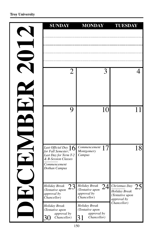| <b>SUNDAY</b>                                                                                                                 | <b>MONDAY</b>                                                        | <b>TUESDAY</b>                                                                   |
|-------------------------------------------------------------------------------------------------------------------------------|----------------------------------------------------------------------|----------------------------------------------------------------------------------|
|                                                                                                                               |                                                                      |                                                                                  |
| 2                                                                                                                             |                                                                      | 4                                                                                |
| 9                                                                                                                             | 10                                                                   | 11                                                                               |
| Last Official Day $16$<br>for Fall Semester;<br>Last Day for Term T-2<br>& B-Session Classes<br>Commencement<br>Dothan Campus | Commencement<br>Montgomery<br>Campus                                 | 18                                                                               |
| ລາ<br><b>Holiday Break</b><br>$\mathcal{L}$<br>(Tentative upon<br>approval by<br>Chancellor)                                  | Holiday Break<br>(Tentative upon<br>approval by<br>Chancellor)       | $24$ Christmas Day<br>⌒<br>ΖJ<br>Holiday Break<br>(Tentative upon<br>approval by |
| Holiday Break<br>(Tentative upon<br>approval by<br>30<br>Chancellor)                                                          | Holiday Break<br>(Tentative upon<br>approval by<br>31<br>Chancellor) | Chancellor)                                                                      |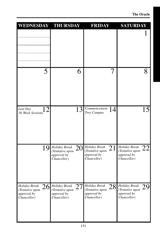| WEDNESDAY THURSDAY                                                    |                                                                      | <b>FRIDAY</b>                                                        | <b>SATURDAY</b>                                                           |
|-----------------------------------------------------------------------|----------------------------------------------------------------------|----------------------------------------------------------------------|---------------------------------------------------------------------------|
|                                                                       |                                                                      |                                                                      |                                                                           |
| 5                                                                     | 6                                                                    | 7                                                                    | 8                                                                         |
| Last Day<br>16-Week Sessions                                          | 13                                                                   | Commencement<br>14<br>Troy Campus                                    | 15                                                                        |
| 19                                                                    | Holiday Break<br>20<br>(Tentative upon<br>approval by<br>Chancellor) | Holiday Break<br>21<br>(Tentative upon<br>approval by<br>Chancellor) | Holiday Break<br>22<br>(Tentative upon<br>approval by<br>Chancellor)      |
| <b>Holiday Break</b><br>(Tentative upon<br>approval by<br>Chancellor) | $26$ Holiday Break<br>(Tentative upon<br>approval by<br>Chancellor)  | $27$ Holiday Break<br>(Tentative upon<br>approval by<br>Chancellor)  | $28$ Holiday Break<br>29<br>(Tentative upon<br>approval by<br>Chancellor) |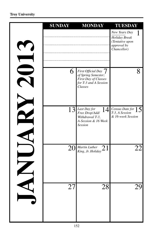| <b>SUNDAY</b> | <b>MONDAY</b>                                                                                             | <b>TUESDAY</b>                                                                  |
|---------------|-----------------------------------------------------------------------------------------------------------|---------------------------------------------------------------------------------|
|               |                                                                                                           | New Years Day<br>Holiday Break<br>(Tentative upon<br>approval by<br>Chancellor) |
| 6             | First Official Day $7$<br>of Spring Semester;<br>First Day of Classes<br>for T-3 and A Session<br>Classes | 8                                                                               |
|               | $13$ Last Day for<br>14<br>Free Drop/Add/<br>Withdrawal T-3,<br>A-Session & 16 Week<br><b>Session</b>     | Census Date for $15$<br>T-3, A Session<br>& 16-week Session                     |
| 20            | Martin Luther<br>21<br>King, Jr. Holiday                                                                  |                                                                                 |
| 27            | 28                                                                                                        | 29                                                                              |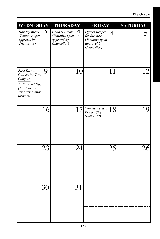| WEDNESDAY                                                                                                                |                | <b>THURSDAY</b>                                                |                            | <b>FRIDAY</b>                                                                   |    | <b>SATURDAY</b> |
|--------------------------------------------------------------------------------------------------------------------------|----------------|----------------------------------------------------------------|----------------------------|---------------------------------------------------------------------------------|----|-----------------|
| Holiday Break<br>(Tentative upon<br>approval by<br>Chancellor)                                                           | $\overline{2}$ | Holiday Break<br>(Tentative upon<br>approval by<br>Chancellor) | 3                          | Offices Reopen<br>for Business<br>(Tentative upon<br>approval by<br>Chancellor) | 4  |                 |
| First Day of<br><b>Classes for Troy</b><br>Campus<br>1st Payment Due<br>(All students on<br>semester/session<br>formats) | 9              |                                                                | 10                         |                                                                                 | 11 | 12              |
|                                                                                                                          | 16             |                                                                | 17                         | Commencement<br>Phenix City<br>(Fall 2012)                                      | 18 | 19              |
|                                                                                                                          | 23             |                                                                | 24                         |                                                                                 | 25 | 26              |
|                                                                                                                          | 30             |                                                                | $\mathbf{\Omega}$ 1<br>9 I |                                                                                 |    |                 |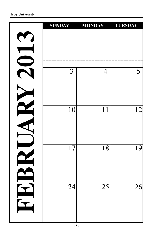|    | <b>SUNDAY</b> | <b>MONDAY</b>   | <b>TUESDAY</b> |
|----|---------------|-----------------|----------------|
|    |               |                 |                |
|    |               |                 |                |
|    |               |                 |                |
|    | 3             | 4               | 5              |
|    |               |                 |                |
|    |               |                 |                |
|    |               |                 |                |
|    | 10            | 11              | 12             |
|    |               |                 |                |
|    |               |                 |                |
|    | 17            | 18              | 19             |
|    |               |                 |                |
|    |               |                 |                |
|    |               |                 |                |
|    | 24            | $\overline{25}$ | 26             |
| HH |               |                 |                |
|    |               |                 |                |
|    |               |                 |                |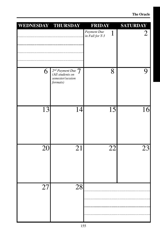| WEDNESDAY THURSDAY |                                                                           | <b>FRIDAY</b>                                  | <b>SATURDAY</b> |
|--------------------|---------------------------------------------------------------------------|------------------------------------------------|-----------------|
|                    |                                                                           | Payment Due<br>$\mathbf{1}$<br>in Full for T-3 | $\overline{2}$  |
| 6                  | $2nd$ Payment Due $7$<br>(All students on<br>semester/session<br>formats) | 8                                              | 9               |
| $\overline{13}$    | 14                                                                        | 15                                             | 16              |
| 20                 | 21                                                                        | 22                                             | 23              |
| 27                 | $\overline{28}$                                                           |                                                |                 |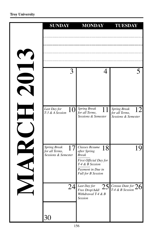| <b>SUNDAY</b>                                         | <b>MONDAY</b>                                                          | <b>TUESDAY</b>                                                     |
|-------------------------------------------------------|------------------------------------------------------------------------|--------------------------------------------------------------------|
|                                                       |                                                                        |                                                                    |
|                                                       |                                                                        |                                                                    |
|                                                       |                                                                        |                                                                    |
|                                                       |                                                                        |                                                                    |
| 3                                                     |                                                                        |                                                                    |
|                                                       |                                                                        |                                                                    |
|                                                       |                                                                        |                                                                    |
|                                                       |                                                                        |                                                                    |
| Last Day for<br>10 <br>T-3 & A Session                | <b>Spring Break</b><br>11<br>for all Terms,<br>Sessions & Semester     | <b>Spring Break</b><br>12<br>for all Terms,<br>Sessions & Semester |
|                                                       |                                                                        |                                                                    |
|                                                       |                                                                        |                                                                    |
|                                                       |                                                                        |                                                                    |
| Spring Break<br>for all Terms,<br>Sessions & Semester | Classes Resume<br>18<br>after Spring<br><b>Break</b>                   | 19                                                                 |
|                                                       | First Official Day for<br>T-4 & B Session                              |                                                                    |
|                                                       | Payment in Due in<br><b>Full for B Session</b>                         |                                                                    |
|                                                       |                                                                        |                                                                    |
| 24                                                    | Last Day for<br>Free Drop/Add/<br>Withdrawal T-4 & B<br><b>Session</b> | $25$ Census Date for $26$                                          |
|                                                       |                                                                        |                                                                    |
| 30                                                    |                                                                        |                                                                    |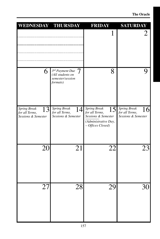| WEDNESDAY THURSDAY                                                 |                                                                              | <b>FRIDAY</b>                                                                                            | <b>SATURDAY</b>                                                                                                 |
|--------------------------------------------------------------------|------------------------------------------------------------------------------|----------------------------------------------------------------------------------------------------------|-----------------------------------------------------------------------------------------------------------------|
|                                                                    |                                                                              | 1                                                                                                        | $\mathcal{L}% _{M_{1},M_{2}}^{\alpha,\beta}(\varepsilon)=\mathcal{L}_{M_{1},M_{2}}^{\alpha,\beta}(\varepsilon)$ |
| 6                                                                  | $3^{rd}$ Payment Due $7$<br>(All students on<br>semester/session<br>formats) | 8                                                                                                        | 9                                                                                                               |
| <b>Spring Break</b><br>13<br>for all Terms,<br>Sessions & Semester | Spring Break<br>14<br>for all Terms,<br>Sessions & Semester                  | Spring Break<br>15<br>for all Terms,<br>Sessions & Semester<br>(Administrative Day,<br>- Offices Closed) | Spring Break<br>16 <br>for all Terms,<br>Sessions & Semester                                                    |
| 20                                                                 | 21                                                                           | 22                                                                                                       | 23                                                                                                              |
| 27                                                                 | 28                                                                           | 29                                                                                                       | 30                                                                                                              |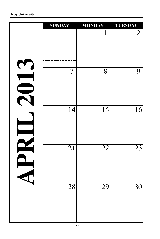|                                        | <b>SUNDAY</b>   | <b>MONDAY</b>   | <b>TUESDAY</b>  |
|----------------------------------------|-----------------|-----------------|-----------------|
| $\blacklozenge$                        |                 | $\mathbf{1}$    | $\overline{2}$  |
| $\sqrt{2}$<br>$\overline{\phantom{0}}$ | $\overline{7}$  | 8               | 9               |
|                                        | $\overline{14}$ | $\overline{15}$ | $\overline{16}$ |
|                                        | $\overline{21}$ | $\overline{22}$ | $\overline{23}$ |
|                                        | $\overline{28}$ | 29              | $\overline{30}$ |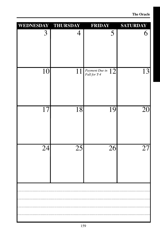| WEDNESDAY THURSDAY |                 | <b>FRIDAY</b>                       | <b>SATURDAY</b> |
|--------------------|-----------------|-------------------------------------|-----------------|
| 3                  | $\overline{4}$  | 5                                   | 6               |
| $\overline{10}$    | 11              | Payment Due in $12$<br>Full for T-4 | $1\overline{3}$ |
| $\overline{17}$    | 18              | 19                                  | 20              |
| $\overline{24}$    | $\overline{25}$ | $\overline{26}$                     | $\overline{27}$ |
|                    |                 |                                     |                 |
|                    |                 |                                     |                 |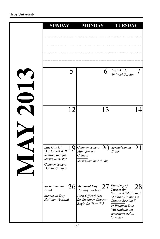| <b>SUNDAY</b>                                                                                                                  | <b>MONDAY</b>                                                                                                                           | <b>TUESDAY</b>                                                                                                                                                                                       |
|--------------------------------------------------------------------------------------------------------------------------------|-----------------------------------------------------------------------------------------------------------------------------------------|------------------------------------------------------------------------------------------------------------------------------------------------------------------------------------------------------|
|                                                                                                                                |                                                                                                                                         |                                                                                                                                                                                                      |
| 5                                                                                                                              | 6                                                                                                                                       | Last Day for<br>16-Week Session                                                                                                                                                                      |
| 12                                                                                                                             | 13                                                                                                                                      | 14                                                                                                                                                                                                   |
| <u> 19 </u><br>Last Official<br>Day for T-4 & B<br>Session, and for<br><b>Spring Semester</b><br>Commencement<br>Dothan Campus | Commencement<br><b>20</b><br>Montgomery<br>Campus<br>Spring/Summer Break                                                                | Spring/Summer $21$<br><b>Break</b>                                                                                                                                                                   |
| Spring/Summer<br><b>Break</b><br><b>Memorial Day</b><br>Holiday Weekend                                                        | $26$ Memorial Day<br>$\frac{1}{100}$ Holiday Weekend $\frac{2}{100}$<br>First Official Day<br>for Summer; Classes<br>Begin for Term T-5 | $77$ First Day of<br>ററ<br>$\angle 8$<br>Classes for<br>Session A (Mini), and<br>Alabama Campuses<br><b>Classes Session S</b><br>1st Payment Due<br>(All students on<br>semester/session<br>formats) |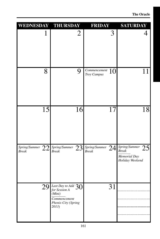| WEDNESDAY THURSDAY                  |                                                                                             | <b>FRIDAY</b>                          | <b>SATURDAY</b>                                                           |
|-------------------------------------|---------------------------------------------------------------------------------------------|----------------------------------------|---------------------------------------------------------------------------|
| $\mathbf{I}$                        | $\overline{2}$                                                                              | 3                                      |                                                                           |
| 8                                   | 9                                                                                           | Commencement<br>10<br>Troy Campus      | 11                                                                        |
| $\overline{15}$                     | 16                                                                                          | 17                                     | 18                                                                        |
| Spring/Summer<br>22<br><b>Break</b> | Spring/Summer<br>Break<br>23                                                                | $Spring/Summary$<br>24<br><b>Break</b> | $S_{prings/Summer}$ 25<br><b>Break</b><br>Memorial Day<br>Holiday Weekend |
|                                     | $\boxed{29}$ Last Day to Add $30$<br>(Mini)<br>Commencement<br>Phenix City (Spring<br>2013) | 31                                     |                                                                           |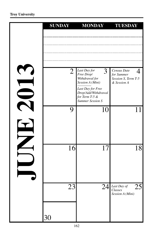| <b>SUNDAY</b>  | <b>MONDAY</b>                                                                         | <b>TUESDAY</b>                                                                                         |
|----------------|---------------------------------------------------------------------------------------|--------------------------------------------------------------------------------------------------------|
|                |                                                                                       |                                                                                                        |
|                | Last Day for                                                                          | Census Date                                                                                            |
| $\overline{2}$ | 3<br>Free Drop/<br>Withdrawal for<br>Session A (Mini)                                 | 4<br>for Summer<br>Session S, Term T-5<br>& Session A                                                  |
|                | Last Day for Free<br>Drop/Add/Withdrawal<br>for Term T-5 &<br><b>Summer Session S</b> |                                                                                                        |
| 9              | 10                                                                                    | 11                                                                                                     |
|                |                                                                                       |                                                                                                        |
| 16             | 17                                                                                    | 18                                                                                                     |
|                |                                                                                       |                                                                                                        |
| 23             |                                                                                       | $\overline{24}\vert_{\textit{Classes}}^{ \textit{Last Day of}}$<br>$\overline{25}$<br>Session A (Mini) |
|                |                                                                                       |                                                                                                        |
| 30             |                                                                                       |                                                                                                        |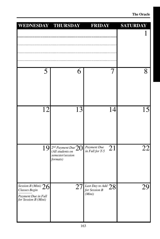| WEDNESDAY THURSDAY                                                                    |                                                                                     | <b>FRIDAY</b>                                                   | <b>SATURDAY</b> |
|---------------------------------------------------------------------------------------|-------------------------------------------------------------------------------------|-----------------------------------------------------------------|-----------------|
| 5                                                                                     | 6                                                                                   | 7                                                               | 8               |
| 12                                                                                    | 13                                                                                  | 14                                                              | <b>15</b>       |
| 19                                                                                    | $\sqrt{2^{nd}$ Payment Due $20$<br>(All students on<br>semester/session<br>formats) | 21<br>Payment Due<br>in Full for T-5                            | 22              |
| Session B (Mini) $26$<br>Classes Begin<br>Payment Due in Full<br>for Session B (Mini) |                                                                                     | $\overline{27}$ Last Day to Add $28$<br>for Session B<br>(Mini) | 29              |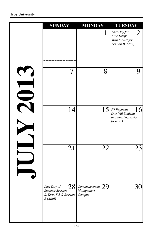| <b>SUNDAY</b>                                                                                | <b>MONDAY</b>                                          | <b>TUESDAY</b>                                                                     |
|----------------------------------------------------------------------------------------------|--------------------------------------------------------|------------------------------------------------------------------------------------|
|                                                                                              | $\mathbf 1$                                            | Last Day for<br>$\overline{2}$<br>Free Drop/<br>Withdrawal for<br>Session B (Mini) |
| 7                                                                                            | 8                                                      | 9                                                                                  |
| 14                                                                                           | 15 <sup>l</sup>                                        | 16<br>$3^{rd}$ Payment<br>Due (All Students<br>on semester/session<br>formats)     |
| 21                                                                                           | $\overline{22}$                                        | 23                                                                                 |
| $\overline{28}$<br>Last Day of<br><b>Summer Session</b><br>S, Term T-5 & Session<br>B (Mini) | $\overline{\text{Comment}}$ 29<br>Montgomery<br>Campus | $\overline{30}$                                                                    |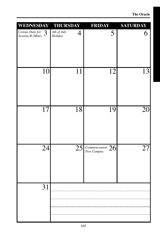| Census Date for<br>4th of July<br>3<br>4<br>5<br>Session B (Mini)<br>Holiday<br>10<br>12<br>11<br>$\overline{17}$<br>18<br>19<br>$\overline{24}$<br>$25$ Commencement $26$<br>31 | WEDNESDAY | <b>THURSDAY</b> | <b>FRIDAY</b> | <b>SATURDAY</b> |
|----------------------------------------------------------------------------------------------------------------------------------------------------------------------------------|-----------|-----------------|---------------|-----------------|
|                                                                                                                                                                                  |           |                 |               | 6               |
|                                                                                                                                                                                  |           |                 |               | 13              |
|                                                                                                                                                                                  |           |                 |               | 20              |
|                                                                                                                                                                                  |           |                 |               | 27              |
|                                                                                                                                                                                  |           |                 |               |                 |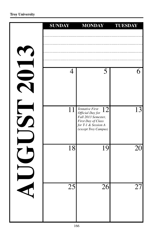|                               | <b>SUNDAY</b>   | <b>MONDAY</b>                                                                                                                         | <b>TUESDAY</b> |
|-------------------------------|-----------------|---------------------------------------------------------------------------------------------------------------------------------------|----------------|
|                               |                 |                                                                                                                                       |                |
|                               | $\overline{4}$  | 5                                                                                                                                     | 6              |
| E<br>$\boldsymbol{\tilde{U}}$ | 11              | Tentative First<br>12<br>Official Day for<br>Fall 2013 Semester,<br>First Day of Class<br>for T-1 & Session A<br>(except Troy Campus) | 13             |
|                               | 18              | 19                                                                                                                                    | 20             |
|                               | $\overline{25}$ | 26                                                                                                                                    | 27             |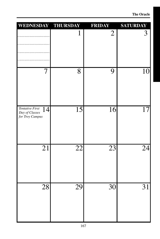| WEDNESDAY THURSDAY                                         |                 | <b>FRIDAY</b>   | <b>SATURDAY</b> |
|------------------------------------------------------------|-----------------|-----------------|-----------------|
|                                                            | $\mathbf{l}$    | $\overline{2}$  | 3               |
| $\tau$                                                     | 8               | 9               | 10              |
| Tentative First<br>14<br>Day of Classes<br>for Troy Campus | 15              | 16              | 17              |
| $\overline{21}$                                            | $\overline{22}$ | $\overline{23}$ | 24              |
| 28                                                         | 29              | $\overline{30}$ | 31              |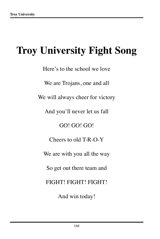## **Troy University Fight Song**

Here's to the school we love We are Trojans, one and all We will always cheer for victory And you'll never let us fall GO! GO! GO! Cheers to old T-R-O-Y We are with you all the way So get out there team and FIGHT! FIGHT! FIGHT! And win today!